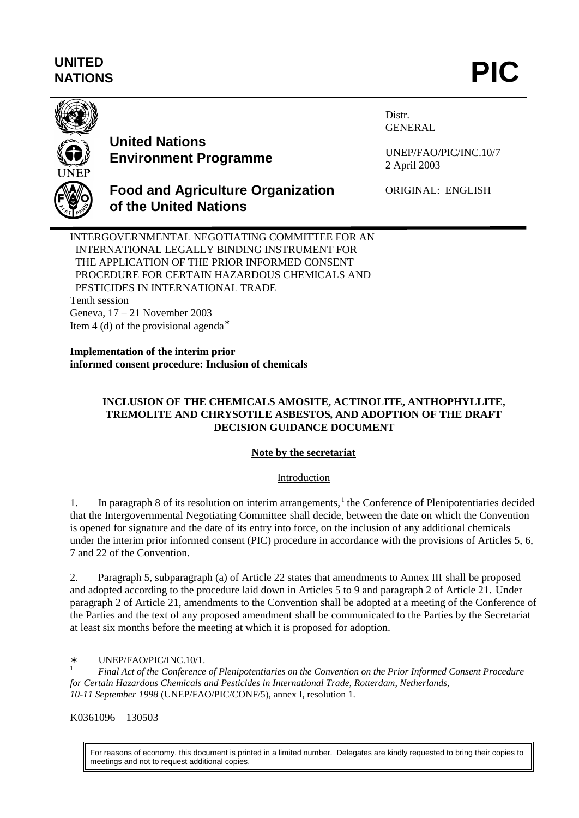# **UNITED** UNITED<br>NATIONS **PIC**



# **United Nations Environment Programme**

Distr. GENERAL

UNEP/FAO/PIC/INC.10/7 2 April 2003



# **Food and Agriculture Organization of the United Nations**

ORIGINAL: ENGLISH

INTERGOVERNMENTAL NEGOTIATING COMMITTEE FOR AN INTERNATIONAL LEGALLY BINDING INSTRUMENT FOR THE APPLICATION OF THE PRIOR INFORMED CONSENT PROCEDURE FOR CERTAIN HAZARDOUS CHEMICALS AND PESTICIDES IN INTERNATIONAL TRADE Tenth session Geneva, 17 – 21 November 2003 Item 4 (d) of the provisional agenda<sup>∗</sup>

**Implementation of the interim prior informed consent procedure: Inclusion of chemicals**

# **INCLUSION OF THE CHEMICALS AMOSITE, ACTINOLITE, ANTHOPHYLLITE, TREMOLITE AND CHRYSOTILE ASBESTOS, AND ADOPTION OF THE DRAFT DECISION GUIDANCE DOCUMENT**

# **Note by the secretariat**

# Introduction

1. In paragraph 8 of its resolution on interim arrangements,<sup>1</sup> the Conference of Plenipotentiaries decided that the Intergovernmental Negotiating Committee shall decide, between the date on which the Convention is opened for signature and the date of its entry into force, on the inclusion of any additional chemicals under the interim prior informed consent (PIC) procedure in accordance with the provisions of Articles 5, 6, 7 and 22 of the Convention.

2. Paragraph 5, subparagraph (a) of Article 22 states that amendments to Annex III shall be proposed and adopted according to the procedure laid down in Articles 5 to 9 and paragraph 2 of Article 21. Under paragraph 2 of Article 21, amendments to the Convention shall be adopted at a meeting of the Conference of the Parties and the text of any proposed amendment shall be communicated to the Parties by the Secretariat at least six months before the meeting at which it is proposed for adoption.

K0361096 130503

l

For reasons of economy, this document is printed in a limited number. Delegates are kindly requested to bring their copies to meetings and not to request additional copies.

<sup>∗</sup> UNEP/FAO/PIC/INC.10/1.

<sup>1</sup> *Final Act of the Conference of Plenipotentiaries on the Convention on the Prior Informed Consent Procedure for Certain Hazardous Chemicals and Pesticides in International Trade, Rotterdam, Netherlands, 10-11 September 1998* (UNEP/FAO/PIC/CONF/5), annex I, resolution 1.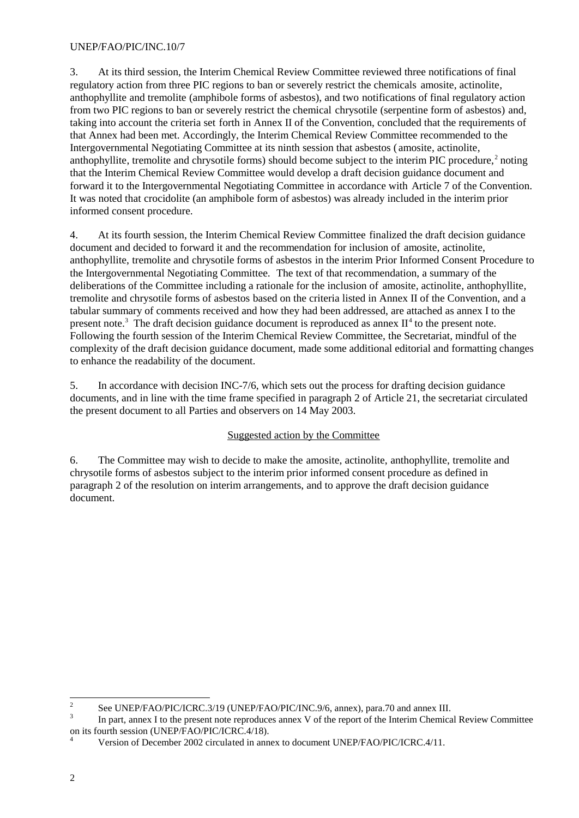3. At its third session, the Interim Chemical Review Committee reviewed three notifications of final regulatory action from three PIC regions to ban or severely restrict the chemicals amosite, actinolite, anthophyllite and tremolite (amphibole forms of asbestos), and two notifications of final regulatory action from two PIC regions to ban or severely restrict the chemical chrysotile (serpentine form of asbestos) and, taking into account the criteria set forth in Annex II of the Convention, concluded that the requirements of that Annex had been met. Accordingly, the Interim Chemical Review Committee recommended to the Intergovernmental Negotiating Committee at its ninth session that asbestos ( amosite, actinolite, anthophyllite, tremolite and chrysotile forms) should become subject to the interim PIC procedure,<sup>2</sup> noting that the Interim Chemical Review Committee would develop a draft decision guidance document and forward it to the Intergovernmental Negotiating Committee in accordance with Article 7 of the Convention. It was noted that crocidolite (an amphibole form of asbestos) was already included in the interim prior informed consent procedure.

4. At its fourth session, the Interim Chemical Review Committee finalized the draft decision guidance document and decided to forward it and the recommendation for inclusion of amosite, actinolite, anthophyllite, tremolite and chrysotile forms of asbestos in the interim Prior Informed Consent Procedure to the Intergovernmental Negotiating Committee. The text of that recommendation, a summary of the deliberations of the Committee including a rationale for the inclusion of amosite, actinolite, anthophyllite, tremolite and chrysotile forms of asbestos based on the criteria listed in Annex II of the Convention, and a tabular summary of comments received and how they had been addressed, are attached as annex I to the present note.<sup>3</sup> The draft decision guidance document is reproduced as annex  $II<sup>4</sup>$  to the present note. Following the fourth session of the Interim Chemical Review Committee, the Secretariat, mindful of the complexity of the draft decision guidance document, made some additional editorial and formatting changes to enhance the readability of the document.

5. In accordance with decision INC-7/6, which sets out the process for drafting decision guidance documents, and in line with the time frame specified in paragraph 2 of Article 21, the secretariat circulated the present document to all Parties and observers on 14 May 2003.

# Suggested action by the Committee

6. The Committee may wish to decide to make the amosite, actinolite, anthophyllite, tremolite and chrysotile forms of asbestos subject to the interim prior informed consent procedure as defined in paragraph 2 of the resolution on interim arrangements, and to approve the draft decision guidance document.

<sup>&</sup>lt;sup>2</sup> See UNEP/FAO/PIC/ICRC.3/19 (UNEP/FAO/PIC/INC.9/6, annex), para.70 and annex III.

<sup>3</sup> In part, annex I to the present note reproduces annex V of the report of the Interim Chemical Review Committee on its fourth session (UNEP/FAO/PIC/ICRC.4/18).

Version of December 2002 circulated in annex to document UNEP/FAO/PIC/ICRC.4/11.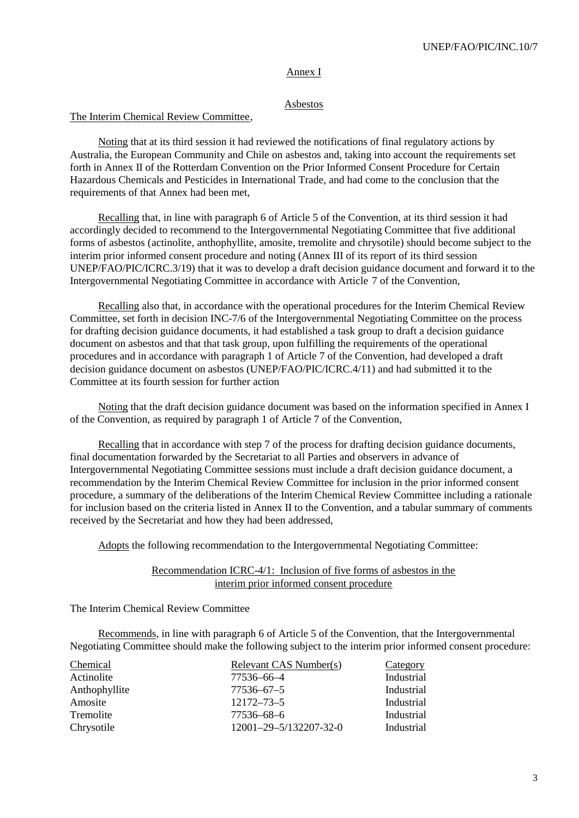#### Annex I

#### Asbestos

#### The Interim Chemical Review Committee,

Noting that at its third session it had reviewed the notifications of final regulatory actions by Australia, the European Community and Chile on asbestos and, taking into account the requirements set forth in Annex II of the Rotterdam Convention on the Prior Informed Consent Procedure for Certain Hazardous Chemicals and Pesticides in International Trade, and had come to the conclusion that the requirements of that Annex had been met,

Recalling that, in line with paragraph 6 of Article 5 of the Convention, at its third session it had accordingly decided to recommend to the Intergovernmental Negotiating Committee that five additional forms of asbestos (actinolite, anthophyllite, amosite, tremolite and chrysotile) should become subject to the interim prior informed consent procedure and noting (Annex III of its report of its third session UNEP/FAO/PIC/ICRC.3/19) that it was to develop a draft decision guidance document and forward it to the Intergovernmental Negotiating Committee in accordance with Article 7 of the Convention,

Recalling also that, in accordance with the operational procedures for the Interim Chemical Review Committee, set forth in decision INC-7/6 of the Intergovernmental Negotiating Committee on the process for drafting decision guidance documents, it had established a task group to draft a decision guidance document on asbestos and that that task group, upon fulfilling the requirements of the operational procedures and in accordance with paragraph 1 of Article 7 of the Convention, had developed a draft decision guidance document on asbestos (UNEP/FAO/PIC/ICRC.4/11) and had submitted it to the Committee at its fourth session for further action

Noting that the draft decision guidance document was based on the information specified in Annex I of the Convention, as required by paragraph 1 of Article 7 of the Convention,

Recalling that in accordance with step 7 of the process for drafting decision guidance documents, final documentation forwarded by the Secretariat to all Parties and observers in advance of Intergovernmental Negotiating Committee sessions must include a draft decision guidance document, a recommendation by the Interim Chemical Review Committee for inclusion in the prior informed consent procedure, a summary of the deliberations of the Interim Chemical Review Committee including a rationale for inclusion based on the criteria listed in Annex II to the Convention, and a tabular summary of comments received by the Secretariat and how they had been addressed,

Adopts the following recommendation to the Intergovernmental Negotiating Committee:

Recommendation ICRC-4/1: Inclusion of five forms of asbestos in the interim prior informed consent procedure

The Interim Chemical Review Committee

Recommends, in line with paragraph 6 of Article 5 of the Convention, that the Intergovernmental Negotiating Committee should make the following subject to the interim prior informed consent procedure:

| Chemical      | Relevant CAS Number(s) | Category   |
|---------------|------------------------|------------|
| Actinolite    | 77536-66-4             | Industrial |
| Anthophyllite | $77536 - 67 - 5$       | Industrial |
| Amosite       | $12172 - 73 - 5$       | Industrial |
| Tremolite     | 77536-68-6             | Industrial |
| Chrysotile    | 12001-29-5/132207-32-0 | Industrial |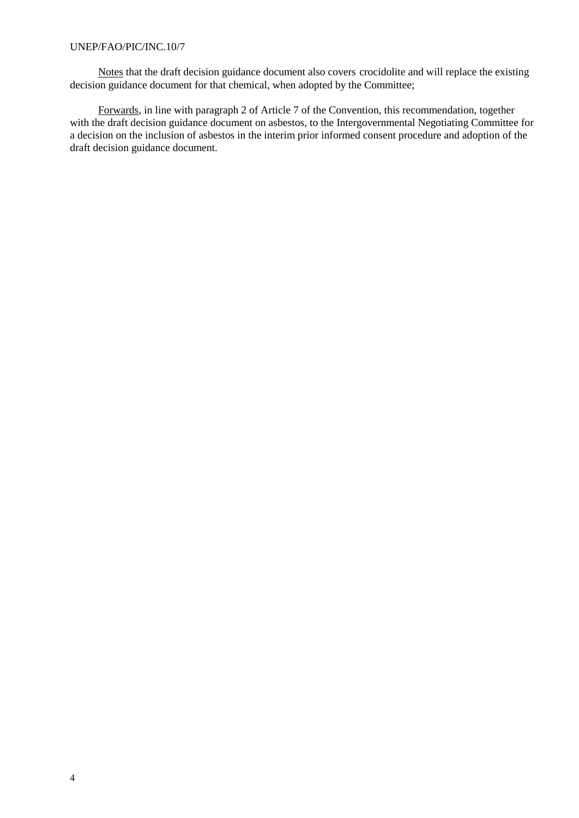Notes that the draft decision guidance document also covers crocidolite and will replace the existing decision guidance document for that chemical, when adopted by the Committee;

Forwards, in line with paragraph 2 of Article 7 of the Convention, this recommendation, together with the draft decision guidance document on asbestos, to the Intergovernmental Negotiating Committee for a decision on the inclusion of asbestos in the interim prior informed consent procedure and adoption of the draft decision guidance document.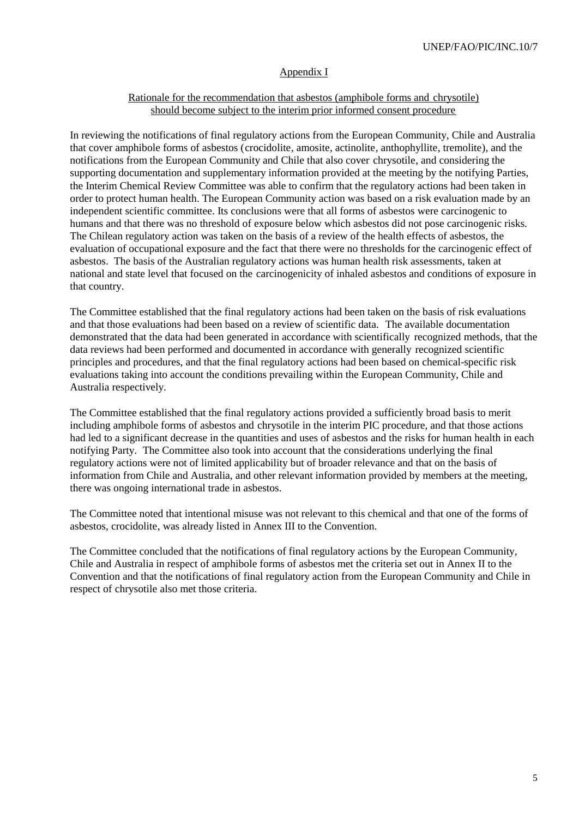### Appendix I

### Rationale for the recommendation that asbestos (amphibole forms and chrysotile) should become subject to the interim prior informed consent procedure

In reviewing the notifications of final regulatory actions from the European Community, Chile and Australia that cover amphibole forms of asbestos (crocidolite, amosite, actinolite, anthophyllite, tremolite), and the notifications from the European Community and Chile that also cover chrysotile, and considering the supporting documentation and supplementary information provided at the meeting by the notifying Parties, the Interim Chemical Review Committee was able to confirm that the regulatory actions had been taken in order to protect human health. The European Community action was based on a risk evaluation made by an independent scientific committee. Its conclusions were that all forms of asbestos were carcinogenic to humans and that there was no threshold of exposure below which asbestos did not pose carcinogenic risks. The Chilean regulatory action was taken on the basis of a review of the health effects of asbestos, the evaluation of occupational exposure and the fact that there were no thresholds for the carcinogenic effect of asbestos. The basis of the Australian regulatory actions was human health risk assessments, taken at national and state level that focused on the carcinogenicity of inhaled asbestos and conditions of exposure in that country.

The Committee established that the final regulatory actions had been taken on the basis of risk evaluations and that those evaluations had been based on a review of scientific data. The available documentation demonstrated that the data had been generated in accordance with scientifically recognized methods, that the data reviews had been performed and documented in accordance with generally recognized scientific principles and procedures, and that the final regulatory actions had been based on chemical-specific risk evaluations taking into account the conditions prevailing within the European Community, Chile and Australia respectively.

The Committee established that the final regulatory actions provided a sufficiently broad basis to merit including amphibole forms of asbestos and chrysotile in the interim PIC procedure, and that those actions had led to a significant decrease in the quantities and uses of asbestos and the risks for human health in each notifying Party. The Committee also took into account that the considerations underlying the final regulatory actions were not of limited applicability but of broader relevance and that on the basis of information from Chile and Australia, and other relevant information provided by members at the meeting, there was ongoing international trade in asbestos.

The Committee noted that intentional misuse was not relevant to this chemical and that one of the forms of asbestos, crocidolite, was already listed in Annex III to the Convention.

The Committee concluded that the notifications of final regulatory actions by the European Community, Chile and Australia in respect of amphibole forms of asbestos met the criteria set out in Annex II to the Convention and that the notifications of final regulatory action from the European Community and Chile in respect of chrysotile also met those criteria.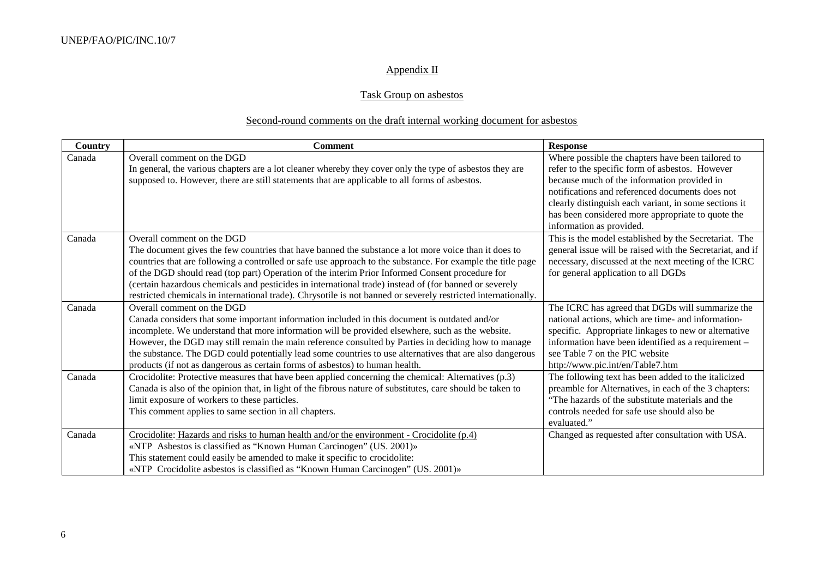# Appendix II

# Task Group on asbestos

# Second-round comments on the draft internal working document for asbestos

| Country | <b>Comment</b>                                                                                                 | <b>Response</b>                                           |
|---------|----------------------------------------------------------------------------------------------------------------|-----------------------------------------------------------|
| Canada  | Overall comment on the DGD                                                                                     | Where possible the chapters have been tailored to         |
|         | In general, the various chapters are a lot cleaner whereby they cover only the type of asbestos they are       | refer to the specific form of asbestos. However           |
|         | supposed to. However, there are still statements that are applicable to all forms of asbestos.                 | because much of the information provided in               |
|         |                                                                                                                | notifications and referenced documents does not           |
|         |                                                                                                                | clearly distinguish each variant, in some sections it     |
|         |                                                                                                                | has been considered more appropriate to quote the         |
|         |                                                                                                                | information as provided.                                  |
| Canada  | Overall comment on the DGD                                                                                     | This is the model established by the Secretariat. The     |
|         | The document gives the few countries that have banned the substance a lot more voice than it does to           | general issue will be raised with the Secretariat, and if |
|         | countries that are following a controlled or safe use approach to the substance. For example the title page    | necessary, discussed at the next meeting of the ICRC      |
|         | of the DGD should read (top part) Operation of the interim Prior Informed Consent procedure for                | for general application to all DGDs                       |
|         | (certain hazardous chemicals and pesticides in international trade) instead of (for banned or severely         |                                                           |
|         | restricted chemicals in international trade). Chrysotile is not banned or severely restricted internationally. |                                                           |
| Canada  | Overall comment on the DGD                                                                                     | The ICRC has agreed that DGDs will summarize the          |
|         | Canada considers that some important information included in this document is outdated and/or                  | national actions, which are time- and information-        |
|         | incomplete. We understand that more information will be provided elsewhere, such as the website.               | specific. Appropriate linkages to new or alternative      |
|         | However, the DGD may still remain the main reference consulted by Parties in deciding how to manage            | information have been identified as a requirement -       |
|         | the substance. The DGD could potentially lead some countries to use alternatives that are also dangerous       | see Table 7 on the PIC website                            |
|         | products (if not as dangerous as certain forms of asbestos) to human health.                                   | http://www.pic.int/en/Table7.htm                          |
| Canada  | Crocidolite: Protective measures that have been applied concerning the chemical: Alternatives (p.3)            | The following text has been added to the italicized       |
|         | Canada is also of the opinion that, in light of the fibrous nature of substitutes, care should be taken to     | preamble for Alternatives, in each of the 3 chapters:     |
|         | limit exposure of workers to these particles.                                                                  | The hazards of the substitute materials and the           |
|         | This comment applies to same section in all chapters.                                                          | controls needed for safe use should also be               |
|         |                                                                                                                | evaluated."                                               |
| Canada  | Crocidolite: Hazards and risks to human health and/or the environment - Crocidolite $(p, 4)$                   | Changed as requested after consultation with USA.         |
|         | «NTP Asbestos is classified as "Known Human Carcinogen" (US. 2001)»                                            |                                                           |
|         | This statement could easily be amended to make it specific to crocidolite:                                     |                                                           |
|         | «NTP Crocidolite asbestos is classified as "Known Human Carcinogen" (US. 2001)»                                |                                                           |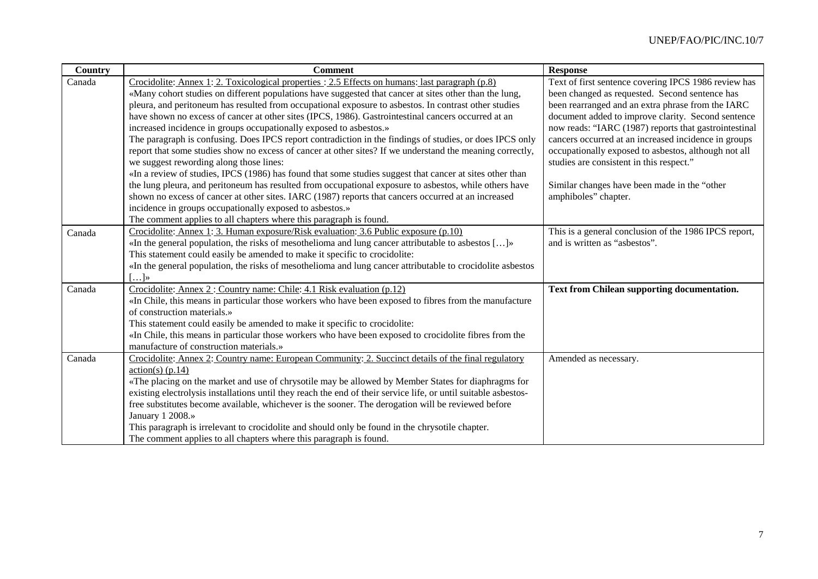| Country | <b>Comment</b>                                                                                                  | <b>Response</b>                                       |
|---------|-----------------------------------------------------------------------------------------------------------------|-------------------------------------------------------|
| Canada  | Crocidolite: Annex 1: 2. Toxicological properties : 2.5 Effects on humans: last paragraph $(p.8)$               | Text of first sentence covering IPCS 1986 review has  |
|         | «Many cohort studies on different populations have suggested that cancer at sites other than the lung,          | been changed as requested. Second sentence has        |
|         | pleura, and peritoneum has resulted from occupational exposure to asbestos. In contrast other studies           | been rearranged and an extra phrase from the IARC     |
|         | have shown no excess of cancer at other sites (IPCS, 1986). Gastrointestinal cancers occurred at an             | document added to improve clarity. Second sentence    |
|         | increased incidence in groups occupationally exposed to asbestos.»                                              | now reads: "IARC (1987) reports that gastrointestinal |
|         | The paragraph is confusing. Does IPCS report contradiction in the findings of studies, or does IPCS only        | cancers occurred at an increased incidence in groups  |
|         | report that some studies show no excess of cancer at other sites? If we understand the meaning correctly,       | occupationally exposed to asbestos, although not all  |
|         | we suggest rewording along those lines:                                                                         | studies are consistent in this respect."              |
|         | «In a review of studies, IPCS (1986) has found that some studies suggest that cancer at sites other than        |                                                       |
|         | the lung pleura, and peritoneum has resulted from occupational exposure to asbestos, while others have          | Similar changes have been made in the "other          |
|         | shown no excess of cancer at other sites. IARC (1987) reports that cancers occurred at an increased             | amphiboles" chapter.                                  |
|         | incidence in groups occupationally exposed to asbestos.»                                                        |                                                       |
|         | The comment applies to all chapters where this paragraph is found.                                              |                                                       |
| Canada  | Crocidolite: Annex 1: 3. Human exposure/Risk evaluation: 3.6 Public exposure (p.10)                             | This is a general conclusion of the 1986 IPCS report, |
|         | «In the general population, the risks of mesothelioma and lung cancer attributable to asbestos []»              | and is written as "asbestos".                         |
|         | This statement could easily be amended to make it specific to crocidolite:                                      |                                                       |
|         | «In the general population, the risks of mesothelioma and lung cancer attributable to crocidolite asbestos      |                                                       |
|         | $\left[ \ldots \right]$ »                                                                                       |                                                       |
| Canada  | Crocidolite: Annex 2: Country name: Chile: 4.1 Risk evaluation (p.12)                                           | Text from Chilean supporting documentation.           |
|         | «In Chile, this means in particular those workers who have been exposed to fibres from the manufacture          |                                                       |
|         | of construction materials.»                                                                                     |                                                       |
|         | This statement could easily be amended to make it specific to crocidolite:                                      |                                                       |
|         | «In Chile, this means in particular those workers who have been exposed to crocidolite fibres from the          |                                                       |
|         | manufacture of construction materials.»                                                                         |                                                       |
| Canada  | Crocidolite: Annex 2: Country name: European Community: 2. Succinct details of the final regulatory             | Amended as necessary.                                 |
|         | $\arctan(s)$ (p.14)                                                                                             |                                                       |
|         | «The placing on the market and use of chrysotile may be allowed by Member States for diaphragms for             |                                                       |
|         | existing electrolysis installations until they reach the end of their service life, or until suitable asbestos- |                                                       |
|         | free substitutes become available, whichever is the sooner. The derogation will be reviewed before              |                                                       |
|         | January 1 2008.»                                                                                                |                                                       |
|         | This paragraph is irrelevant to crocidolite and should only be found in the chrysotile chapter.                 |                                                       |
|         | The comment applies to all chapters where this paragraph is found.                                              |                                                       |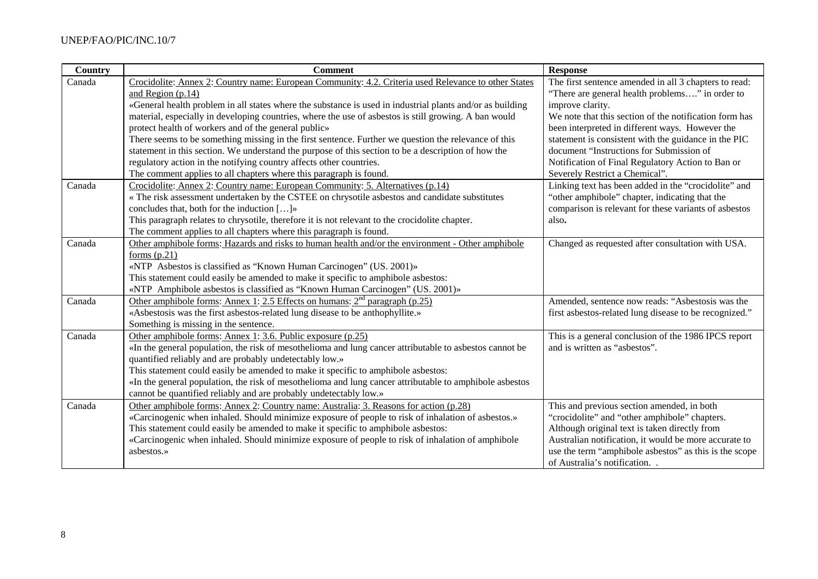| <b>Country</b> | <b>Comment</b>                                                                                            | <b>Response</b>                                        |
|----------------|-----------------------------------------------------------------------------------------------------------|--------------------------------------------------------|
| Canada         | Crocidolite: Annex 2: Country name: European Community: 4.2. Criteria used Relevance to other States      | The first sentence amended in all 3 chapters to read:  |
|                | and Region (p.14)                                                                                         | "There are general health problems" in order to        |
|                | «General health problem in all states where the substance is used in industrial plants and/or as building | improve clarity.                                       |
|                | material, especially in developing countries, where the use of asbestos is still growing. A ban would     | We note that this section of the notification form has |
|                | protect health of workers and of the general public»                                                      | been interpreted in different ways. However the        |
|                | There seems to be something missing in the first sentence. Further we question the relevance of this      | statement is consistent with the guidance in the PIC   |
|                | statement in this section. We understand the purpose of this section to be a description of how the       | document "Instructions for Submission of               |
|                | regulatory action in the notifying country affects other countries.                                       | Notification of Final Regulatory Action to Ban or      |
|                | The comment applies to all chapters where this paragraph is found.                                        | Severely Restrict a Chemical".                         |
| Canada         | Crocidolite: Annex 2: Country name: European Community: 5. Alternatives (p.14)                            | Linking text has been added in the "crocidolite" and   |
|                | « The risk assessment undertaken by the CSTEE on chrysotile asbestos and candidate substitutes            | "other amphibole" chapter, indicating that the         |
|                | concludes that, both for the induction []»                                                                | comparison is relevant for these variants of asbestos  |
|                | This paragraph relates to chrysotile, therefore it is not relevant to the crocidolite chapter.            | also.                                                  |
|                | The comment applies to all chapters where this paragraph is found.                                        |                                                        |
| Canada         | Other amphibole forms: Hazards and risks to human health and/or the environment - Other amphibole         | Changed as requested after consultation with USA.      |
|                | forms $(p.21)$                                                                                            |                                                        |
|                | «NTP Asbestos is classified as "Known Human Carcinogen" (US. 2001)»                                       |                                                        |
|                | This statement could easily be amended to make it specific to amphibole asbestos:                         |                                                        |
|                | «NTP Amphibole asbestos is classified as "Known Human Carcinogen" (US. 2001)»                             |                                                        |
| Canada         | Other amphibole forms: Annex 1: 2.5 Effects on humans: 2 <sup>nd</sup> paragraph (p.25)                   | Amended, sentence now reads: "Asbestosis was the       |
|                | «Asbestosis was the first asbestos-related lung disease to be anthophyllite.»                             | first asbestos-related lung disease to be recognized." |
|                | Something is missing in the sentence.                                                                     |                                                        |
| Canada         | Other amphibole forms: Annex 1: 3.6. Public exposure (p.25)                                               | This is a general conclusion of the 1986 IPCS report   |
|                | «In the general population, the risk of mesothelioma and lung cancer attributable to asbestos cannot be   | and is written as "asbestos".                          |
|                | quantified reliably and are probably undetectably low.»                                                   |                                                        |
|                | This statement could easily be amended to make it specific to amphibole asbestos:                         |                                                        |
|                | «In the general population, the risk of mesothelioma and lung cancer attributable to amphibole asbestos   |                                                        |
|                | cannot be quantified reliably and are probably undetectably low.»                                         |                                                        |
| Canada         | Other amphibole forms: Annex 2: Country name: Australia: 3. Reasons for action (p.28)                     | This and previous section amended, in both             |
|                | «Carcinogenic when inhaled. Should minimize exposure of people to risk of inhalation of asbestos.»        | "crocidolite" and "other amphibole" chapters.          |
|                | This statement could easily be amended to make it specific to amphibole asbestos:                         | Although original text is taken directly from          |
|                | «Carcinogenic when inhaled. Should minimize exposure of people to risk of inhalation of amphibole         | Australian notification, it would be more accurate to  |
|                | asbestos.»                                                                                                | use the term "amphibole asbestos" as this is the scope |
|                |                                                                                                           | of Australia's notification                            |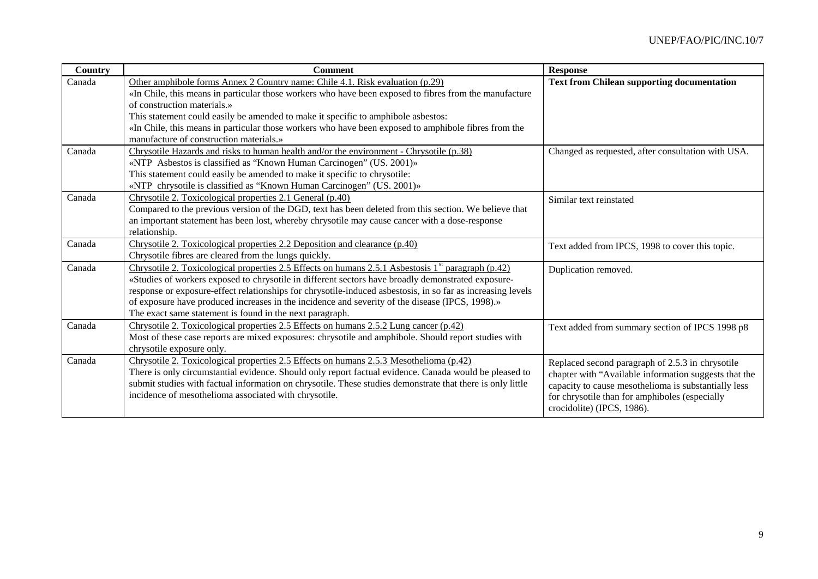| <b>Country</b> | <b>Comment</b>                                                                                                 | <b>Response</b>                                       |
|----------------|----------------------------------------------------------------------------------------------------------------|-------------------------------------------------------|
| Canada         | Other amphibole forms Annex 2 Country name: Chile 4.1. Risk evaluation (p.29)                                  | <b>Text from Chilean supporting documentation</b>     |
|                | «In Chile, this means in particular those workers who have been exposed to fibres from the manufacture         |                                                       |
|                | of construction materials.»                                                                                    |                                                       |
|                | This statement could easily be amended to make it specific to amphibole asbestos:                              |                                                       |
|                | «In Chile, this means in particular those workers who have been exposed to amphibole fibres from the           |                                                       |
|                | manufacture of construction materials.»                                                                        |                                                       |
| Canada         | Chrysotile Hazards and risks to human health and/or the environment - Chrysotile (p.38)                        | Changed as requested, after consultation with USA.    |
|                | «NTP Asbestos is classified as "Known Human Carcinogen" (US. 2001)»                                            |                                                       |
|                | This statement could easily be amended to make it specific to chrysotile:                                      |                                                       |
|                | «NTP chrysotile is classified as "Known Human Carcinogen" (US. 2001)»                                          |                                                       |
| Canada         | Chrysotile 2. Toxicological properties 2.1 General (p.40)                                                      | Similar text reinstated                               |
|                | Compared to the previous version of the DGD, text has been deleted from this section. We believe that          |                                                       |
|                | an important statement has been lost, whereby chrysotile may cause cancer with a dose-response                 |                                                       |
|                | relationship.                                                                                                  |                                                       |
| Canada         | Chrysotile 2. Toxicological properties 2.2 Deposition and clearance (p.40)                                     | Text added from IPCS, 1998 to cover this topic.       |
|                | Chrysotile fibres are cleared from the lungs quickly.                                                          |                                                       |
| Canada         | Chrysotile 2. Toxicological properties 2.5 Effects on humans 2.5.1 Asbestosis 1 <sup>st</sup> paragraph (p.42) | Duplication removed.                                  |
|                | «Studies of workers exposed to chrysotile in different sectors have broadly demonstrated exposure-             |                                                       |
|                | response or exposure-effect relationships for chrysotile-induced asbestosis, in so far as increasing levels    |                                                       |
|                | of exposure have produced increases in the incidence and severity of the disease (IPCS, 1998).»                |                                                       |
|                | The exact same statement is found in the next paragraph.                                                       |                                                       |
| Canada         | Chrysotile 2. Toxicological properties 2.5 Effects on humans 2.5.2 Lung cancer (p.42)                          | Text added from summary section of IPCS 1998 p8       |
|                | Most of these case reports are mixed exposures: chrysotile and amphibole. Should report studies with           |                                                       |
|                | chrysotile exposure only.                                                                                      |                                                       |
| Canada         | Chrysotile 2. Toxicological properties 2.5 Effects on humans 2.5.3 Mesothelioma (p.42)                         | Replaced second paragraph of 2.5.3 in chrysotile      |
|                | There is only circumstantial evidence. Should only report factual evidence. Canada would be pleased to         | chapter with "Available information suggests that the |
|                | submit studies with factual information on chrysotile. These studies demonstrate that there is only little     | capacity to cause mesothelioma is substantially less  |
|                | incidence of mesothelioma associated with chrysotile.                                                          | for chrysotile than for amphiboles (especially        |
|                |                                                                                                                | crocidolite) (IPCS, 1986).                            |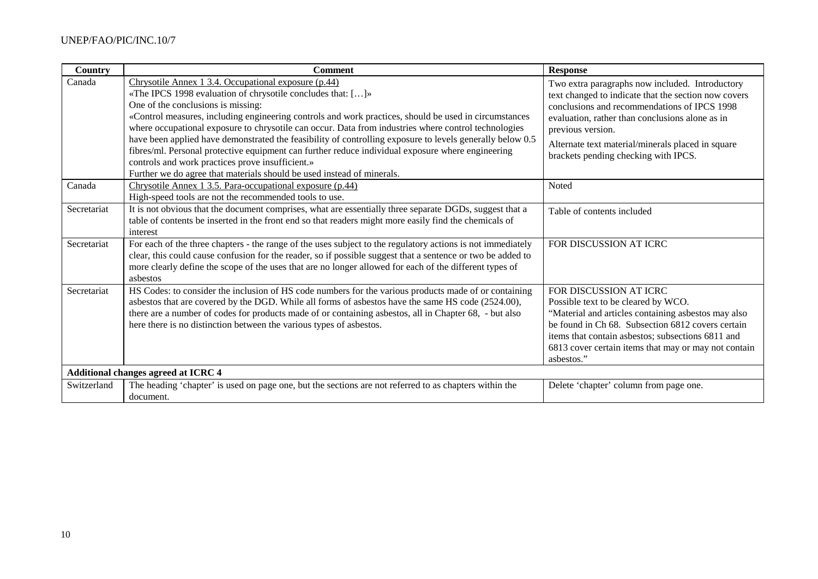| Country                                    | <b>Comment</b>                                                                                                                                                                                                                                                                                                                                                                                                                                                                                                                                                                                                                                                                                                             | <b>Response</b>                                                                                                                                                                                                                                                                                                              |
|--------------------------------------------|----------------------------------------------------------------------------------------------------------------------------------------------------------------------------------------------------------------------------------------------------------------------------------------------------------------------------------------------------------------------------------------------------------------------------------------------------------------------------------------------------------------------------------------------------------------------------------------------------------------------------------------------------------------------------------------------------------------------------|------------------------------------------------------------------------------------------------------------------------------------------------------------------------------------------------------------------------------------------------------------------------------------------------------------------------------|
| Canada                                     | Chrysotile Annex 1 3.4. Occupational exposure (p.44)<br>«The IPCS 1998 evaluation of chrysotile concludes that: []»<br>One of the conclusions is missing:<br>«Control measures, including engineering controls and work practices, should be used in circumstances<br>where occupational exposure to chrysotile can occur. Data from industries where control technologies<br>have been applied have demonstrated the feasibility of controlling exposure to levels generally below 0.5<br>fibres/ml. Personal protective equipment can further reduce individual exposure where engineering<br>controls and work practices prove insufficient.»<br>Further we do agree that materials should be used instead of minerals. | Two extra paragraphs now included. Introductory<br>text changed to indicate that the section now covers<br>conclusions and recommendations of IPCS 1998<br>evaluation, rather than conclusions alone as in<br>previous version.<br>Alternate text material/minerals placed in square<br>brackets pending checking with IPCS. |
| Canada                                     | Chrysotile Annex 1 3.5. Para-occupational exposure (p.44)<br>High-speed tools are not the recommended tools to use.                                                                                                                                                                                                                                                                                                                                                                                                                                                                                                                                                                                                        | Noted                                                                                                                                                                                                                                                                                                                        |
| Secretariat                                | It is not obvious that the document comprises, what are essentially three separate DGDs, suggest that a<br>table of contents be inserted in the front end so that readers might more easily find the chemicals of<br>interest                                                                                                                                                                                                                                                                                                                                                                                                                                                                                              | Table of contents included                                                                                                                                                                                                                                                                                                   |
| Secretariat                                | For each of the three chapters - the range of the uses subject to the regulatory actions is not immediately<br>clear, this could cause confusion for the reader, so if possible suggest that a sentence or two be added to<br>more clearly define the scope of the uses that are no longer allowed for each of the different types of<br>asbestos                                                                                                                                                                                                                                                                                                                                                                          | FOR DISCUSSION AT ICRC                                                                                                                                                                                                                                                                                                       |
| Secretariat                                | HS Codes: to consider the inclusion of HS code numbers for the various products made of or containing<br>asbestos that are covered by the DGD. While all forms of asbestos have the same HS code (2524.00),<br>there are a number of codes for products made of or containing asbestos, all in Chapter 68, - but also<br>here there is no distinction between the various types of asbestos.                                                                                                                                                                                                                                                                                                                               | FOR DISCUSSION AT ICRC<br>Possible text to be cleared by WCO.<br>"Material and articles containing asbestos may also<br>be found in Ch 68. Subsection 6812 covers certain<br>items that contain asbestos; subsections 6811 and<br>6813 cover certain items that may or may not contain<br>asbestos."                         |
| <b>Additional changes agreed at ICRC 4</b> |                                                                                                                                                                                                                                                                                                                                                                                                                                                                                                                                                                                                                                                                                                                            |                                                                                                                                                                                                                                                                                                                              |
| Switzerland                                | The heading 'chapter' is used on page one, but the sections are not referred to as chapters within the<br>document.                                                                                                                                                                                                                                                                                                                                                                                                                                                                                                                                                                                                        | Delete 'chapter' column from page one.                                                                                                                                                                                                                                                                                       |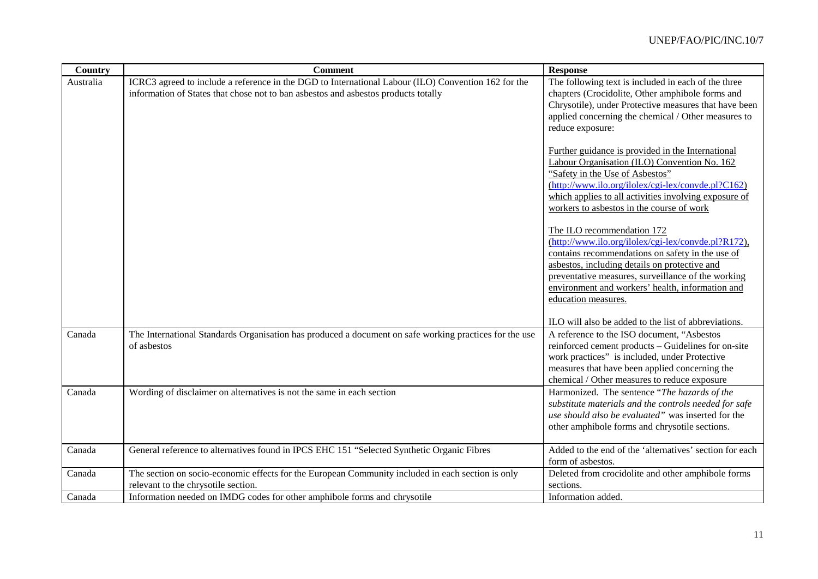| Country   | <b>Comment</b>                                                                                                                                                                            | <b>Response</b>                                                                                                                                                                                                                                                                                                         |
|-----------|-------------------------------------------------------------------------------------------------------------------------------------------------------------------------------------------|-------------------------------------------------------------------------------------------------------------------------------------------------------------------------------------------------------------------------------------------------------------------------------------------------------------------------|
| Australia | ICRC3 agreed to include a reference in the DGD to International Labour (ILO) Convention 162 for the<br>information of States that chose not to ban asbestos and asbestos products totally | The following text is included in each of the three<br>chapters (Crocidolite, Other amphibole forms and<br>Chrysotile), under Protective measures that have been<br>applied concerning the chemical / Other measures to<br>reduce exposure:                                                                             |
|           |                                                                                                                                                                                           | Further guidance is provided in the International<br>Labour Organisation (ILO) Convention No. 162<br>"Safety in the Use of Asbestos"<br>(http://www.ilo.org/ilolex/cgi-lex/convde.pl?C162)<br>which applies to all activities involving exposure of<br>workers to asbestos in the course of work                        |
|           |                                                                                                                                                                                           | The ILO recommendation 172<br>(http://www.ilo.org/ilolex/cgi-lex/convde.pl?R172),<br>contains recommendations on safety in the use of<br>asbestos, including details on protective and<br>preventative measures, surveillance of the working<br>environment and workers' health, information and<br>education measures. |
|           |                                                                                                                                                                                           | ILO will also be added to the list of abbreviations.                                                                                                                                                                                                                                                                    |
| Canada    | The International Standards Organisation has produced a document on safe working practices for the use<br>of asbestos                                                                     | A reference to the ISO document, "Asbestos<br>reinforced cement products - Guidelines for on-site<br>work practices" is included, under Protective<br>measures that have been applied concerning the<br>chemical / Other measures to reduce exposure                                                                    |
| Canada    | Wording of disclaimer on alternatives is not the same in each section                                                                                                                     | Harmonized. The sentence "The hazards of the<br>substitute materials and the controls needed for safe<br>use should also be evaluated" was inserted for the<br>other amphibole forms and chrysotile sections.                                                                                                           |
| Canada    | General reference to alternatives found in IPCS EHC 151 "Selected Synthetic Organic Fibres                                                                                                | Added to the end of the 'alternatives' section for each<br>form of asbestos.                                                                                                                                                                                                                                            |
| Canada    | The section on socio-economic effects for the European Community included in each section is only<br>relevant to the chrysotile section.                                                  | Deleted from crocidolite and other amphibole forms<br>sections.                                                                                                                                                                                                                                                         |
| Canada    | Information needed on IMDG codes for other amphibole forms and chrysotile                                                                                                                 | Information added.                                                                                                                                                                                                                                                                                                      |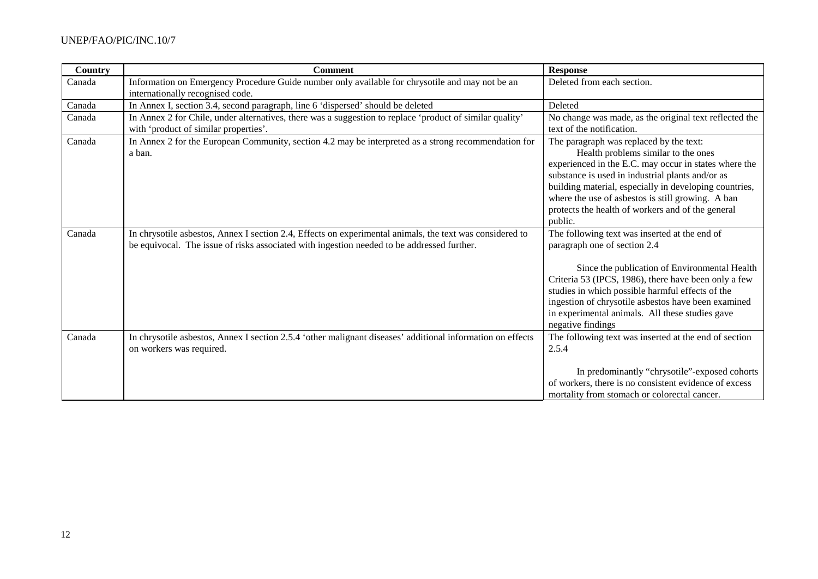| <b>Country</b> | <b>Comment</b>                                                                                                                                                                                         | <b>Response</b>                                                                                                                                                                                                                                                                                                                                                            |
|----------------|--------------------------------------------------------------------------------------------------------------------------------------------------------------------------------------------------------|----------------------------------------------------------------------------------------------------------------------------------------------------------------------------------------------------------------------------------------------------------------------------------------------------------------------------------------------------------------------------|
| Canada         | Information on Emergency Procedure Guide number only available for chrysotile and may not be an<br>internationally recognised code.                                                                    | Deleted from each section.                                                                                                                                                                                                                                                                                                                                                 |
| Canada         | In Annex I, section 3.4, second paragraph, line 6 'dispersed' should be deleted                                                                                                                        | Deleted                                                                                                                                                                                                                                                                                                                                                                    |
| Canada         | In Annex 2 for Chile, under alternatives, there was a suggestion to replace 'product of similar quality'<br>with 'product of similar properties'.                                                      | No change was made, as the original text reflected the<br>text of the notification.                                                                                                                                                                                                                                                                                        |
| Canada         | In Annex 2 for the European Community, section 4.2 may be interpreted as a strong recommendation for<br>a ban.                                                                                         | The paragraph was replaced by the text:<br>Health problems similar to the ones<br>experienced in the E.C. may occur in states where the<br>substance is used in industrial plants and/or as<br>building material, especially in developing countries,<br>where the use of asbestos is still growing. A ban<br>protects the health of workers and of the general<br>public. |
| Canada         | In chrysotile asbestos, Annex I section 2.4, Effects on experimental animals, the text was considered to<br>be equivocal. The issue of risks associated with ingestion needed to be addressed further. | The following text was inserted at the end of<br>paragraph one of section 2.4<br>Since the publication of Environmental Health<br>Criteria 53 (IPCS, 1986), there have been only a few<br>studies in which possible harmful effects of the<br>ingestion of chrysotile asbestos have been examined<br>in experimental animals. All these studies gave<br>negative findings  |
| Canada         | In chrysotile asbestos, Annex I section 2.5.4 'other malignant diseases' additional information on effects<br>on workers was required.                                                                 | The following text was inserted at the end of section<br>2.5.4<br>In predominantly "chrysotile"-exposed cohorts<br>of workers, there is no consistent evidence of excess<br>mortality from stomach or colorectal cancer.                                                                                                                                                   |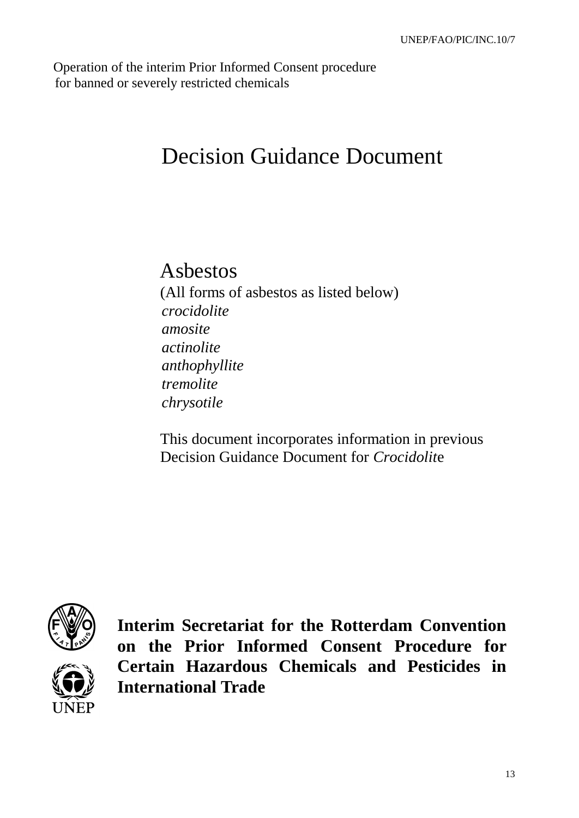Operation of the interim Prior Informed Consent procedure for banned or severely restricted chemicals

# Decision Guidance Document

# Asbestos

(All forms of asbestos as listed below) *crocidolite amosite actinolite anthophyllite tremolite chrysotile*

This document incorporates information in previous Decision Guidance Document for *Crocidolit*e



**Interim Secretariat for the Rotterdam Convention on the Prior Informed Consent Procedure for Certain Hazardous Chemicals and Pesticides in International Trade**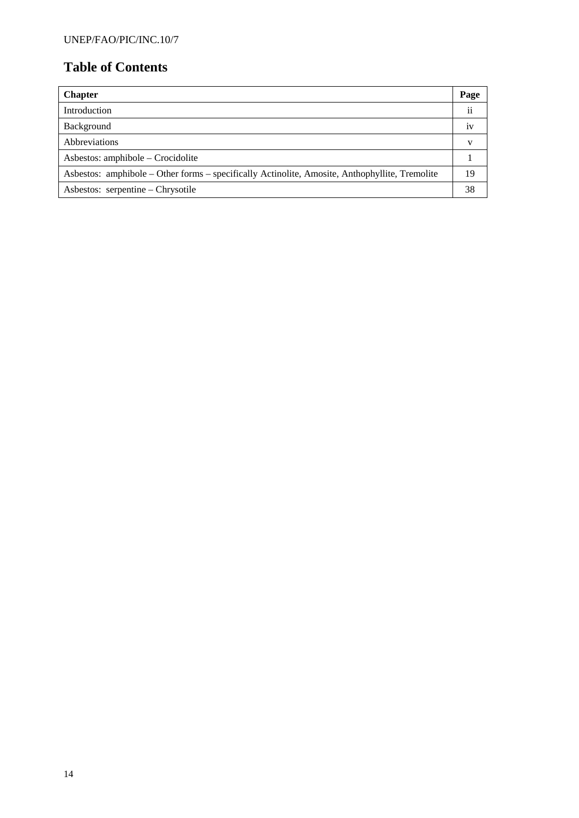# **Table of Contents**

| <b>Chapter</b>                                                                                 | Page |
|------------------------------------------------------------------------------------------------|------|
| Introduction                                                                                   | ii   |
| Background                                                                                     | 1V   |
| Abbreviations                                                                                  |      |
| Asbestos: amphibole – Crocidolite                                                              |      |
| Asbestos: amphibole – Other forms – specifically Actinolite, Amosite, Anthophyllite, Tremolite | 19   |
| Asbestos: serpentine – Chrysotile                                                              | 38   |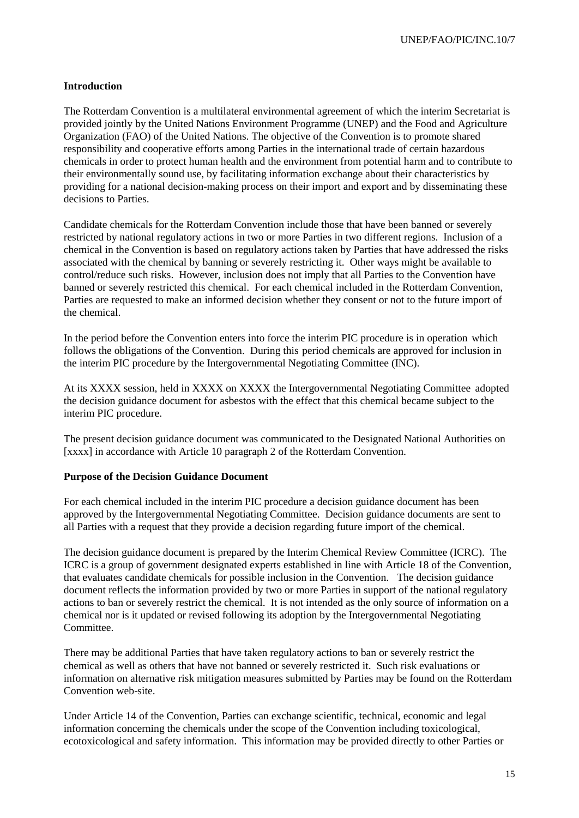# **Introduction**

The Rotterdam Convention is a multilateral environmental agreement of which the interim Secretariat is provided jointly by the United Nations Environment Programme (UNEP) and the Food and Agriculture Organization (FAO) of the United Nations. The objective of the Convention is to promote shared responsibility and cooperative efforts among Parties in the international trade of certain hazardous chemicals in order to protect human health and the environment from potential harm and to contribute to their environmentally sound use, by facilitating information exchange about their characteristics by providing for a national decision-making process on their import and export and by disseminating these decisions to Parties.

Candidate chemicals for the Rotterdam Convention include those that have been banned or severely restricted by national regulatory actions in two or more Parties in two different regions. Inclusion of a chemical in the Convention is based on regulatory actions taken by Parties that have addressed the risks associated with the chemical by banning or severely restricting it. Other ways might be available to control/reduce such risks. However, inclusion does not imply that all Parties to the Convention have banned or severely restricted this chemical. For each chemical included in the Rotterdam Convention, Parties are requested to make an informed decision whether they consent or not to the future import of the chemical.

In the period before the Convention enters into force the interim PIC procedure is in operation which follows the obligations of the Convention. During this period chemicals are approved for inclusion in the interim PIC procedure by the Intergovernmental Negotiating Committee (INC).

At its XXXX session, held in XXXX on XXXX the Intergovernmental Negotiating Committee adopted the decision guidance document for asbestos with the effect that this chemical became subject to the interim PIC procedure.

The present decision guidance document was communicated to the Designated National Authorities on [xxxx] in accordance with Article 10 paragraph 2 of the Rotterdam Convention.

#### **Purpose of the Decision Guidance Document**

For each chemical included in the interim PIC procedure a decision guidance document has been approved by the Intergovernmental Negotiating Committee. Decision guidance documents are sent to all Parties with a request that they provide a decision regarding future import of the chemical.

The decision guidance document is prepared by the Interim Chemical Review Committee (ICRC). The ICRC is a group of government designated experts established in line with Article 18 of the Convention, that evaluates candidate chemicals for possible inclusion in the Convention. The decision guidance document reflects the information provided by two or more Parties in support of the national regulatory actions to ban or severely restrict the chemical. It is not intended as the only source of information on a chemical nor is it updated or revised following its adoption by the Intergovernmental Negotiating Committee.

There may be additional Parties that have taken regulatory actions to ban or severely restrict the chemical as well as others that have not banned or severely restricted it. Such risk evaluations or information on alternative risk mitigation measures submitted by Parties may be found on the Rotterdam Convention web-site.

Under Article 14 of the Convention, Parties can exchange scientific, technical, economic and legal information concerning the chemicals under the scope of the Convention including toxicological, ecotoxicological and safety information. This information may be provided directly to other Parties or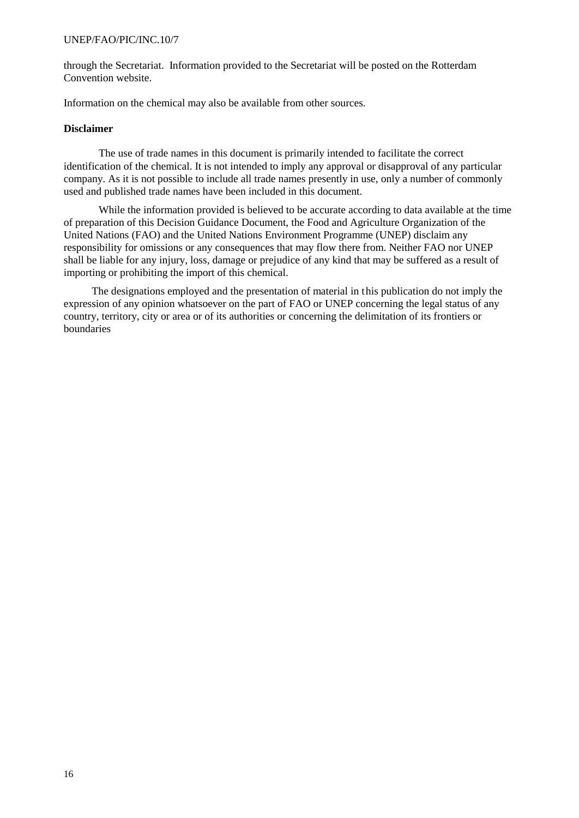through the Secretariat. Information provided to the Secretariat will be posted on the Rotterdam Convention website.

Information on the chemical may also be available from other sources.

#### **Disclaimer**

The use of trade names in this document is primarily intended to facilitate the correct identification of the chemical. It is not intended to imply any approval or disapproval of any particular company. As it is not possible to include all trade names presently in use, only a number of commonly used and published trade names have been included in this document.

While the information provided is believed to be accurate according to data available at the time of preparation of this Decision Guidance Document, the Food and Agriculture Organization of the United Nations (FAO) and the United Nations Environment Programme (UNEP) disclaim any responsibility for omissions or any consequences that may flow there from. Neither FAO nor UNEP shall be liable for any injury, loss, damage or prejudice of any kind that may be suffered as a result of importing or prohibiting the import of this chemical.

The designations employed and the presentation of material in this publication do not imply the expression of any opinion whatsoever on the part of FAO or UNEP concerning the legal status of any country, territory, city or area or of its authorities or concerning the delimitation of its frontiers or boundaries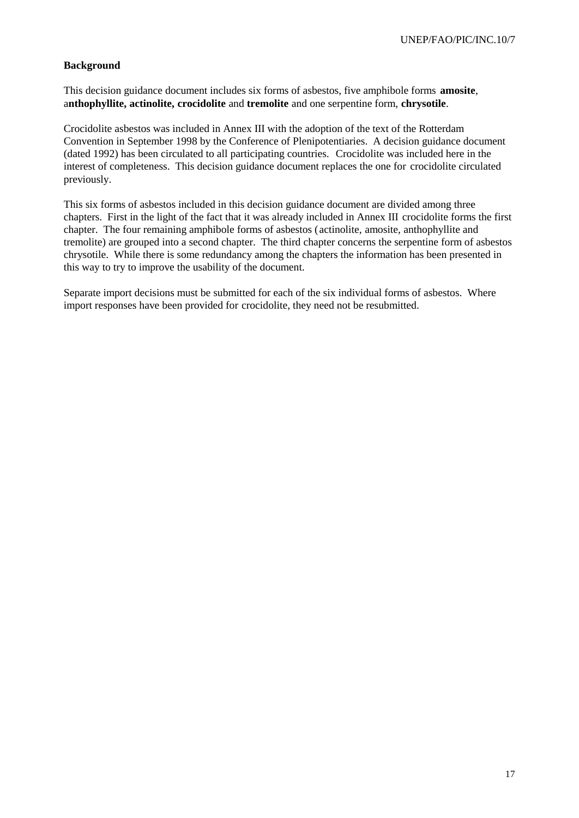### **Background**

This decision guidance document includes six forms of asbestos, five amphibole forms **amosite**, a**nthophyllite, actinolite, crocidolite** and **tremolite** and one serpentine form, **chrysotile**.

Crocidolite asbestos was included in Annex III with the adoption of the text of the Rotterdam Convention in September 1998 by the Conference of Plenipotentiaries. A decision guidance document (dated 1992) has been circulated to all participating countries. Crocidolite was included here in the interest of completeness. This decision guidance document replaces the one for crocidolite circulated previously.

This six forms of asbestos included in this decision guidance document are divided among three chapters. First in the light of the fact that it was already included in Annex III crocidolite forms the first chapter. The four remaining amphibole forms of asbestos (actinolite, amosite, anthophyllite and tremolite) are grouped into a second chapter. The third chapter concerns the serpentine form of asbestos chrysotile. While there is some redundancy among the chapters the information has been presented in this way to try to improve the usability of the document.

Separate import decisions must be submitted for each of the six individual forms of asbestos. Where import responses have been provided for crocidolite, they need not be resubmitted.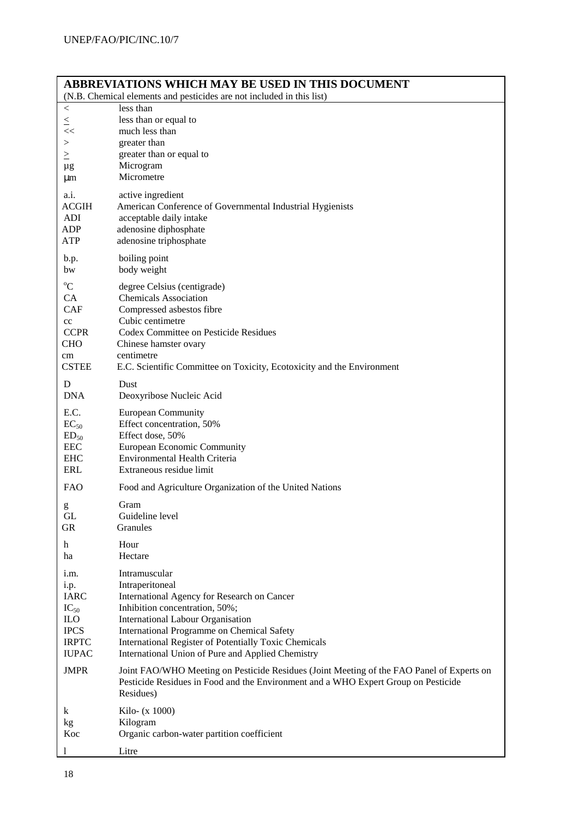| <b>ABBREVIATIONS WHICH MAY BE USED IN THIS DOCUMENT</b><br>(N.B. Chemical elements and pesticides are not included in this list) |                                                                                                                                                                                              |  |
|----------------------------------------------------------------------------------------------------------------------------------|----------------------------------------------------------------------------------------------------------------------------------------------------------------------------------------------|--|
| $\,<\,$                                                                                                                          | less than                                                                                                                                                                                    |  |
| $\leq$                                                                                                                           | less than or equal to                                                                                                                                                                        |  |
| <<                                                                                                                               | much less than                                                                                                                                                                               |  |
| >                                                                                                                                | greater than                                                                                                                                                                                 |  |
| $\geq$                                                                                                                           | greater than or equal to                                                                                                                                                                     |  |
| $\mu$ g                                                                                                                          | Microgram                                                                                                                                                                                    |  |
| μm                                                                                                                               | Micrometre                                                                                                                                                                                   |  |
| a.i.                                                                                                                             | active ingredient                                                                                                                                                                            |  |
| <b>ACGIH</b>                                                                                                                     | American Conference of Governmental Industrial Hygienists                                                                                                                                    |  |
| ADI                                                                                                                              | acceptable daily intake                                                                                                                                                                      |  |
| ADP                                                                                                                              | adenosine diphosphate                                                                                                                                                                        |  |
| <b>ATP</b>                                                                                                                       | adenosine triphosphate                                                                                                                                                                       |  |
| b.p.                                                                                                                             | boiling point                                                                                                                                                                                |  |
| bw                                                                                                                               | body weight                                                                                                                                                                                  |  |
| $\rm ^{o}C$                                                                                                                      | degree Celsius (centigrade)                                                                                                                                                                  |  |
| CA                                                                                                                               | <b>Chemicals Association</b>                                                                                                                                                                 |  |
| <b>CAF</b>                                                                                                                       | Compressed asbestos fibre                                                                                                                                                                    |  |
| cc                                                                                                                               | Cubic centimetre                                                                                                                                                                             |  |
| <b>CCPR</b>                                                                                                                      | Codex Committee on Pesticide Residues                                                                                                                                                        |  |
| <b>CHO</b>                                                                                                                       | Chinese hamster ovary                                                                                                                                                                        |  |
| cm                                                                                                                               | centimetre                                                                                                                                                                                   |  |
| <b>CSTEE</b>                                                                                                                     | E.C. Scientific Committee on Toxicity, Ecotoxicity and the Environment                                                                                                                       |  |
| D                                                                                                                                | Dust                                                                                                                                                                                         |  |
| <b>DNA</b>                                                                                                                       | Deoxyribose Nucleic Acid                                                                                                                                                                     |  |
| E.C.                                                                                                                             | <b>European Community</b>                                                                                                                                                                    |  |
| $EC_{50}$                                                                                                                        | Effect concentration, 50%                                                                                                                                                                    |  |
| $ED_{50}$                                                                                                                        | Effect dose, 50%                                                                                                                                                                             |  |
| <b>EEC</b>                                                                                                                       | European Economic Community                                                                                                                                                                  |  |
| <b>EHC</b>                                                                                                                       | Environmental Health Criteria                                                                                                                                                                |  |
| ERL                                                                                                                              | Extraneous residue limit                                                                                                                                                                     |  |
| <b>FAO</b>                                                                                                                       | Food and Agriculture Organization of the United Nations                                                                                                                                      |  |
| g                                                                                                                                | Gram                                                                                                                                                                                         |  |
| GL                                                                                                                               | Guideline level                                                                                                                                                                              |  |
| <b>GR</b>                                                                                                                        | Granules                                                                                                                                                                                     |  |
| h                                                                                                                                | Hour                                                                                                                                                                                         |  |
| ha                                                                                                                               | Hectare                                                                                                                                                                                      |  |
| i.m.                                                                                                                             | Intramuscular                                                                                                                                                                                |  |
| <i>i.p.</i>                                                                                                                      | Intraperitoneal                                                                                                                                                                              |  |
| <b>IARC</b>                                                                                                                      | International Agency for Research on Cancer                                                                                                                                                  |  |
| $IC_{50}$                                                                                                                        | Inhibition concentration, 50%;                                                                                                                                                               |  |
| <b>ILO</b>                                                                                                                       | International Labour Organisation                                                                                                                                                            |  |
| <b>IPCS</b>                                                                                                                      | International Programme on Chemical Safety                                                                                                                                                   |  |
| <b>IRPTC</b>                                                                                                                     | International Register of Potentially Toxic Chemicals                                                                                                                                        |  |
| <b>IUPAC</b>                                                                                                                     | International Union of Pure and Applied Chemistry                                                                                                                                            |  |
| <b>JMPR</b>                                                                                                                      | Joint FAO/WHO Meeting on Pesticide Residues (Joint Meeting of the FAO Panel of Experts on<br>Pesticide Residues in Food and the Environment and a WHO Expert Group on Pesticide<br>Residues) |  |
| k                                                                                                                                | Kilo- (x 1000)                                                                                                                                                                               |  |
| kg                                                                                                                               | Kilogram                                                                                                                                                                                     |  |
| Koc                                                                                                                              | Organic carbon-water partition coefficient                                                                                                                                                   |  |
| 1                                                                                                                                | Litre                                                                                                                                                                                        |  |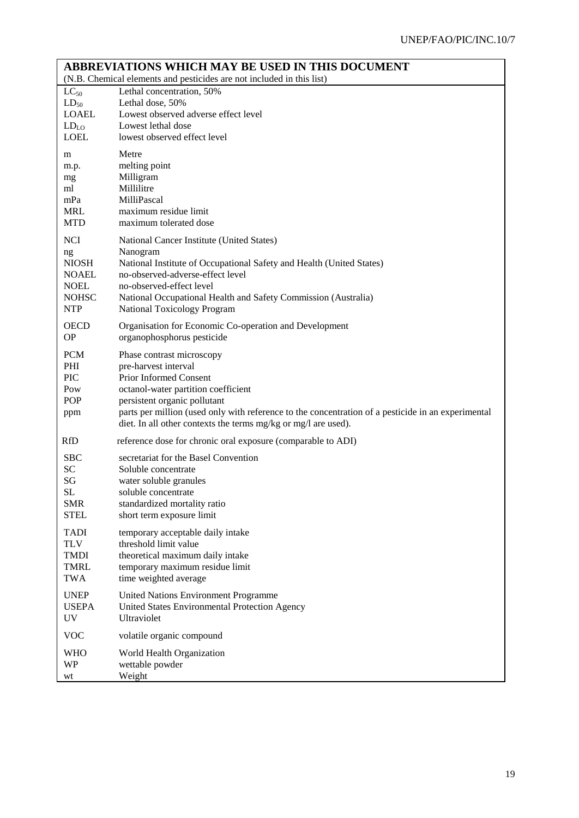| <b>ABBREVIATIONS WHICH MAY BE USED IN THIS DOCUMENT</b>               |                                                                                                                                                                                                                                                                                                                            |  |
|-----------------------------------------------------------------------|----------------------------------------------------------------------------------------------------------------------------------------------------------------------------------------------------------------------------------------------------------------------------------------------------------------------------|--|
| (N.B. Chemical elements and pesticides are not included in this list) |                                                                                                                                                                                                                                                                                                                            |  |
| $LC_{50}$                                                             | Lethal concentration, 50%                                                                                                                                                                                                                                                                                                  |  |
| $LD_{50}$                                                             | Lethal dose, 50%                                                                                                                                                                                                                                                                                                           |  |
| <b>LOAEL</b>                                                          | Lowest observed adverse effect level                                                                                                                                                                                                                                                                                       |  |
| LD <sub>LO</sub>                                                      | Lowest lethal dose                                                                                                                                                                                                                                                                                                         |  |
| <b>LOEL</b>                                                           | lowest observed effect level                                                                                                                                                                                                                                                                                               |  |
| m                                                                     | Metre                                                                                                                                                                                                                                                                                                                      |  |
| m.p.                                                                  | melting point                                                                                                                                                                                                                                                                                                              |  |
| mg                                                                    | Milligram                                                                                                                                                                                                                                                                                                                  |  |
| ml                                                                    | Millilitre                                                                                                                                                                                                                                                                                                                 |  |
| mPa                                                                   | MilliPascal                                                                                                                                                                                                                                                                                                                |  |
| <b>MRL</b>                                                            | maximum residue limit                                                                                                                                                                                                                                                                                                      |  |
| <b>MTD</b>                                                            | maximum tolerated dose                                                                                                                                                                                                                                                                                                     |  |
| <b>NCI</b>                                                            | National Cancer Institute (United States)                                                                                                                                                                                                                                                                                  |  |
| ng                                                                    | Nanogram                                                                                                                                                                                                                                                                                                                   |  |
| <b>NIOSH</b>                                                          | National Institute of Occupational Safety and Health (United States)                                                                                                                                                                                                                                                       |  |
| <b>NOAEL</b>                                                          | no-observed-adverse-effect level                                                                                                                                                                                                                                                                                           |  |
| <b>NOEL</b>                                                           | no-observed-effect level                                                                                                                                                                                                                                                                                                   |  |
| <b>NOHSC</b>                                                          | National Occupational Health and Safety Commission (Australia)                                                                                                                                                                                                                                                             |  |
| <b>NTP</b>                                                            | National Toxicology Program                                                                                                                                                                                                                                                                                                |  |
| <b>OECD</b>                                                           | Organisation for Economic Co-operation and Development                                                                                                                                                                                                                                                                     |  |
| <b>OP</b>                                                             | organophosphorus pesticide                                                                                                                                                                                                                                                                                                 |  |
| <b>PCM</b><br>PHI<br><b>PIC</b><br>Pow<br>POP<br>ppm                  | Phase contrast microscopy<br>pre-harvest interval<br>Prior Informed Consent<br>octanol-water partition coefficient<br>persistent organic pollutant<br>parts per million (used only with reference to the concentration of a pesticide in an experimental<br>diet. In all other contexts the terms mg/kg or mg/l are used). |  |
| <b>RfD</b>                                                            | reference dose for chronic oral exposure (comparable to ADI)                                                                                                                                                                                                                                                               |  |
| <b>SBC</b>                                                            | secretariat for the Basel Convention                                                                                                                                                                                                                                                                                       |  |
| SC                                                                    | Soluble concentrate                                                                                                                                                                                                                                                                                                        |  |
| SG                                                                    | water soluble granules                                                                                                                                                                                                                                                                                                     |  |
| <b>SL</b>                                                             | soluble concentrate                                                                                                                                                                                                                                                                                                        |  |
| <b>SMR</b>                                                            | standardized mortality ratio                                                                                                                                                                                                                                                                                               |  |
| <b>STEL</b>                                                           | short term exposure limit                                                                                                                                                                                                                                                                                                  |  |
| <b>TADI</b>                                                           | temporary acceptable daily intake                                                                                                                                                                                                                                                                                          |  |
| <b>TLV</b>                                                            | threshold limit value                                                                                                                                                                                                                                                                                                      |  |
| <b>TMDI</b>                                                           | theoretical maximum daily intake                                                                                                                                                                                                                                                                                           |  |
| <b>TMRL</b>                                                           | temporary maximum residue limit                                                                                                                                                                                                                                                                                            |  |
| <b>TWA</b>                                                            | time weighted average                                                                                                                                                                                                                                                                                                      |  |
| <b>UNEP</b>                                                           | United Nations Environment Programme                                                                                                                                                                                                                                                                                       |  |
| <b>USEPA</b>                                                          | United States Environmental Protection Agency                                                                                                                                                                                                                                                                              |  |
| <b>UV</b>                                                             | Ultraviolet                                                                                                                                                                                                                                                                                                                |  |
| <b>VOC</b>                                                            | volatile organic compound                                                                                                                                                                                                                                                                                                  |  |
| <b>WHO</b>                                                            | World Health Organization                                                                                                                                                                                                                                                                                                  |  |
| <b>WP</b>                                                             | wettable powder                                                                                                                                                                                                                                                                                                            |  |
| wt                                                                    | Weight                                                                                                                                                                                                                                                                                                                     |  |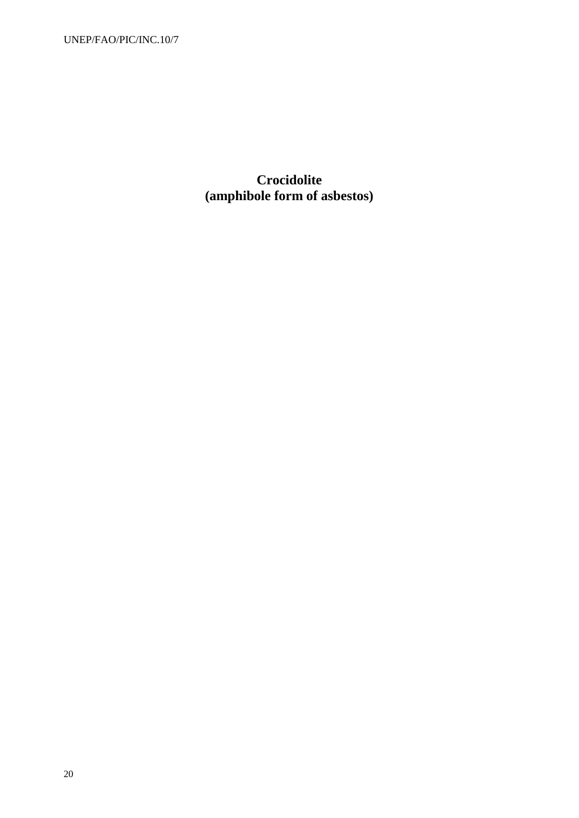**Crocidolite (amphibole form of asbestos)**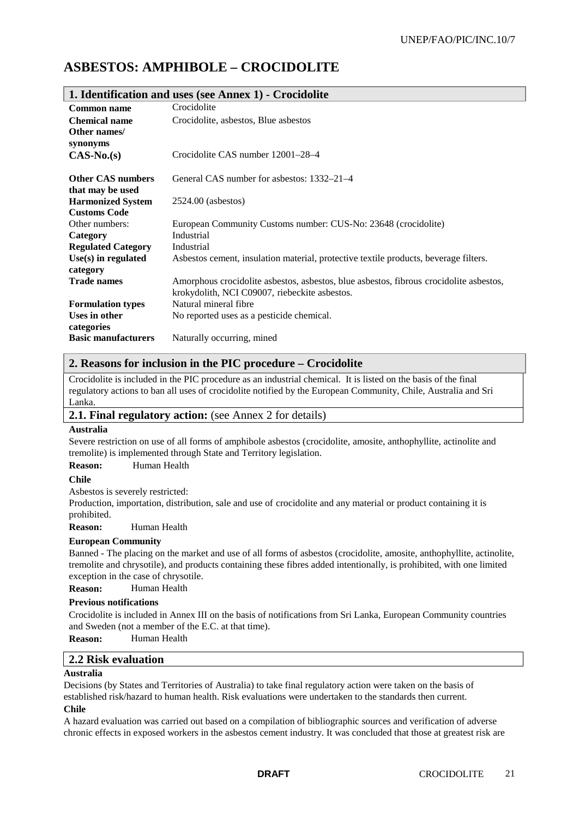# **ASBESTOS: AMPHIBOLE – CROCIDOLITE**

| 1. Identification and uses (see Annex 1) - Crocidolite |                                                                                        |  |
|--------------------------------------------------------|----------------------------------------------------------------------------------------|--|
| Common name                                            | Crocidolite                                                                            |  |
| <b>Chemical name</b>                                   | Crocidolite, asbestos, Blue asbestos                                                   |  |
| Other names/                                           |                                                                                        |  |
| synonyms                                               |                                                                                        |  |
| $CAS-No.(s)$                                           | Crocidolite CAS number 12001–28–4                                                      |  |
|                                                        |                                                                                        |  |
| <b>Other CAS numbers</b>                               | General CAS number for asbestos: 1332–21–4                                             |  |
| that may be used                                       |                                                                                        |  |
| <b>Harmonized System</b>                               | $2524.00$ (asbestos)                                                                   |  |
| <b>Customs Code</b>                                    |                                                                                        |  |
| Other numbers:                                         | European Community Customs number: CUS-No: 23648 (crocidolite)                         |  |
| Category                                               | Industrial                                                                             |  |
| <b>Regulated Category</b>                              | Industrial                                                                             |  |
| $Use(s)$ in regulated                                  | Asbestos cement, insulation material, protective textile products, beverage filters.   |  |
| category                                               |                                                                                        |  |
| <b>Trade names</b>                                     | Amorphous crocidolite asbestos, asbestos, blue asbestos, fibrous crocidolite asbestos, |  |
|                                                        | krokydolith, NCI C09007, riebeckite asbestos.                                          |  |
| <b>Formulation types</b>                               | Natural mineral fibre                                                                  |  |
| Uses in other                                          | No reported uses as a pesticide chemical.                                              |  |
| categories                                             |                                                                                        |  |
| <b>Basic manufacturers</b>                             | Naturally occurring, mined                                                             |  |

### **2. Reasons for inclusion in the PIC procedure – Crocidolite**

Crocidolite is included in the PIC procedure as an industrial chemical. It is listed on the basis of the final regulatory actions to ban all uses of crocidolite notified by the European Community, Chile, Australia and Sri Lanka.

#### **2.1. Final regulatory action:** (see Annex 2 for details)

#### **Australia**

Severe restriction on use of all forms of amphibole asbestos (crocidolite, amosite, anthophyllite, actinolite and tremolite) is implemented through State and Territory legislation.

#### **Reason:** Human Health

#### **Chile**

Asbestos is severely restricted:

Production, importation, distribution, sale and use of crocidolite and any material or product containing it is prohibited.

**Reason:** Human Health

#### **European Community**

Banned - The placing on the market and use of all forms of asbestos (crocidolite, amosite, anthophyllite, actinolite, tremolite and chrysotile), and products containing these fibres added intentionally, is prohibited, with one limited exception in the case of chrysotile.

**Reason:** Human Health

#### **Previous notifications**

Crocidolite is included in Annex III on the basis of notifications from Sri Lanka, European Community countries and Sweden (not a member of the E.C. at that time).

**Reason:** Human Health

# **2.2 Risk evaluation**

#### **Australia**

Decisions (by States and Territories of Australia) to take final regulatory action were taken on the basis of established risk/hazard to human health. Risk evaluations were undertaken to the standards then current. **Chile**

A hazard evaluation was carried out based on a compilation of bibliographic sources and verification of adverse chronic effects in exposed workers in the asbestos cement industry. It was concluded that those at greatest risk are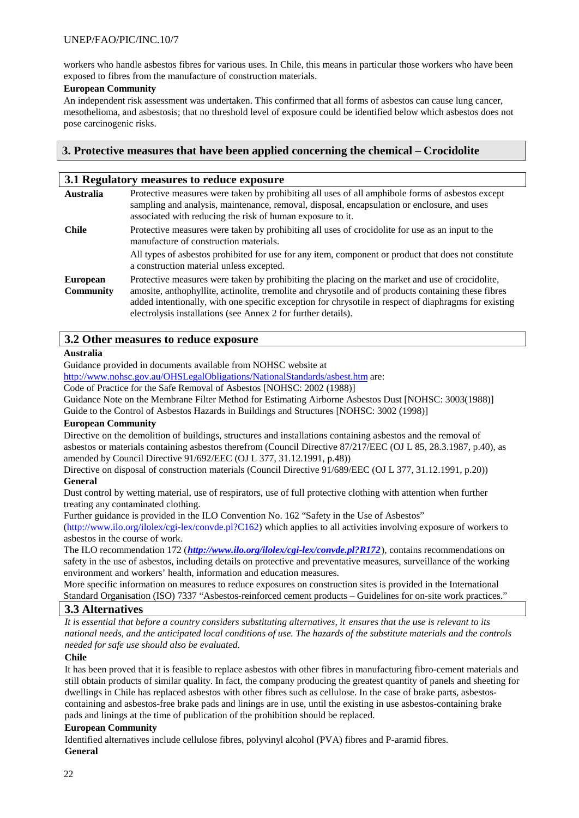workers who handle asbestos fibres for various uses. In Chile, this means in particular those workers who have been exposed to fibres from the manufacture of construction materials.

#### **European Community**

An independent risk assessment was undertaken. This confirmed that all forms of asbestos can cause lung cancer, mesothelioma, and asbestosis; that no threshold level of exposure could be identified below which asbestos does not pose carcinogenic risks.

### **3. Protective measures that have been applied concerning the chemical – Crocidolite**

| 3.1 Regulatory measures to reduce exposure |                                                                                                                                                                                                                                                                                                                                                                                   |  |
|--------------------------------------------|-----------------------------------------------------------------------------------------------------------------------------------------------------------------------------------------------------------------------------------------------------------------------------------------------------------------------------------------------------------------------------------|--|
| <b>Australia</b>                           | Protective measures were taken by prohibiting all uses of all amphibole forms of asbestos except<br>sampling and analysis, maintenance, removal, disposal, encapsulation or enclosure, and uses<br>associated with reducing the risk of human exposure to it.                                                                                                                     |  |
| <b>Chile</b>                               | Protective measures were taken by prohibiting all uses of crocidolite for use as an input to the<br>manufacture of construction materials.                                                                                                                                                                                                                                        |  |
|                                            | All types of asbestos prohibited for use for any item, component or product that does not constitute<br>a construction material unless excepted.                                                                                                                                                                                                                                  |  |
| <b>European</b><br><b>Community</b>        | Protective measures were taken by prohibiting the placing on the market and use of crocidolite,<br>amosite, anthophyllite, actinolite, tremolite and chrysotile and of products containing these fibres<br>added intentionally, with one specific exception for chrysotile in respect of diaphragms for existing<br>electrolysis installations (see Annex 2 for further details). |  |

### **3.2 Other measures to reduce exposure**

### **Australia**

Guidance provided in documents available from NOHSC website at

http://www.nohsc.gov.au/OHSLegalObligations/NationalStandards/asbest.htm are:

Code of Practice for the Safe Removal of Asbestos [NOHSC: 2002 (1988)]

Guidance Note on the Membrane Filter Method for Estimating Airborne Asbestos Dust [NOHSC: 3003(1988)]

Guide to the Control of Asbestos Hazards in Buildings and Structures [NOHSC: 3002 (1998)]

#### **European Community**

Directive on the demolition of buildings, structures and installations containing asbestos and the removal of asbestos or materials containing asbestos therefrom (Council Directive 87/217/EEC (OJ L 85, 28.3.1987, p.40), as amended by Council Directive 91/692/EEC (OJ L 377, 31.12.1991, p.48))

Directive on disposal of construction materials (Council Directive 91/689/EEC (OJ L 377, 31.12.1991, p.20)) **General**

Dust control by wetting material, use of respirators, use of full protective clothing with attention when further treating any contaminated clothing.

Further guidance is provided in the ILO Convention No. 162 "Safety in the Use of Asbestos"

(http://www.ilo.org/ilolex/cgi-lex/convde.pl?C162) which applies to all activities involving exposure of workers to asbestos in the course of work.

The ILO recommendation 172 (*http://www.ilo.org/ilolex/cgi-lex/convde.pl?R172*), contains recommendations on safety in the use of asbestos, including details on protective and preventative measures, surveillance of the working environment and workers' health, information and education measures.

More specific information on measures to reduce exposures on construction sites is provided in the International Standard Organisation (ISO) 7337 "Asbestos-reinforced cement products – Guidelines for on-site work practices."

#### **3.3 Alternatives**

*It is essential that before a country considers substituting alternatives, it ensures that the use is relevant to its national needs, and the anticipated local conditions of use. The hazards of the substitute materials and the controls needed for safe use should also be evaluated.*

#### **Chile**

It has been proved that it is feasible to replace asbestos with other fibres in manufacturing fibro-cement materials and still obtain products of similar quality. In fact, the company producing the greatest quantity of panels and sheeting for dwellings in Chile has replaced asbestos with other fibres such as cellulose. In the case of brake parts, asbestoscontaining and asbestos-free brake pads and linings are in use, until the existing in use asbestos-containing brake pads and linings at the time of publication of the prohibition should be replaced.

#### **European Community**

Identified alternatives include cellulose fibres, polyvinyl alcohol (PVA) fibres and P-aramid fibres. **General**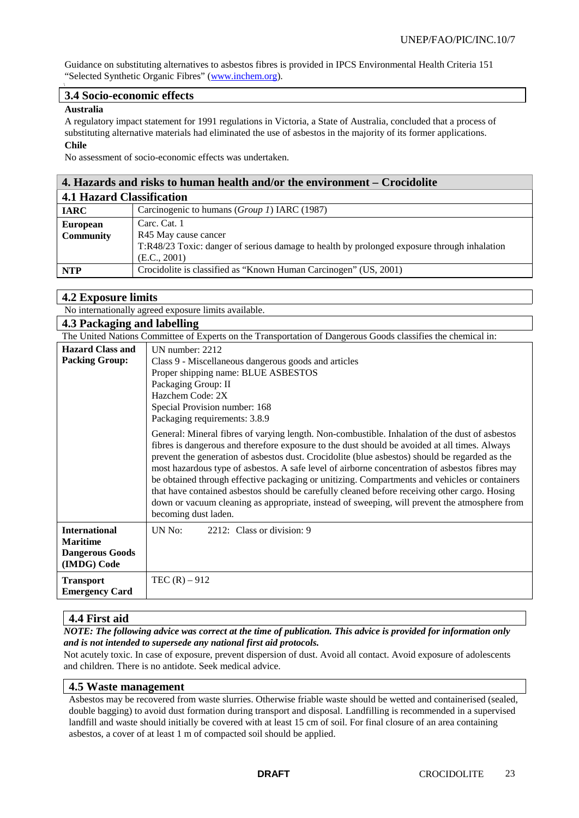Guidance on substituting alternatives to asbestos fibres is provided in IPCS Environmental Health Criteria 151 "Selected Synthetic Organic Fibres" (www.inchem.org).

#### **3.4 Socio-economic effects**

#### **Australia**

A regulatory impact statement for 1991 regulations in Victoria, a State of Australia, concluded that a process of substituting alternative materials had eliminated the use of asbestos in the majority of its former applications. **Chile**

No assessment of socio-economic effects was undertaken.

| 4. Hazards and risks to human health and/or the environment – Crocidolite                                                                                                                  |                                                                  |  |
|--------------------------------------------------------------------------------------------------------------------------------------------------------------------------------------------|------------------------------------------------------------------|--|
| <b>4.1 Hazard Classification</b>                                                                                                                                                           |                                                                  |  |
| <b>IARC</b>                                                                                                                                                                                | Carcinogenic to humans (Group 1) IARC (1987)                     |  |
| Carc. Cat. 1<br><b>European</b><br><b>Community</b><br>R45 May cause cancer<br>T:R48/23 Toxic: danger of serious damage to health by prolonged exposure through inhalation<br>(E.C., 2001) |                                                                  |  |
| <b>NTP</b>                                                                                                                                                                                 | Crocidolite is classified as "Known Human Carcinogen" (US, 2001) |  |

### **4.2 Exposure limits**

No internationally agreed exposure limits available.

| 4.3 Packaging and labelling                                                                                  |                                                                                                                                                                                                                                                                                                                                                                                                                                                                                                                                                                                                                                                                                                                                |  |
|--------------------------------------------------------------------------------------------------------------|--------------------------------------------------------------------------------------------------------------------------------------------------------------------------------------------------------------------------------------------------------------------------------------------------------------------------------------------------------------------------------------------------------------------------------------------------------------------------------------------------------------------------------------------------------------------------------------------------------------------------------------------------------------------------------------------------------------------------------|--|
| The United Nations Committee of Experts on the Transportation of Dangerous Goods classifies the chemical in: |                                                                                                                                                                                                                                                                                                                                                                                                                                                                                                                                                                                                                                                                                                                                |  |
| <b>Hazard Class and</b>                                                                                      | UN number: 2212                                                                                                                                                                                                                                                                                                                                                                                                                                                                                                                                                                                                                                                                                                                |  |
| <b>Packing Group:</b>                                                                                        | Class 9 - Miscellaneous dangerous goods and articles                                                                                                                                                                                                                                                                                                                                                                                                                                                                                                                                                                                                                                                                           |  |
|                                                                                                              | Proper shipping name: BLUE ASBESTOS                                                                                                                                                                                                                                                                                                                                                                                                                                                                                                                                                                                                                                                                                            |  |
|                                                                                                              | Packaging Group: II                                                                                                                                                                                                                                                                                                                                                                                                                                                                                                                                                                                                                                                                                                            |  |
|                                                                                                              | Hazchem Code: 2X                                                                                                                                                                                                                                                                                                                                                                                                                                                                                                                                                                                                                                                                                                               |  |
|                                                                                                              | Special Provision number: 168                                                                                                                                                                                                                                                                                                                                                                                                                                                                                                                                                                                                                                                                                                  |  |
|                                                                                                              | Packaging requirements: 3.8.9                                                                                                                                                                                                                                                                                                                                                                                                                                                                                                                                                                                                                                                                                                  |  |
|                                                                                                              | General: Mineral fibres of varying length. Non-combustible. Inhalation of the dust of asbestos<br>fibres is dangerous and therefore exposure to the dust should be avoided at all times. Always<br>prevent the generation of asbestos dust. Crocidolite (blue asbestos) should be regarded as the<br>most hazardous type of asbestos. A safe level of airborne concentration of asbestos fibres may<br>be obtained through effective packaging or unitizing. Compartments and vehicles or containers<br>that have contained asbestos should be carefully cleaned before receiving other cargo. Hosing<br>down or vacuum cleaning as appropriate, instead of sweeping, will prevent the atmosphere from<br>becoming dust laden. |  |
| <b>International</b><br><b>Maritime</b><br><b>Dangerous Goods</b><br>(IMDG) Code                             | UN No:<br>2212: Class or division: 9                                                                                                                                                                                                                                                                                                                                                                                                                                                                                                                                                                                                                                                                                           |  |
| <b>Transport</b><br><b>Emergency Card</b>                                                                    | TEC $(R) - 912$                                                                                                                                                                                                                                                                                                                                                                                                                                                                                                                                                                                                                                                                                                                |  |

# **4.4 First aid**

*NOTE: The following advice was correct at the time of publication. This advice is provided for information only and is not intended to supersede any national first aid protocols.*

Not acutely toxic. In case of exposure, prevent dispersion of dust. Avoid all contact. Avoid exposure of adolescents and children. There is no antidote. Seek medical advice.

#### **4.5 Waste management**

Asbestos may be recovered from waste slurries. Otherwise friable waste should be wetted and containerised (sealed, double bagging) to avoid dust formation during transport and disposal. Landfilling is recommended in a supervised landfill and waste should initially be covered with at least 15 cm of soil. For final closure of an area containing asbestos, a cover of at least 1 m of compacted soil should be applied.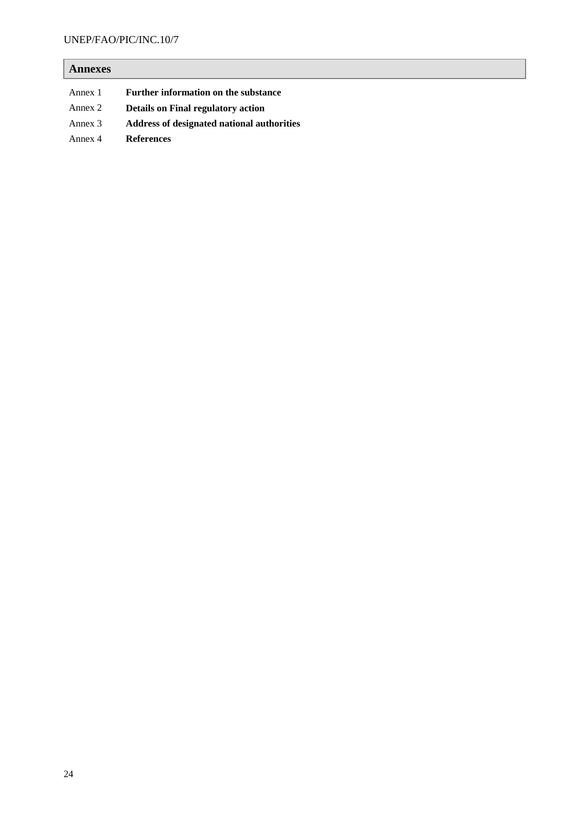# **Annexes**

| Annex 1 | Further information on the substance       |
|---------|--------------------------------------------|
| Annex 2 | <b>Details on Final regulatory action</b>  |
| Annex 3 | Address of designated national authorities |
| Annex 4 | <b>References</b>                          |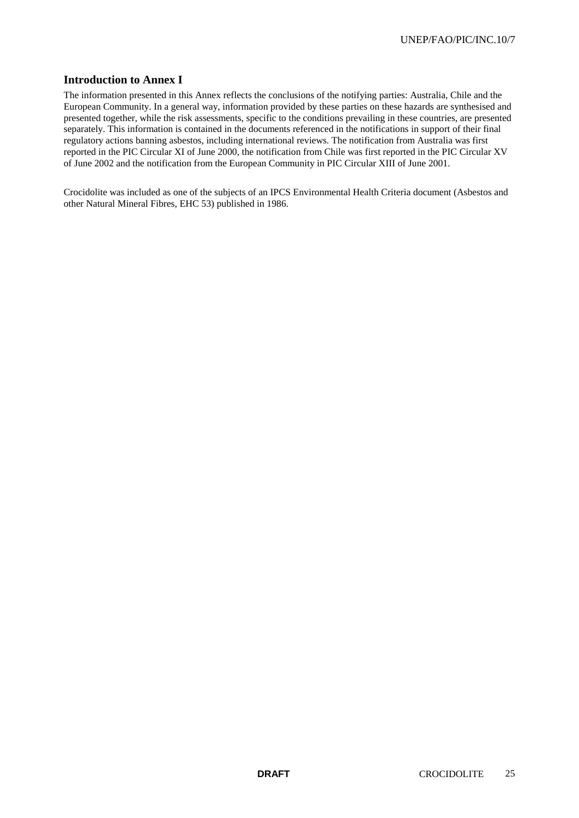# **Introduction to Annex I**

The information presented in this Annex reflects the conclusions of the notifying parties: Australia, Chile and the European Community. In a general way, information provided by these parties on these hazards are synthesised and presented together, while the risk assessments, specific to the conditions prevailing in these countries, are presented separately. This information is contained in the documents referenced in the notifications in support of their final regulatory actions banning asbestos, including international reviews. The notification from Australia was first reported in the PIC Circular XI of June 2000, the notification from Chile was first reported in the PIC Circular XV of June 2002 and the notification from the European Community in PIC Circular XIII of June 2001.

Crocidolite was included as one of the subjects of an IPCS Environmental Health Criteria document (Asbestos and other Natural Mineral Fibres, EHC 53) published in 1986.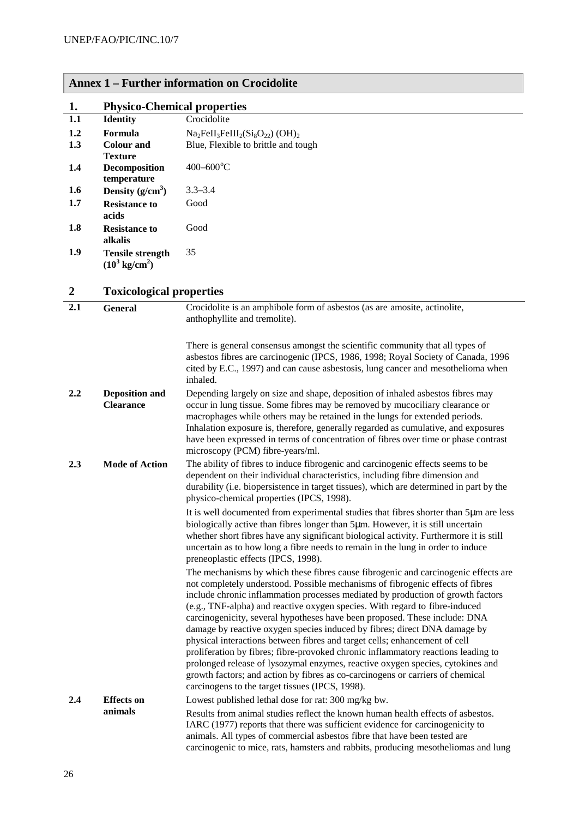| 1.               | <b>Physico-Chemical properties</b>                  |                                                                                                                                                                                                                                                                                                                                                                                                                                                                                                                                                                                                                                                                                                                                                                                                                                                                                             |
|------------------|-----------------------------------------------------|---------------------------------------------------------------------------------------------------------------------------------------------------------------------------------------------------------------------------------------------------------------------------------------------------------------------------------------------------------------------------------------------------------------------------------------------------------------------------------------------------------------------------------------------------------------------------------------------------------------------------------------------------------------------------------------------------------------------------------------------------------------------------------------------------------------------------------------------------------------------------------------------|
| 1.1              | <b>Identity</b>                                     | Crocidolite                                                                                                                                                                                                                                                                                                                                                                                                                                                                                                                                                                                                                                                                                                                                                                                                                                                                                 |
| 1.2              | Formula                                             | $Na2FeII3FeIII2(Si8O22) (OH)2$                                                                                                                                                                                                                                                                                                                                                                                                                                                                                                                                                                                                                                                                                                                                                                                                                                                              |
| 1.3              | <b>Colour and</b>                                   | Blue, Flexible to brittle and tough                                                                                                                                                                                                                                                                                                                                                                                                                                                                                                                                                                                                                                                                                                                                                                                                                                                         |
| 1.4              | <b>Texture</b><br>Decomposition                     | $400 - 600$ °C                                                                                                                                                                                                                                                                                                                                                                                                                                                                                                                                                                                                                                                                                                                                                                                                                                                                              |
| 1.6              | temperature<br>Density $(g/cm^3)$                   | $3.3 - 3.4$                                                                                                                                                                                                                                                                                                                                                                                                                                                                                                                                                                                                                                                                                                                                                                                                                                                                                 |
| 1.7              | <b>Resistance to</b>                                | Good                                                                                                                                                                                                                                                                                                                                                                                                                                                                                                                                                                                                                                                                                                                                                                                                                                                                                        |
|                  | acids                                               |                                                                                                                                                                                                                                                                                                                                                                                                                                                                                                                                                                                                                                                                                                                                                                                                                                                                                             |
| 1.8              | <b>Resistance to</b><br>alkalis                     | Good                                                                                                                                                                                                                                                                                                                                                                                                                                                                                                                                                                                                                                                                                                                                                                                                                                                                                        |
| 1.9              | <b>Tensile strength</b><br>$(10^3 \text{ kg/cm}^2)$ | 35                                                                                                                                                                                                                                                                                                                                                                                                                                                                                                                                                                                                                                                                                                                                                                                                                                                                                          |
| $\boldsymbol{2}$ | <b>Toxicological properties</b>                     |                                                                                                                                                                                                                                                                                                                                                                                                                                                                                                                                                                                                                                                                                                                                                                                                                                                                                             |
| 2.1              | <b>General</b>                                      | Crocidolite is an amphibole form of asbestos (as are amosite, actinolite,                                                                                                                                                                                                                                                                                                                                                                                                                                                                                                                                                                                                                                                                                                                                                                                                                   |
|                  |                                                     | anthophyllite and tremolite).                                                                                                                                                                                                                                                                                                                                                                                                                                                                                                                                                                                                                                                                                                                                                                                                                                                               |
|                  |                                                     | There is general consensus amongst the scientific community that all types of<br>asbestos fibres are carcinogenic (IPCS, 1986, 1998; Royal Society of Canada, 1996<br>cited by E.C., 1997) and can cause asbestosis, lung cancer and mesothelioma when<br>inhaled.                                                                                                                                                                                                                                                                                                                                                                                                                                                                                                                                                                                                                          |
| 2.2              | <b>Deposition and</b><br><b>Clearance</b>           | Depending largely on size and shape, deposition of inhaled asbestos fibres may<br>occur in lung tissue. Some fibres may be removed by mucociliary clearance or<br>macrophages while others may be retained in the lungs for extended periods.<br>Inhalation exposure is, therefore, generally regarded as cumulative, and exposures<br>have been expressed in terms of concentration of fibres over time or phase contrast<br>microscopy (PCM) fibre-years/ml.                                                                                                                                                                                                                                                                                                                                                                                                                              |
| 2.3              | <b>Mode of Action</b>                               | The ability of fibres to induce fibrogenic and carcinogenic effects seems to be<br>dependent on their individual characteristics, including fibre dimension and<br>durability (i.e. biopersistence in target tissues), which are determined in part by the<br>physico-chemical properties (IPCS, 1998).                                                                                                                                                                                                                                                                                                                                                                                                                                                                                                                                                                                     |
|                  |                                                     | It is well documented from experimental studies that fibres shorter than 5µm are less<br>biologically active than fibres longer than 5µm. However, it is still uncertain<br>whether short fibres have any significant biological activity. Furthermore it is still<br>uncertain as to how long a fibre needs to remain in the lung in order to induce<br>preneoplastic effects (IPCS, 1998).                                                                                                                                                                                                                                                                                                                                                                                                                                                                                                |
|                  |                                                     | The mechanisms by which these fibres cause fibrogenic and carcinogenic effects are<br>not completely understood. Possible mechanisms of fibrogenic effects of fibres<br>include chronic inflammation processes mediated by production of growth factors<br>(e.g., TNF-alpha) and reactive oxygen species. With regard to fibre-induced<br>carcinogenicity, several hypotheses have been proposed. These include: DNA<br>damage by reactive oxygen species induced by fibres; direct DNA damage by<br>physical interactions between fibres and target cells; enhancement of cell<br>proliferation by fibres; fibre-provoked chronic inflammatory reactions leading to<br>prolonged release of lysozymal enzymes, reactive oxygen species, cytokines and<br>growth factors; and action by fibres as co-carcinogens or carriers of chemical<br>carcinogens to the target tissues (IPCS, 1998). |
| 2.4              | <b>Effects</b> on<br>animals                        | Lowest published lethal dose for rat: 300 mg/kg bw.<br>Results from animal studies reflect the known human health effects of asbestos.<br>IARC (1977) reports that there was sufficient evidence for carcinogenicity to<br>animals. All types of commercial asbestos fibre that have been tested are<br>carcinogenic to mice, rats, hamsters and rabbits, producing mesotheliomas and lung                                                                                                                                                                                                                                                                                                                                                                                                                                                                                                  |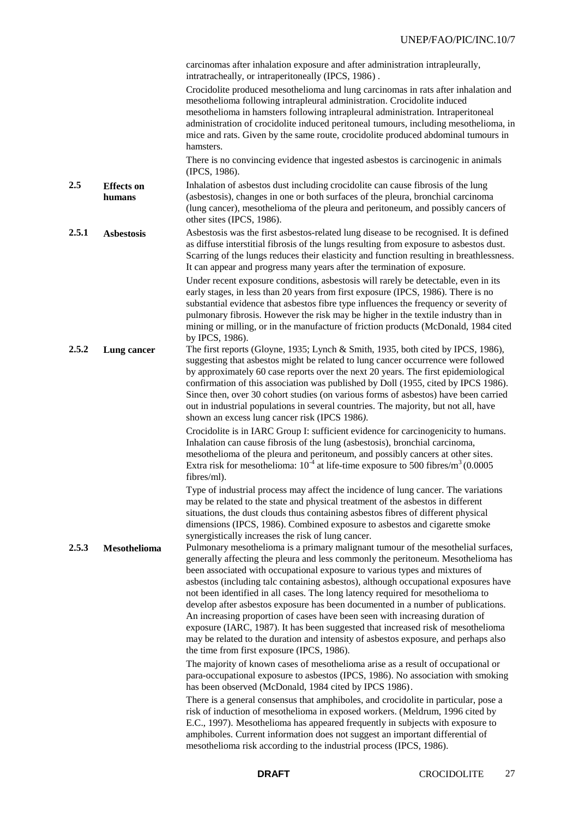|                                    | carcinomas after inhalation exposure and after administration intrapleurally,<br>intratracheally, or intraperitoneally (IPCS, 1986).                                                                                                                                                                                                                                                                                                                                                                                                                                                                                                                                                                                                                                                                                         |
|------------------------------------|------------------------------------------------------------------------------------------------------------------------------------------------------------------------------------------------------------------------------------------------------------------------------------------------------------------------------------------------------------------------------------------------------------------------------------------------------------------------------------------------------------------------------------------------------------------------------------------------------------------------------------------------------------------------------------------------------------------------------------------------------------------------------------------------------------------------------|
|                                    | Crocidolite produced mesothelioma and lung carcinomas in rats after inhalation and<br>mesothelioma following intrapleural administration. Crocidolite induced<br>mesothelioma in hamsters following intrapleural administration. Intraperitoneal<br>administration of crocidolite induced peritoneal tumours, including mesothelioma, in<br>mice and rats. Given by the same route, crocidolite produced abdominal tumours in<br>hamsters.                                                                                                                                                                                                                                                                                                                                                                                   |
|                                    | There is no convincing evidence that ingested asbestos is carcinogenic in animals<br>(IPCS, 1986).                                                                                                                                                                                                                                                                                                                                                                                                                                                                                                                                                                                                                                                                                                                           |
| 2.5<br><b>Effects</b> on<br>humans | Inhalation of asbestos dust including crocidolite can cause fibrosis of the lung<br>(asbestosis), changes in one or both surfaces of the pleura, bronchial carcinoma<br>(lung cancer), mesothelioma of the pleura and peritoneum, and possibly cancers of<br>other sites (IPCS, 1986).                                                                                                                                                                                                                                                                                                                                                                                                                                                                                                                                       |
| 2.5.1<br><b>Asbestosis</b>         | Asbestosis was the first asbestos-related lung disease to be recognised. It is defined<br>as diffuse interstitial fibrosis of the lungs resulting from exposure to asbestos dust.<br>Scarring of the lungs reduces their elasticity and function resulting in breathlessness.<br>It can appear and progress many years after the termination of exposure.                                                                                                                                                                                                                                                                                                                                                                                                                                                                    |
|                                    | Under recent exposure conditions, asbestosis will rarely be detectable, even in its<br>early stages, in less than 20 years from first exposure (IPCS, 1986). There is no<br>substantial evidence that asbestos fibre type influences the frequency or severity of<br>pulmonary fibrosis. However the risk may be higher in the textile industry than in<br>mining or milling, or in the manufacture of friction products (McDonald, 1984 cited<br>by IPCS, 1986).                                                                                                                                                                                                                                                                                                                                                            |
| 2.5.2<br>Lung cancer               | The first reports (Gloyne, 1935; Lynch & Smith, 1935, both cited by IPCS, 1986),<br>suggesting that asbestos might be related to lung cancer occurrence were followed<br>by approximately 60 case reports over the next 20 years. The first epidemiological<br>confirmation of this association was published by Doll (1955, cited by IPCS 1986).<br>Since then, over 30 cohort studies (on various forms of asbestos) have been carried<br>out in industrial populations in several countries. The majority, but not all, have<br>shown an excess lung cancer risk (IPCS 1986).                                                                                                                                                                                                                                             |
|                                    | Crocidolite is in IARC Group I: sufficient evidence for carcinogenicity to humans.<br>Inhalation can cause fibrosis of the lung (asbestosis), bronchial carcinoma,<br>mesothelioma of the pleura and peritoneum, and possibly cancers at other sites.<br>Extra risk for mesothelioma: $10^{-4}$ at life-time exposure to 500 fibres/m <sup>3</sup> (0.0005)<br>fibres/ml).                                                                                                                                                                                                                                                                                                                                                                                                                                                   |
|                                    | Type of industrial process may affect the incidence of lung cancer. The variations<br>may be related to the state and physical treatment of the asbestos in different<br>situations, the dust clouds thus containing asbestos fibres of different physical<br>dimensions (IPCS, 1986). Combined exposure to asbestos and cigarette smoke<br>synergistically increases the risk of lung cancer.                                                                                                                                                                                                                                                                                                                                                                                                                               |
| 2.5.3<br>Mesothelioma              | Pulmonary mesothelioma is a primary malignant tumour of the mesothelial surfaces,<br>generally affecting the pleura and less commonly the peritoneum. Mesothelioma has<br>been associated with occupational exposure to various types and mixtures of<br>asbestos (including talc containing asbestos), although occupational exposures have<br>not been identified in all cases. The long latency required for mesothelioma to<br>develop after asbestos exposure has been documented in a number of publications.<br>An increasing proportion of cases have been seen with increasing duration of<br>exposure (IARC, 1987). It has been suggested that increased risk of mesothelioma<br>may be related to the duration and intensity of asbestos exposure, and perhaps also<br>the time from first exposure (IPCS, 1986). |
|                                    | The majority of known cases of mesothelioma arise as a result of occupational or<br>para-occupational exposure to asbestos (IPCS, 1986). No association with smoking<br>has been observed (McDonald, 1984 cited by IPCS 1986).                                                                                                                                                                                                                                                                                                                                                                                                                                                                                                                                                                                               |
|                                    | There is a general consensus that amphiboles, and crocidolite in particular, pose a<br>risk of induction of mesothelioma in exposed workers. (Meldrum, 1996 cited by<br>E.C., 1997). Mesothelioma has appeared frequently in subjects with exposure to<br>amphiboles. Current information does not suggest an important differential of<br>mesothelioma risk according to the industrial process (IPCS, 1986).                                                                                                                                                                                                                                                                                                                                                                                                               |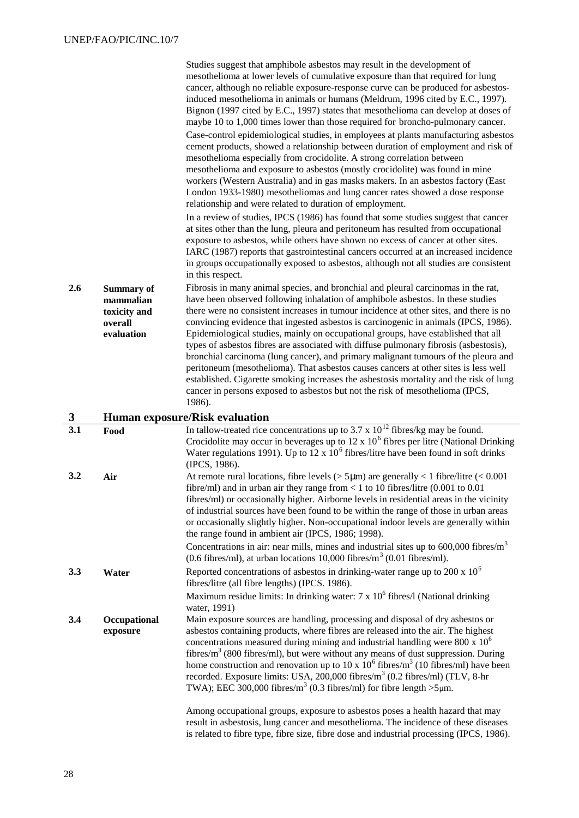| 2.6      | <b>Summary of</b><br>mammalian<br>toxicity and<br>overall<br>evaluation | Studies suggest that amphibole asbestos may result in the development of<br>mesothelioma at lower levels of cumulative exposure than that required for lung<br>cancer, although no reliable exposure-response curve can be produced for asbestos-<br>induced mesothelioma in animals or humans (Meldrum, 1996 cited by E.C., 1997).<br>Bignon (1997 cited by E.C., 1997) states that mesothelioma can develop at doses of<br>maybe 10 to 1,000 times lower than those required for broncho-pulmonary cancer.<br>Case-control epidemiological studies, in employees at plants manufacturing asbestos<br>cement products, showed a relationship between duration of employment and risk of<br>mesothelioma especially from crocidolite. A strong correlation between<br>mesothelioma and exposure to asbestos (mostly crocidolite) was found in mine<br>workers (Western Australia) and in gas masks makers. In an asbestos factory (East<br>London 1933-1980) mesotheliomas and lung cancer rates showed a dose response<br>relationship and were related to duration of employment.<br>In a review of studies, IPCS (1986) has found that some studies suggest that cancer<br>at sites other than the lung, pleura and peritoneum has resulted from occupational<br>exposure to asbestos, while others have shown no excess of cancer at other sites.<br>IARC (1987) reports that gastrointestinal cancers occurred at an increased incidence<br>in groups occupationally exposed to asbestos, although not all studies are consistent<br>in this respect.<br>Fibrosis in many animal species, and bronchial and pleural carcinomas in the rat,<br>have been observed following inhalation of amphibole asbestos. In these studies<br>there were no consistent increases in tumour incidence at other sites, and there is no<br>convincing evidence that ingested asbestos is carcinogenic in animals (IPCS, 1986).<br>Epidemiological studies, mainly on occupational groups, have established that all<br>types of asbestos fibres are associated with diffuse pulmonary fibrosis (asbestosis),<br>bronchial carcinoma (lung cancer), and primary malignant tumours of the pleura and<br>peritoneum (mesothelioma). That asbestos causes cancers at other sites is less well<br>established. Cigarette smoking increases the asbestosis mortality and the risk of lung<br>cancer in persons exposed to asbestos but not the risk of mesothelioma (IPCS,<br>1986). |
|----------|-------------------------------------------------------------------------|---------------------------------------------------------------------------------------------------------------------------------------------------------------------------------------------------------------------------------------------------------------------------------------------------------------------------------------------------------------------------------------------------------------------------------------------------------------------------------------------------------------------------------------------------------------------------------------------------------------------------------------------------------------------------------------------------------------------------------------------------------------------------------------------------------------------------------------------------------------------------------------------------------------------------------------------------------------------------------------------------------------------------------------------------------------------------------------------------------------------------------------------------------------------------------------------------------------------------------------------------------------------------------------------------------------------------------------------------------------------------------------------------------------------------------------------------------------------------------------------------------------------------------------------------------------------------------------------------------------------------------------------------------------------------------------------------------------------------------------------------------------------------------------------------------------------------------------------------------------------------------------------------------------------------------------------------------------------------------------------------------------------------------------------------------------------------------------------------------------------------------------------------------------------------------------------------------------------------------------------------------------------------------------------------------------------------------------------------------------------------------------------------------------------------------------------------------------------|
| 3<br>3.1 |                                                                         | <b>Human exposure/Risk evaluation</b><br>In tallow-treated rice concentrations up to 3.7 x $10^{12}$ fibres/kg may be found.                                                                                                                                                                                                                                                                                                                                                                                                                                                                                                                                                                                                                                                                                                                                                                                                                                                                                                                                                                                                                                                                                                                                                                                                                                                                                                                                                                                                                                                                                                                                                                                                                                                                                                                                                                                                                                                                                                                                                                                                                                                                                                                                                                                                                                                                                                                                        |
|          | Food                                                                    | Crocidolite may occur in beverages up to $12 \times 10^6$ fibres per litre (National Drinking<br>Water regulations 1991). Up to 12 x $106$ fibres/litre have been found in soft drinks<br>(IPCS, 1986).                                                                                                                                                                                                                                                                                                                                                                                                                                                                                                                                                                                                                                                                                                                                                                                                                                                                                                                                                                                                                                                                                                                                                                                                                                                                                                                                                                                                                                                                                                                                                                                                                                                                                                                                                                                                                                                                                                                                                                                                                                                                                                                                                                                                                                                             |
| 3.2      | Air                                                                     | At remote rural locations, fibre levels ( $>$ 5µm) are generally < 1 fibre/litre (< 0.001<br>fibre/ml) and in urban air they range from < 1 to 10 fibres/litre $(0.001$ to $0.01$<br>fibres/ml) or occasionally higher. Airborne levels in residential areas in the vicinity<br>of industrial sources have been found to be within the range of those in urban areas<br>or occasionally slightly higher. Non-occupational indoor levels are generally within<br>the range found in ambient air (IPCS, 1986; 1998).<br>Concentrations in air: near mills, mines and industrial sites up to $600,000$ fibres/m <sup>3</sup><br>(0.6 fibres/ml), at urban locations $10,000$ fibres/m <sup>3</sup> (0.01 fibres/ml).                                                                                                                                                                                                                                                                                                                                                                                                                                                                                                                                                                                                                                                                                                                                                                                                                                                                                                                                                                                                                                                                                                                                                                                                                                                                                                                                                                                                                                                                                                                                                                                                                                                                                                                                                   |
| 3.3      | Water                                                                   | Reported concentrations of asbestos in drinking-water range up to 200 x $106$<br>fibres/litre (all fibre lengths) (IPCS. 1986).<br>Maximum residue limits: In drinking water: $7 \times 10^6$ fibres/l (National drinking                                                                                                                                                                                                                                                                                                                                                                                                                                                                                                                                                                                                                                                                                                                                                                                                                                                                                                                                                                                                                                                                                                                                                                                                                                                                                                                                                                                                                                                                                                                                                                                                                                                                                                                                                                                                                                                                                                                                                                                                                                                                                                                                                                                                                                           |
|          |                                                                         | water, 1991)                                                                                                                                                                                                                                                                                                                                                                                                                                                                                                                                                                                                                                                                                                                                                                                                                                                                                                                                                                                                                                                                                                                                                                                                                                                                                                                                                                                                                                                                                                                                                                                                                                                                                                                                                                                                                                                                                                                                                                                                                                                                                                                                                                                                                                                                                                                                                                                                                                                        |
| 3.4      | Occupational<br>exposure                                                | Main exposure sources are handling, processing and disposal of dry asbestos or<br>asbestos containing products, where fibres are released into the air. The highest<br>concentrations measured during mining and industrial handling were 800 x 10 <sup>6</sup><br>fibres/ $m3$ (800 fibres/ml), but were without any means of dust suppression. During<br>home construction and renovation up to 10 x $10^6$ fibres/m <sup>3</sup> (10 fibres/ml) have been<br>recorded. Exposure limits: USA, 200,000 fibres/m <sup>3</sup> (0.2 fibres/ml) (TLV, 8-hr<br>TWA); EEC 300,000 fibres/m <sup>3</sup> (0.3 fibres/ml) for fibre length >5 $\mu$ m.                                                                                                                                                                                                                                                                                                                                                                                                                                                                                                                                                                                                                                                                                                                                                                                                                                                                                                                                                                                                                                                                                                                                                                                                                                                                                                                                                                                                                                                                                                                                                                                                                                                                                                                                                                                                                    |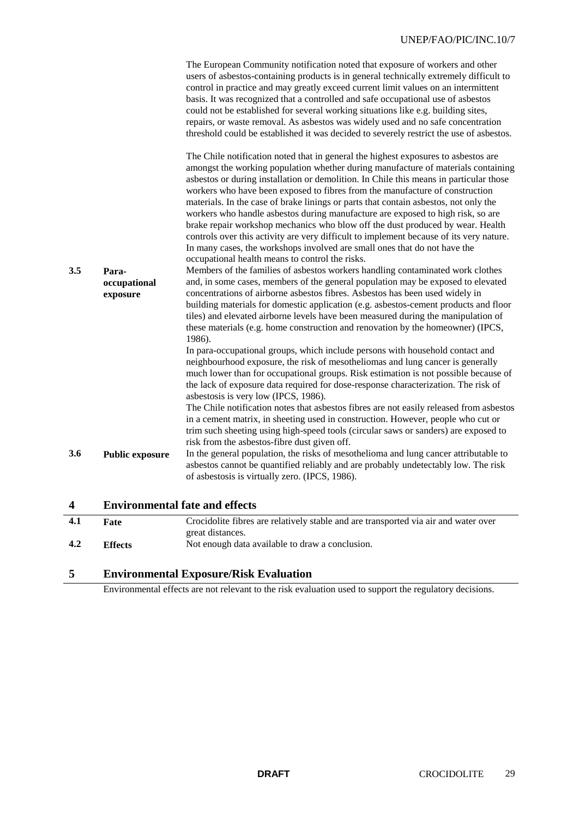|     |                        | The European Community notification noted that exposure of workers and other<br>users of asbestos-containing products is in general technically extremely difficult to<br>control in practice and may greatly exceed current limit values on an intermittent<br>basis. It was recognized that a controlled and safe occupational use of asbestos<br>could not be established for several working situations like e.g. building sites,<br>repairs, or waste removal. As asbestos was widely used and no safe concentration<br>threshold could be established it was decided to severely restrict the use of asbestos.<br>The Chile notification noted that in general the highest exposures to asbestos are<br>amongst the working population whether during manufacture of materials containing<br>asbestos or during installation or demolition. In Chile this means in particular those<br>workers who have been exposed to fibres from the manufacture of construction<br>materials. In the case of brake linings or parts that contain asbestos, not only the<br>workers who handle asbestos during manufacture are exposed to high risk, so are<br>brake repair workshop mechanics who blow off the dust produced by wear. Health<br>controls over this activity are very difficult to implement because of its very nature.<br>In many cases, the workshops involved are small ones that do not have the<br>occupational health means to control the risks. |
|-----|------------------------|-------------------------------------------------------------------------------------------------------------------------------------------------------------------------------------------------------------------------------------------------------------------------------------------------------------------------------------------------------------------------------------------------------------------------------------------------------------------------------------------------------------------------------------------------------------------------------------------------------------------------------------------------------------------------------------------------------------------------------------------------------------------------------------------------------------------------------------------------------------------------------------------------------------------------------------------------------------------------------------------------------------------------------------------------------------------------------------------------------------------------------------------------------------------------------------------------------------------------------------------------------------------------------------------------------------------------------------------------------------------------------------------------------------------------------------------------------------------|
| 3.5 | Para-<br>occupational  | Members of the families of asbestos workers handling contaminated work clothes<br>and, in some cases, members of the general population may be exposed to elevated                                                                                                                                                                                                                                                                                                                                                                                                                                                                                                                                                                                                                                                                                                                                                                                                                                                                                                                                                                                                                                                                                                                                                                                                                                                                                                |
|     | exposure               | concentrations of airborne asbestos fibres. Asbestos has been used widely in<br>building materials for domestic application (e.g. asbestos-cement products and floor<br>tiles) and elevated airborne levels have been measured during the manipulation of<br>these materials (e.g. home construction and renovation by the homeowner) (IPCS,<br>1986).                                                                                                                                                                                                                                                                                                                                                                                                                                                                                                                                                                                                                                                                                                                                                                                                                                                                                                                                                                                                                                                                                                            |
|     |                        | In para-occupational groups, which include persons with household contact and<br>neighbourhood exposure, the risk of mesotheliomas and lung cancer is generally<br>much lower than for occupational groups. Risk estimation is not possible because of<br>the lack of exposure data required for dose-response characterization. The risk of<br>asbestosis is very low (IPCS, 1986).                                                                                                                                                                                                                                                                                                                                                                                                                                                                                                                                                                                                                                                                                                                                                                                                                                                                                                                                                                                                                                                                              |
|     |                        | The Chile notification notes that asbestos fibres are not easily released from asbestos<br>in a cement matrix, in sheeting used in construction. However, people who cut or<br>trim such sheeting using high-speed tools (circular saws or sanders) are exposed to<br>risk from the asbestos-fibre dust given off.                                                                                                                                                                                                                                                                                                                                                                                                                                                                                                                                                                                                                                                                                                                                                                                                                                                                                                                                                                                                                                                                                                                                                |
| 3.6 | <b>Public exposure</b> | In the general population, the risks of mesothelioma and lung cancer attributable to<br>asbestos cannot be quantified reliably and are probably undetectably low. The risk<br>of asbestosis is virtually zero. (IPCS, 1986).                                                                                                                                                                                                                                                                                                                                                                                                                                                                                                                                                                                                                                                                                                                                                                                                                                                                                                                                                                                                                                                                                                                                                                                                                                      |
| 4   |                        | <b>Environmental fate and effects</b>                                                                                                                                                                                                                                                                                                                                                                                                                                                                                                                                                                                                                                                                                                                                                                                                                                                                                                                                                                                                                                                                                                                                                                                                                                                                                                                                                                                                                             |

| 4.1 | Fate           | Crocidolite fibres are relatively stable and are transported via air and water over |
|-----|----------------|-------------------------------------------------------------------------------------|
|     |                | great distances.                                                                    |
| 4.2 | <b>Effects</b> | Not enough data available to draw a conclusion.                                     |

# **5 Environmental Exposure/Risk Evaluation**

Environmental effects are not relevant to the risk evaluation used to support the regulatory decisions.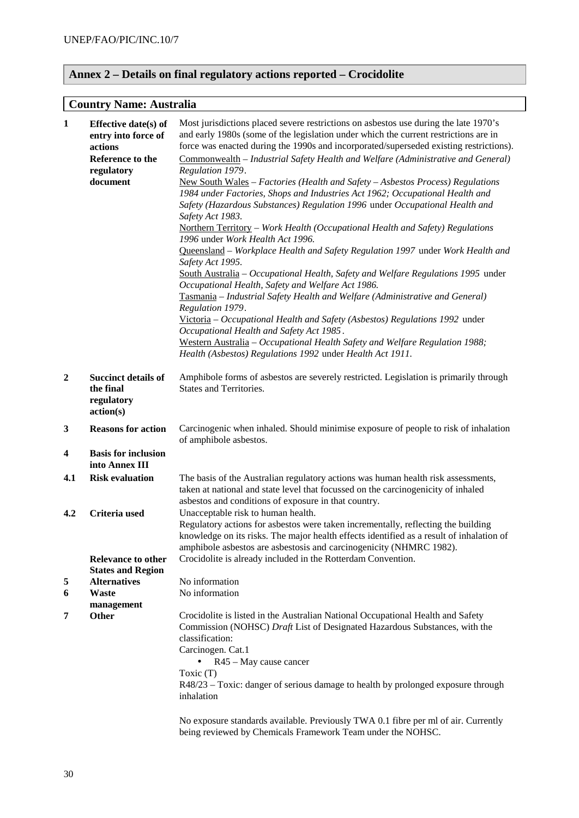# **Annex 2 – Details on final regulatory actions reported – Crocidolite**

# **Country Name: Australia**

| $\mathbf{1}$            | Effective date(s) of<br>entry into force of<br>actions<br>Reference to the<br>regulatory<br>document | Most jurisdictions placed severe restrictions on asbestos use during the late 1970's<br>and early 1980s (some of the legislation under which the current restrictions are in<br>force was enacted during the 1990s and incorporated/superseded existing restrictions).<br>Commonwealth - Industrial Safety Health and Welfare (Administrative and General)<br>Regulation 1979.<br>New South Wales - Factories (Health and Safety - Asbestos Process) Regulations<br>1984 under Factories, Shops and Industries Act 1962; Occupational Health and<br>Safety (Hazardous Substances) Regulation 1996 under Occupational Health and<br>Safety Act 1983.<br>Northern Territory - Work Health (Occupational Health and Safety) Regulations<br>1996 under Work Health Act 1996.<br>Queensland - Workplace Health and Safety Regulation 1997 under Work Health and<br>Safety Act 1995.<br>South Australia – Occupational Health, Safety and Welfare Regulations 1995 under<br>Occupational Health, Safety and Welfare Act 1986.<br>Tasmania - Industrial Safety Health and Welfare (Administrative and General)<br>Regulation 1979.<br>Victoria – Occupational Health and Safety (Asbestos) Regulations 1992 under<br>Occupational Health and Safety Act 1985.<br>Western Australia - Occupational Health Safety and Welfare Regulation 1988;<br>Health (Asbestos) Regulations 1992 under Health Act 1911. |
|-------------------------|------------------------------------------------------------------------------------------------------|----------------------------------------------------------------------------------------------------------------------------------------------------------------------------------------------------------------------------------------------------------------------------------------------------------------------------------------------------------------------------------------------------------------------------------------------------------------------------------------------------------------------------------------------------------------------------------------------------------------------------------------------------------------------------------------------------------------------------------------------------------------------------------------------------------------------------------------------------------------------------------------------------------------------------------------------------------------------------------------------------------------------------------------------------------------------------------------------------------------------------------------------------------------------------------------------------------------------------------------------------------------------------------------------------------------------------------------------------------------------------------------------------|
|                         |                                                                                                      |                                                                                                                                                                                                                                                                                                                                                                                                                                                                                                                                                                                                                                                                                                                                                                                                                                                                                                                                                                                                                                                                                                                                                                                                                                                                                                                                                                                                    |
| $\boldsymbol{2}$        | <b>Succinct details of</b><br>the final<br>regulatory<br>action(s)                                   | Amphibole forms of asbestos are severely restricted. Legislation is primarily through<br>States and Territories.                                                                                                                                                                                                                                                                                                                                                                                                                                                                                                                                                                                                                                                                                                                                                                                                                                                                                                                                                                                                                                                                                                                                                                                                                                                                                   |
| 3                       | <b>Reasons for action</b>                                                                            | Carcinogenic when inhaled. Should minimise exposure of people to risk of inhalation<br>of amphibole asbestos.                                                                                                                                                                                                                                                                                                                                                                                                                                                                                                                                                                                                                                                                                                                                                                                                                                                                                                                                                                                                                                                                                                                                                                                                                                                                                      |
| $\overline{\mathbf{4}}$ | <b>Basis for inclusion</b><br>into Annex III                                                         |                                                                                                                                                                                                                                                                                                                                                                                                                                                                                                                                                                                                                                                                                                                                                                                                                                                                                                                                                                                                                                                                                                                                                                                                                                                                                                                                                                                                    |
| 4.1                     | <b>Risk evaluation</b>                                                                               | The basis of the Australian regulatory actions was human health risk assessments,<br>taken at national and state level that focussed on the carcinogenicity of inhaled<br>asbestos and conditions of exposure in that country.                                                                                                                                                                                                                                                                                                                                                                                                                                                                                                                                                                                                                                                                                                                                                                                                                                                                                                                                                                                                                                                                                                                                                                     |
| 4.2                     | Criteria used<br><b>Relevance to other</b>                                                           | Unacceptable risk to human health.<br>Regulatory actions for asbestos were taken incrementally, reflecting the building<br>knowledge on its risks. The major health effects identified as a result of inhalation of<br>amphibole asbestos are asbestosis and carcinogenicity (NHMRC 1982).<br>Crocidolite is already included in the Rotterdam Convention.                                                                                                                                                                                                                                                                                                                                                                                                                                                                                                                                                                                                                                                                                                                                                                                                                                                                                                                                                                                                                                         |
| 5                       | <b>States and Region</b><br><b>Alternatives</b>                                                      | No information                                                                                                                                                                                                                                                                                                                                                                                                                                                                                                                                                                                                                                                                                                                                                                                                                                                                                                                                                                                                                                                                                                                                                                                                                                                                                                                                                                                     |
| 6                       | <b>Waste</b>                                                                                         | No information                                                                                                                                                                                                                                                                                                                                                                                                                                                                                                                                                                                                                                                                                                                                                                                                                                                                                                                                                                                                                                                                                                                                                                                                                                                                                                                                                                                     |
|                         | management                                                                                           |                                                                                                                                                                                                                                                                                                                                                                                                                                                                                                                                                                                                                                                                                                                                                                                                                                                                                                                                                                                                                                                                                                                                                                                                                                                                                                                                                                                                    |
| 7                       | Other                                                                                                | Crocidolite is listed in the Australian National Occupational Health and Safety<br>Commission (NOHSC) Draft List of Designated Hazardous Substances, with the<br>classification:<br>Carcinogen. Cat.1<br>$R45 - May cause cancer$<br>Toxic $(T)$<br>R48/23 – Toxic: danger of serious damage to health by prolonged exposure through<br>inhalation                                                                                                                                                                                                                                                                                                                                                                                                                                                                                                                                                                                                                                                                                                                                                                                                                                                                                                                                                                                                                                                 |
|                         |                                                                                                      | No exposure standards available. Previously TWA 0.1 fibre per ml of air. Currently<br>being reviewed by Chemicals Framework Team under the NOHSC.                                                                                                                                                                                                                                                                                                                                                                                                                                                                                                                                                                                                                                                                                                                                                                                                                                                                                                                                                                                                                                                                                                                                                                                                                                                  |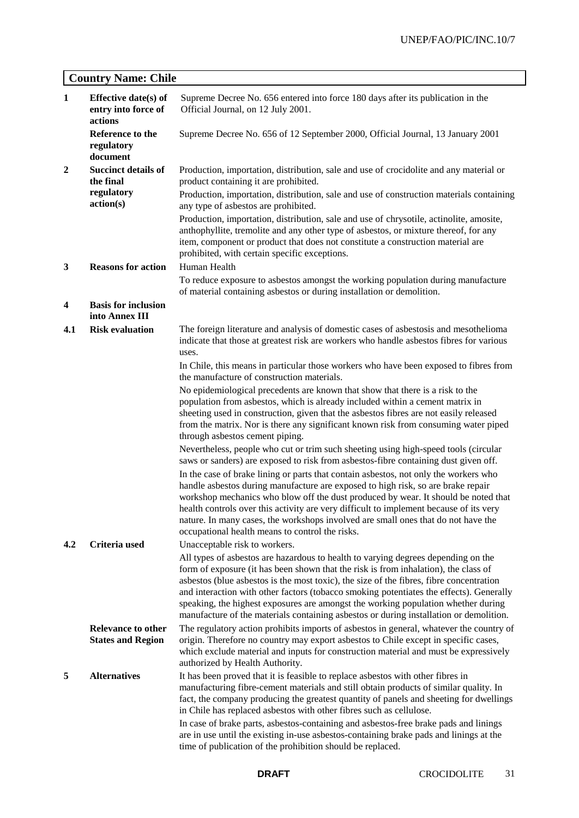# **Country Name: Chile**

| $\mathbf{1}$ | Effective date(s) of<br>entry into force of<br>actions | Supreme Decree No. 656 entered into force 180 days after its publication in the<br>Official Journal, on 12 July 2001.                                                                                                                                                                                                                                                                                                                                                                                                                         |
|--------------|--------------------------------------------------------|-----------------------------------------------------------------------------------------------------------------------------------------------------------------------------------------------------------------------------------------------------------------------------------------------------------------------------------------------------------------------------------------------------------------------------------------------------------------------------------------------------------------------------------------------|
|              | Reference to the<br>regulatory<br>document             | Supreme Decree No. 656 of 12 September 2000, Official Journal, 13 January 2001                                                                                                                                                                                                                                                                                                                                                                                                                                                                |
| $\mathbf{2}$ | <b>Succinct details of</b><br>the final                | Production, importation, distribution, sale and use of crocidolite and any material or<br>product containing it are prohibited.                                                                                                                                                                                                                                                                                                                                                                                                               |
|              | regulatory<br>action(s)                                | Production, importation, distribution, sale and use of construction materials containing<br>any type of asbestos are prohibited.                                                                                                                                                                                                                                                                                                                                                                                                              |
| 3            | <b>Reasons for action</b>                              | Production, importation, distribution, sale and use of chrysotile, actinolite, amosite,<br>anthophyllite, tremolite and any other type of asbestos, or mixture thereof, for any<br>item, component or product that does not constitute a construction material are<br>prohibited, with certain specific exceptions.<br>Human Health                                                                                                                                                                                                           |
|              |                                                        | To reduce exposure to asbestos amongst the working population during manufacture<br>of material containing asbestos or during installation or demolition.                                                                                                                                                                                                                                                                                                                                                                                     |
| 4            | <b>Basis for inclusion</b><br>into Annex III           |                                                                                                                                                                                                                                                                                                                                                                                                                                                                                                                                               |
| 4.1          | <b>Risk evaluation</b>                                 | The foreign literature and analysis of domestic cases of asbestosis and mesothelioma<br>indicate that those at greatest risk are workers who handle asbestos fibres for various<br>uses.                                                                                                                                                                                                                                                                                                                                                      |
|              |                                                        | In Chile, this means in particular those workers who have been exposed to fibres from<br>the manufacture of construction materials.                                                                                                                                                                                                                                                                                                                                                                                                           |
|              |                                                        | No epidemiological precedents are known that show that there is a risk to the<br>population from asbestos, which is already included within a cement matrix in<br>sheeting used in construction, given that the asbestos fibres are not easily released<br>from the matrix. Nor is there any significant known risk from consuming water piped<br>through asbestos cement piping.                                                                                                                                                             |
|              |                                                        | Nevertheless, people who cut or trim such sheeting using high-speed tools (circular<br>saws or sanders) are exposed to risk from asbestos-fibre containing dust given off.                                                                                                                                                                                                                                                                                                                                                                    |
|              |                                                        | In the case of brake lining or parts that contain asbestos, not only the workers who<br>handle asbestos during manufacture are exposed to high risk, so are brake repair<br>workshop mechanics who blow off the dust produced by wear. It should be noted that<br>health controls over this activity are very difficult to implement because of its very<br>nature. In many cases, the workshops involved are small ones that do not have the<br>occupational health means to control the risks.                                              |
| 4.2          | Criteria used                                          | Unacceptable risk to workers.                                                                                                                                                                                                                                                                                                                                                                                                                                                                                                                 |
|              |                                                        | All types of asbestos are hazardous to health to varying degrees depending on the<br>form of exposure (it has been shown that the risk is from inhalation), the class of<br>asbestos (blue asbestos is the most toxic), the size of the fibres, fibre concentration<br>and interaction with other factors (tobacco smoking potentiates the effects). Generally<br>speaking, the highest exposures are amongst the working population whether during<br>manufacture of the materials containing asbestos or during installation or demolition. |
|              | <b>Relevance to other</b><br><b>States and Region</b>  | The regulatory action prohibits imports of asbestos in general, whatever the country of<br>origin. Therefore no country may export asbestos to Chile except in specific cases,<br>which exclude material and inputs for construction material and must be expressively<br>authorized by Health Authority.                                                                                                                                                                                                                                     |
| 5            | <b>Alternatives</b>                                    | It has been proved that it is feasible to replace asbestos with other fibres in<br>manufacturing fibre-cement materials and still obtain products of similar quality. In<br>fact, the company producing the greatest quantity of panels and sheeting for dwellings<br>in Chile has replaced asbestos with other fibres such as cellulose.                                                                                                                                                                                                     |
|              |                                                        | In case of brake parts, asbestos-containing and asbestos-free brake pads and linings<br>are in use until the existing in-use asbestos-containing brake pads and linings at the<br>time of publication of the prohibition should be replaced.                                                                                                                                                                                                                                                                                                  |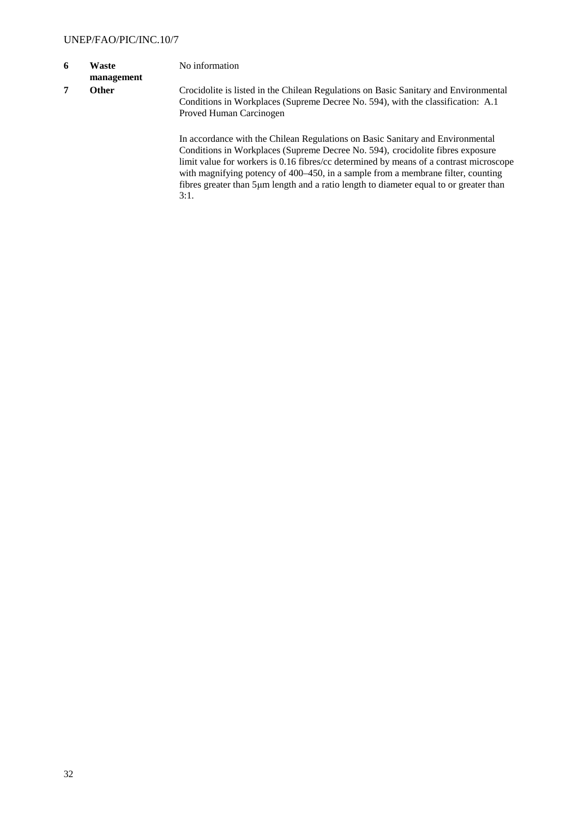- **6 Waste**
- **management**
- 

No information

**7 Other** Crocidolite is listed in the Chilean Regulations on Basic Sanitary and Environmental Conditions in Workplaces (Supreme Decree No. 594), with the classification: A.1 Proved Human Carcinogen

> In accordance with the Chilean Regulations on Basic Sanitary and Environmental Conditions in Workplaces (Supreme Decree No. 594), crocidolite fibres exposure limit value for workers is 0.16 fibres/cc determined by means of a contrast microscope with magnifying potency of 400–450, in a sample from a membrane filter, counting fibres greater than 5μm length and a ratio length to diameter equal to or greater than  $3:1.$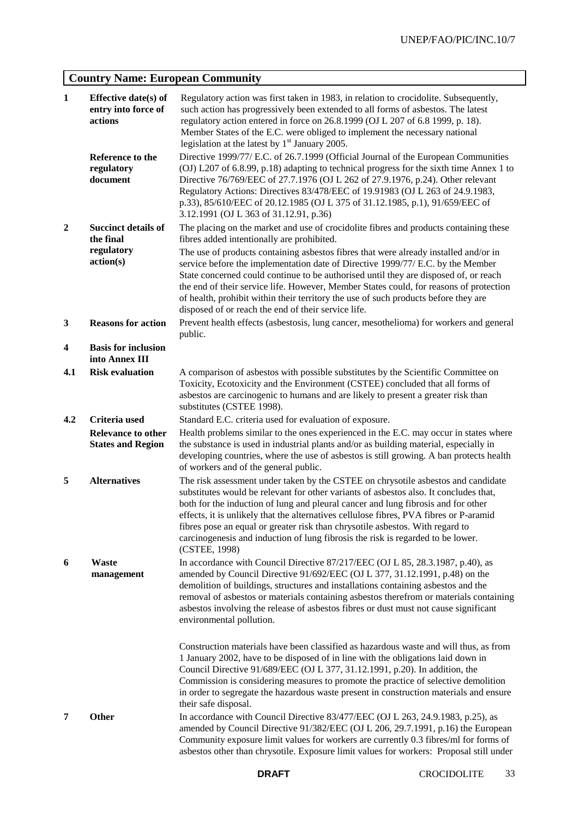# **Country Name: European Community**

| $\mathbf{1}$   | Effective date(s) of<br>entry into force of<br>actions | Regulatory action was first taken in 1983, in relation to crocidolite. Subsequently,<br>such action has progressively been extended to all forms of asbestos. The latest<br>regulatory action entered in force on 26.8.1999 (OJ L 207 of 6.8 1999, p. 18).<br>Member States of the E.C. were obliged to implement the necessary national<br>legislation at the latest by 1 <sup>st</sup> January 2005.                                                                                                                                         |
|----------------|--------------------------------------------------------|------------------------------------------------------------------------------------------------------------------------------------------------------------------------------------------------------------------------------------------------------------------------------------------------------------------------------------------------------------------------------------------------------------------------------------------------------------------------------------------------------------------------------------------------|
|                | Reference to the<br>regulatory<br>document             | Directive 1999/77/ E.C. of 26.7.1999 (Official Journal of the European Communities<br>(OJ) L207 of 6.8.99, p.18) adapting to technical progress for the sixth time Annex 1 to<br>Directive 76/769/EEC of 27.7.1976 (OJ L 262 of 27.9.1976, p.24). Other relevant<br>Regulatory Actions: Directives 83/478/EEC of 19.91983 (OJ L 263 of 24.9.1983,<br>p.33), 85/610/EEC of 20.12.1985 (OJ L 375 of 31.12.1985, p.1), 91/659/EEC of<br>3.12.1991 (OJ L 363 of 31.12.91, p.36)                                                                    |
| $\overline{2}$ | <b>Succinct details of</b><br>the final                | The placing on the market and use of crocidolite fibres and products containing these<br>fibres added intentionally are prohibited.                                                                                                                                                                                                                                                                                                                                                                                                            |
|                | regulatory<br>action(s)                                | The use of products containing asbestos fibres that were already installed and/or in<br>service before the implementation date of Directive 1999/77/ E.C. by the Member<br>State concerned could continue to be authorised until they are disposed of, or reach<br>the end of their service life. However, Member States could, for reasons of protection<br>of health, prohibit within their territory the use of such products before they are<br>disposed of or reach the end of their service life.                                        |
| 3              | <b>Reasons for action</b>                              | Prevent health effects (asbestosis, lung cancer, mesothelioma) for workers and general<br>public.                                                                                                                                                                                                                                                                                                                                                                                                                                              |
| 4              | <b>Basis for inclusion</b><br>into Annex III           |                                                                                                                                                                                                                                                                                                                                                                                                                                                                                                                                                |
| 4.1            | <b>Risk evaluation</b>                                 | A comparison of asbestos with possible substitutes by the Scientific Committee on<br>Toxicity, Ecotoxicity and the Environment (CSTEE) concluded that all forms of<br>asbestos are carcinogenic to humans and are likely to present a greater risk than<br>substitutes (CSTEE 1998).                                                                                                                                                                                                                                                           |
| 4.2            | Criteria used                                          | Standard E.C. criteria used for evaluation of exposure.                                                                                                                                                                                                                                                                                                                                                                                                                                                                                        |
|                | <b>Relevance to other</b><br><b>States and Region</b>  | Health problems similar to the ones experienced in the E.C. may occur in states where<br>the substance is used in industrial plants and/or as building material, especially in<br>developing countries, where the use of asbestos is still growing. A ban protects health<br>of workers and of the general public.                                                                                                                                                                                                                             |
| 5              | <b>Alternatives</b>                                    | The risk assessment under taken by the CSTEE on chrysotile asbestos and candidate<br>substitutes would be relevant for other variants of asbestos also. It concludes that,<br>both for the induction of lung and pleural cancer and lung fibrosis and for other<br>effects, it is unlikely that the alternatives cellulose fibres, PVA fibres or P-aramid<br>fibres pose an equal or greater risk than chrysotile asbestos. With regard to<br>carcinogenesis and induction of lung fibrosis the risk is regarded to be lower.<br>(CSTEE, 1998) |
| 6              | <b>Waste</b><br>management                             | In accordance with Council Directive 87/217/EEC (OJ L 85, 28.3.1987, p.40), as<br>amended by Council Directive 91/692/EEC (OJ L 377, 31.12.1991, p.48) on the<br>demolition of buildings, structures and installations containing asbestos and the<br>removal of asbestos or materials containing asbestos therefrom or materials containing<br>asbestos involving the release of asbestos fibres or dust must not cause significant<br>environmental pollution.                                                                               |
|                |                                                        | Construction materials have been classified as hazardous waste and will thus, as from<br>1 January 2002, have to be disposed of in line with the obligations laid down in<br>Council Directive 91/689/EEC (OJ L 377, 31.12.1991, p.20). In addition, the<br>Commission is considering measures to promote the practice of selective demolition<br>in order to segregate the hazardous waste present in construction materials and ensure<br>their safe disposal.                                                                               |
| 7              | Other                                                  | In accordance with Council Directive 83/477/EEC (OJ L 263, 24.9.1983, p.25), as<br>amended by Council Directive 91/382/EEC (OJ L 206, 29.7.1991, p.16) the European<br>Community exposure limit values for workers are currently 0.3 fibres/ml for forms of<br>asbestos other than chrysotile. Exposure limit values for workers: Proposal still under                                                                                                                                                                                         |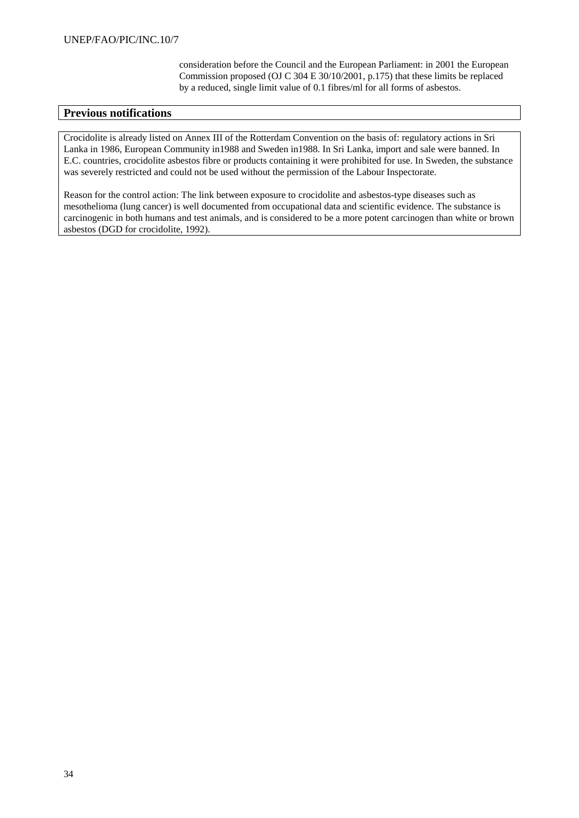consideration before the Council and the European Parliament: in 2001 the European Commission proposed (OJ C 304 E 30/10/2001, p.175) that these limits be replaced by a reduced, single limit value of 0.1 fibres/ml for all forms of asbestos.

### **Previous notifications**

Crocidolite is already listed on Annex III of the Rotterdam Convention on the basis of: regulatory actions in Sri Lanka in 1986, European Community in1988 and Sweden in1988. In Sri Lanka, import and sale were banned. In E.C. countries, crocidolite asbestos fibre or products containing it were prohibited for use. In Sweden, the substance was severely restricted and could not be used without the permission of the Labour Inspectorate.

Reason for the control action: The link between exposure to crocidolite and asbestos-type diseases such as mesothelioma (lung cancer) is well documented from occupational data and scientific evidence. The substance is carcinogenic in both humans and test animals, and is considered to be a more potent carcinogen than white or brown asbestos (DGD for crocidolite, 1992).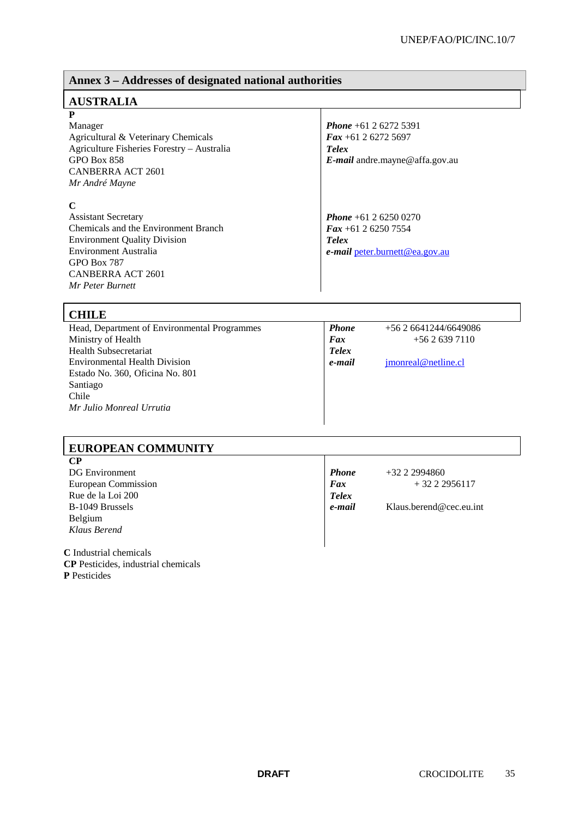# **Annex 3 – Addresses of designated national authorities**

# **AUSTRALIA**

# **P**

Manager Agricultural & Veterinary Chemicals Agriculture Fisheries Forestry – Australia GPO Box 858 CANBERRA ACT 2601 *Mr André Mayne*

### **C**

Assistant Secretary Chemicals and the Environment Branch Environment Quality Division Environment Australia GPO Box 787 CANBERRA ACT 2601 *Mr Peter Burnett*

*Phone* +61 2 6272 5391 *Fax* +61 2 6272 5697 *Telex E-mail* andre.mayne@affa.gov.au

*Phone* +61 2 6250 0270 *Fax* +61 2 6250 7554 *Telex e***-***mail* peter.burnett@ea.gov.au

# **CHILE**

| Сппе                                         |              |                      |  |
|----------------------------------------------|--------------|----------------------|--|
| Head, Department of Environmental Programmes | <b>Phone</b> | $+562641244/6649086$ |  |
| Ministry of Health                           | Fax          | $+5626397110$        |  |
| <b>Health Subsecretariat</b>                 | <b>Telex</b> |                      |  |
| <b>Environmental Health Division</b>         | e-mail       | imonreal@netline.cl  |  |
| Estado No. 360, Oficina No. 801              |              |                      |  |
| Santiago                                     |              |                      |  |
| Chile                                        |              |                      |  |
| Mr Julio Monreal Urrutia                     |              |                      |  |
|                                              |              |                      |  |

# **EUROPEAN COMMUNITY**

| $\bf CP$                   |              |                         |
|----------------------------|--------------|-------------------------|
| <b>DG</b> Environment      | <b>Phone</b> | $+3222994860$           |
| <b>European Commission</b> | Fax          | $+3222956117$           |
| Rue de la Loi 200          | <b>Telex</b> |                         |
| B-1049 Brussels            | e-mail       | Klaus.berend@cec.eu.int |
| Belgium                    |              |                         |
| Klaus Berend               |              |                         |
|                            |              |                         |
| C Industrial chemicals     |              |                         |

**CP** Pesticides, industrial chemicals **P** Pesticides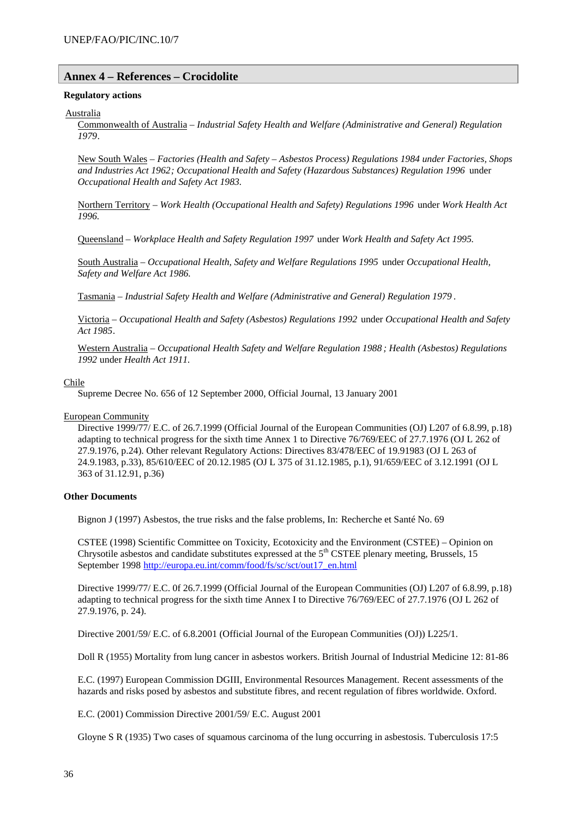#### **Annex 4 – References – Crocidolite**

#### **Regulatory actions**

#### Australia

Commonwealth of Australia – *Industrial Safety Health and Welfare (Administrative and General) Regulation 1979*.

New South Wales – *Factories (Health and Safety – Asbestos Process) Regulations 1984 under Factories, Shops and Industries Act 1962; Occupational Health and Safety (Hazardous Substances) Regulation 1996* under *Occupational Health and Safety Act 1983.*

Northern Territory – *Work Health (Occupational Health and Safety) Regulations 1996* under *Work Health Act 1996.*

Queensland – *Workplace Health and Safety Regulation 1997* under *Work Health and Safety Act 1995.*

South Australia – *Occupational Health, Safety and Welfare Regulations 1995* under *Occupational Health, Safety and Welfare Act 1986.*

Tasmania – *Industrial Safety Health and Welfare (Administrative and General) Regulation 1979* .

Victoria – *Occupational Health and Safety (Asbestos) Regulations 1992* under *Occupational Health and Safety Act 1985*.

Western Australia – *Occupational Health Safety and Welfare Regulation 1988 ; Health (Asbestos) Regulations 1992* under *Health Act 1911.*

#### Chile

Supreme Decree No. 656 of 12 September 2000, Official Journal, 13 January 2001

#### European Community

Directive 1999/77/ E.C. of 26.7.1999 (Official Journal of the European Communities (OJ) L207 of 6.8.99, p.18) adapting to technical progress for the sixth time Annex 1 to Directive 76/769/EEC of 27.7.1976 (OJ L 262 of 27.9.1976, p.24). Other relevant Regulatory Actions: Directives 83/478/EEC of 19.91983 (OJ L 263 of 24.9.1983, p.33), 85/610/EEC of 20.12.1985 (OJ L 375 of 31.12.1985, p.1), 91/659/EEC of 3.12.1991 (OJ L 363 of 31.12.91, p.36)

#### **Other Documents**

Bignon J (1997) Asbestos, the true risks and the false problems, In: Recherche et Santé No. 69

CSTEE (1998) Scientific Committee on Toxicity, Ecotoxicity and the Environment (CSTEE) – Opinion on Chrysotile asbestos and candidate substitutes expressed at the  $5<sup>th</sup>$  CSTEE plenary meeting, Brussels, 15 September 1998 http://europa.eu.int/comm/food/fs/sc/sct/out17\_en.html

Directive 1999/77/ E.C. 0f 26.7.1999 (Official Journal of the European Communities (OJ) L207 of 6.8.99, p.18) adapting to technical progress for the sixth time Annex I to Directive 76/769/EEC of 27.7.1976 (OJ L 262 of 27.9.1976, p. 24).

Directive 2001/59/ E.C. of 6.8.2001 (Official Journal of the European Communities (OJ)) L225/1.

Doll R (1955) Mortality from lung cancer in asbestos workers. British Journal of Industrial Medicine 12: 81-86

E.C. (1997) European Commission DGIII, Environmental Resources Management. Recent assessments of the hazards and risks posed by asbestos and substitute fibres, and recent regulation of fibres worldwide. Oxford.

E.C. (2001) Commission Directive 2001/59/ E.C. August 2001

Gloyne S R (1935) Two cases of squamous carcinoma of the lung occurring in asbestosis. Tuberculosis 17:5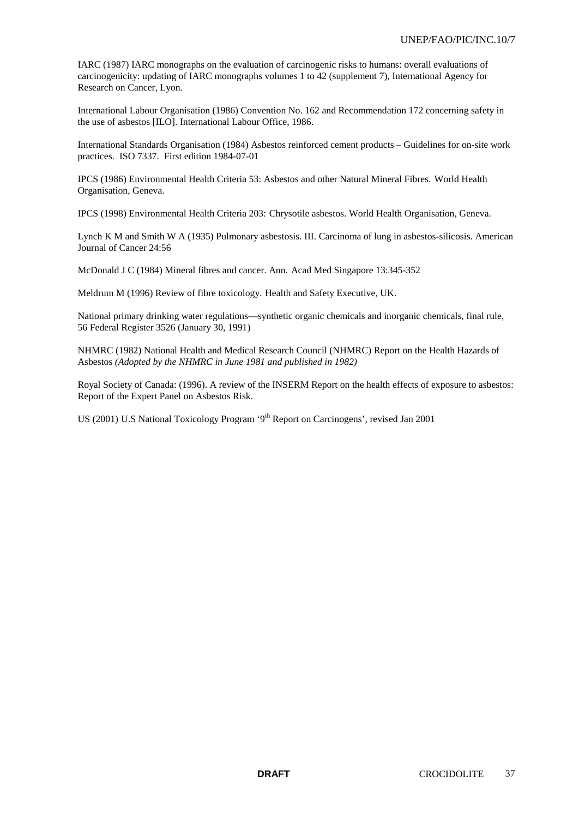IARC (1987) IARC monographs on the evaluation of carcinogenic risks to humans: overall evaluations of carcinogenicity: updating of IARC monographs volumes 1 to 42 (supplement 7), International Agency for Research on Cancer, Lyon.

International Labour Organisation (1986) Convention No. 162 and Recommendation 172 concerning safety in the use of asbestos [ILO]. International Labour Office, 1986.

International Standards Organisation (1984) Asbestos reinforced cement products – Guidelines for on-site work practices. ISO 7337. First edition 1984-07-01

IPCS (1986) Environmental Health Criteria 53: Asbestos and other Natural Mineral Fibres. World Health Organisation, Geneva.

IPCS (1998) Environmental Health Criteria 203: Chrysotile asbestos. World Health Organisation, Geneva.

Lynch K M and Smith W A (1935) Pulmonary asbestosis. III. Carcinoma of lung in asbestos-silicosis. American Journal of Cancer 24:56

McDonald J C (1984) Mineral fibres and cancer. Ann. Acad Med Singapore 13:345-352

Meldrum M (1996) Review of fibre toxicology. Health and Safety Executive, UK.

National primary drinking water regulations—synthetic organic chemicals and inorganic chemicals, final rule, 56 Federal Register 3526 (January 30, 1991)

NHMRC (1982) National Health and Medical Research Council (NHMRC) Report on the Health Hazards of Asbestos *(Adopted by the NHMRC in June 1981 and published in 1982)*

Royal Society of Canada: (1996). A review of the INSERM Report on the health effects of exposure to asbestos: Report of the Expert Panel on Asbestos Risk.

US (2001) U.S National Toxicology Program '9<sup>th</sup> Report on Carcinogens', revised Jan 2001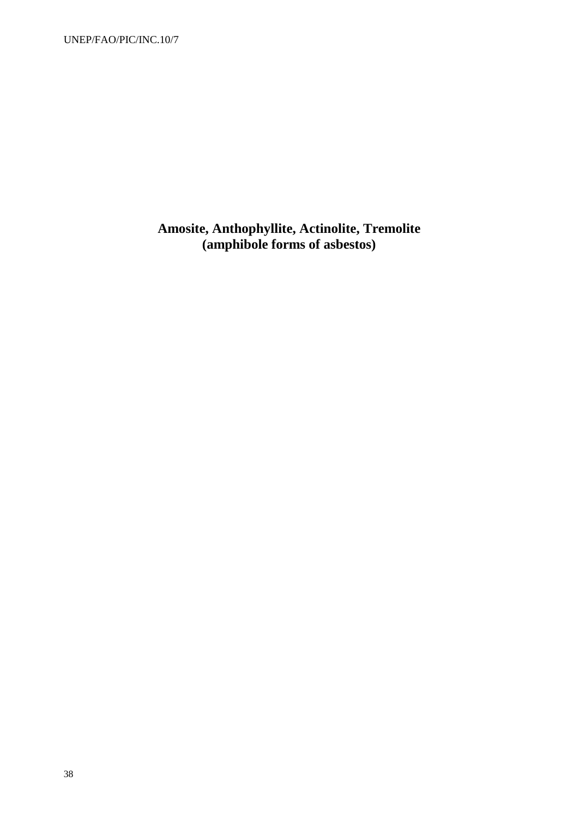UNEP/FAO/PIC/INC.10/7

**Amosite, Anthophyllite, Actinolite, Tremolite (amphibole forms of asbestos)**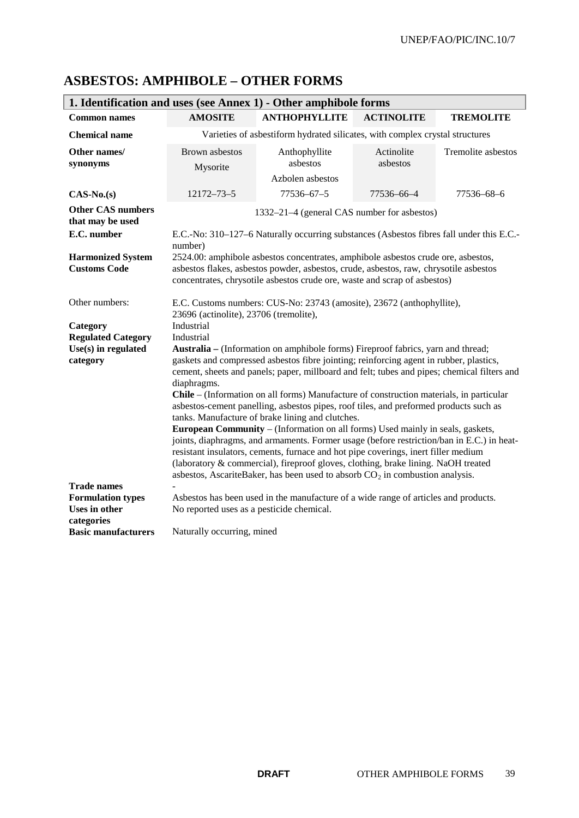| 1. Identification and uses (see Annex 1) - Other amphibole forms |                                                                                                                                                                                                                                                                                                                                                                                                                                                                                                                                                                                                                                                                                                                                                                                                                                                                                                                                                                              |                                                                                                                                                                                                                                                         |                        |                    |
|------------------------------------------------------------------|------------------------------------------------------------------------------------------------------------------------------------------------------------------------------------------------------------------------------------------------------------------------------------------------------------------------------------------------------------------------------------------------------------------------------------------------------------------------------------------------------------------------------------------------------------------------------------------------------------------------------------------------------------------------------------------------------------------------------------------------------------------------------------------------------------------------------------------------------------------------------------------------------------------------------------------------------------------------------|---------------------------------------------------------------------------------------------------------------------------------------------------------------------------------------------------------------------------------------------------------|------------------------|--------------------|
| <b>Common names</b>                                              | <b>AMOSITE</b>                                                                                                                                                                                                                                                                                                                                                                                                                                                                                                                                                                                                                                                                                                                                                                                                                                                                                                                                                               | <b>ANTHOPHYLLITE</b>                                                                                                                                                                                                                                    | <b>ACTINOLITE</b>      | <b>TREMOLITE</b>   |
| <b>Chemical name</b>                                             | Varieties of asbestiform hydrated silicates, with complex crystal structures                                                                                                                                                                                                                                                                                                                                                                                                                                                                                                                                                                                                                                                                                                                                                                                                                                                                                                 |                                                                                                                                                                                                                                                         |                        |                    |
| Other names/<br>synonyms                                         | <b>Brown</b> asbestos<br>Mysorite                                                                                                                                                                                                                                                                                                                                                                                                                                                                                                                                                                                                                                                                                                                                                                                                                                                                                                                                            | Anthophyllite<br>asbestos<br>Azbolen asbestos                                                                                                                                                                                                           | Actinolite<br>asbestos | Tremolite asbestos |
| $CAS-No.(s)$                                                     | 12172-73-5                                                                                                                                                                                                                                                                                                                                                                                                                                                                                                                                                                                                                                                                                                                                                                                                                                                                                                                                                                   | 77536-67-5                                                                                                                                                                                                                                              | 77536-66-4             | 77536-68-6         |
| <b>Other CAS numbers</b><br>that may be used                     |                                                                                                                                                                                                                                                                                                                                                                                                                                                                                                                                                                                                                                                                                                                                                                                                                                                                                                                                                                              | 1332–21–4 (general CAS number for asbestos)                                                                                                                                                                                                             |                        |                    |
| E.C. number                                                      | number)                                                                                                                                                                                                                                                                                                                                                                                                                                                                                                                                                                                                                                                                                                                                                                                                                                                                                                                                                                      | E.C.-No: 310–127–6 Naturally occurring substances (Asbestos fibres fall under this E.C.-                                                                                                                                                                |                        |                    |
| <b>Harmonized System</b><br><b>Customs Code</b>                  |                                                                                                                                                                                                                                                                                                                                                                                                                                                                                                                                                                                                                                                                                                                                                                                                                                                                                                                                                                              | 2524.00: amphibole asbestos concentrates, amphibole asbestos crude ore, asbestos,<br>asbestos flakes, asbestos powder, asbestos, crude, asbestos, raw, chrysotile asbestos<br>concentrates, chrysotile asbestos crude ore, waste and scrap of asbestos) |                        |                    |
| Other numbers:                                                   | 23696 (actinolite), 23706 (tremolite),                                                                                                                                                                                                                                                                                                                                                                                                                                                                                                                                                                                                                                                                                                                                                                                                                                                                                                                                       | E.C. Customs numbers: CUS-No: 23743 (amosite), 23672 (anthophyllite),                                                                                                                                                                                   |                        |                    |
| Category                                                         | Industrial                                                                                                                                                                                                                                                                                                                                                                                                                                                                                                                                                                                                                                                                                                                                                                                                                                                                                                                                                                   |                                                                                                                                                                                                                                                         |                        |                    |
| <b>Regulated Category</b>                                        | Industrial                                                                                                                                                                                                                                                                                                                                                                                                                                                                                                                                                                                                                                                                                                                                                                                                                                                                                                                                                                   |                                                                                                                                                                                                                                                         |                        |                    |
| $Use(s)$ in regulated<br>category                                | Australia – (Information on amphibole forms) Fireproof fabrics, yarn and thread;<br>gaskets and compressed asbestos fibre jointing; reinforcing agent in rubber, plastics,<br>cement, sheets and panels; paper, millboard and felt; tubes and pipes; chemical filters and<br>diaphragms.<br>Chile – (Information on all forms) Manufacture of construction materials, in particular<br>asbestos-cement panelling, asbestos pipes, roof tiles, and preformed products such as<br>tanks. Manufacture of brake lining and clutches.<br>European Community - (Information on all forms) Used mainly in seals, gaskets,<br>joints, diaphragms, and armaments. Former usage (before restriction/ban in E.C.) in heat-<br>resistant insulators, cements, furnace and hot pipe coverings, inert filler medium<br>(laboratory & commercial), fireproof gloves, clothing, brake lining. NaOH treated<br>asbestos, AscariteBaker, has been used to absorb $CO2$ in combustion analysis. |                                                                                                                                                                                                                                                         |                        |                    |
| <b>Trade names</b><br><b>Formulation types</b>                   |                                                                                                                                                                                                                                                                                                                                                                                                                                                                                                                                                                                                                                                                                                                                                                                                                                                                                                                                                                              | Asbestos has been used in the manufacture of a wide range of articles and products.                                                                                                                                                                     |                        |                    |
| <b>Uses in other</b><br>categories                               | No reported uses as a pesticide chemical.                                                                                                                                                                                                                                                                                                                                                                                                                                                                                                                                                                                                                                                                                                                                                                                                                                                                                                                                    |                                                                                                                                                                                                                                                         |                        |                    |
| <b>Basic manufacturers</b>                                       | Naturally occurring, mined                                                                                                                                                                                                                                                                                                                                                                                                                                                                                                                                                                                                                                                                                                                                                                                                                                                                                                                                                   |                                                                                                                                                                                                                                                         |                        |                    |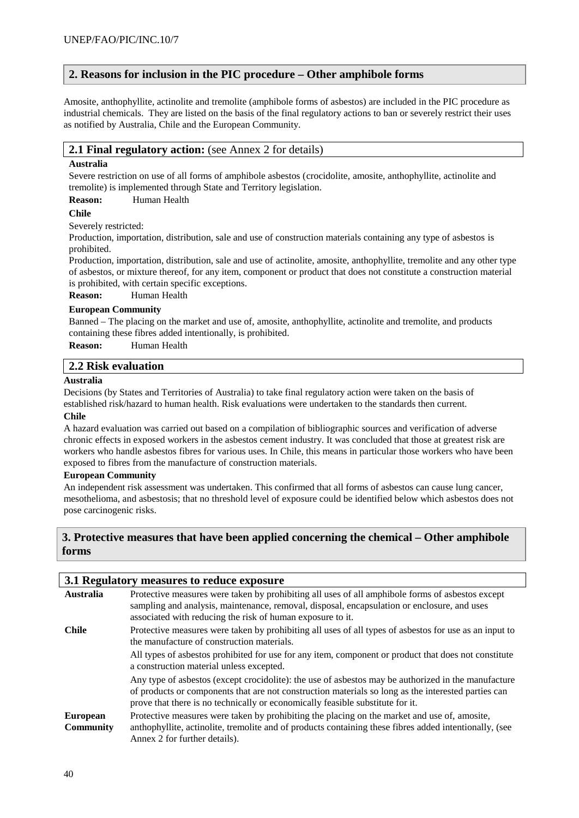## **2. Reasons for inclusion in the PIC procedure – Other amphibole forms**

Amosite, anthophyllite, actinolite and tremolite (amphibole forms of asbestos) are included in the PIC procedure as industrial chemicals. They are listed on the basis of the final regulatory actions to ban or severely restrict their uses as notified by Australia, Chile and the European Community.

### **2.1 Final regulatory action:** (see Annex 2 for details)

#### **Australia**

Severe restriction on use of all forms of amphibole asbestos (crocidolite, amosite, anthophyllite, actinolite and tremolite) is implemented through State and Territory legislation.

#### **Reason:** Human Health

#### **Chile**

Severely restricted:

Production, importation, distribution, sale and use of construction materials containing any type of asbestos is prohibited.

Production, importation, distribution, sale and use of actinolite, amosite, anthophyllite, tremolite and any other type of asbestos, or mixture thereof, for any item, component or product that does not constitute a construction material is prohibited, with certain specific exceptions.

**Reason:** Human Health

#### **European Community**

Banned – The placing on the market and use of, amosite, anthophyllite, actinolite and tremolite, and products containing these fibres added intentionally, is prohibited.

**Reason:** Human Health

## **2.2 Risk evaluation**

#### **Australia**

Decisions (by States and Territories of Australia) to take final regulatory action were taken on the basis of established risk/hazard to human health. Risk evaluations were undertaken to the standards then current.

#### **Chile**

A hazard evaluation was carried out based on a compilation of bibliographic sources and verification of adverse chronic effects in exposed workers in the asbestos cement industry. It was concluded that those at greatest risk are workers who handle asbestos fibres for various uses. In Chile, this means in particular those workers who have been exposed to fibres from the manufacture of construction materials.

#### **European Community**

An independent risk assessment was undertaken. This confirmed that all forms of asbestos can cause lung cancer, mesothelioma, and asbestosis; that no threshold level of exposure could be identified below which asbestos does not pose carcinogenic risks.

## **3. Protective measures that have been applied concerning the chemical – Other amphibole forms**

|                                     | 3.1 Regulatory measures to reduce exposure                                                                                                                                                                                                                                                   |  |  |
|-------------------------------------|----------------------------------------------------------------------------------------------------------------------------------------------------------------------------------------------------------------------------------------------------------------------------------------------|--|--|
| Australia                           | Protective measures were taken by prohibiting all uses of all amphibole forms of asbestos except<br>sampling and analysis, maintenance, removal, disposal, encapsulation or enclosure, and uses<br>associated with reducing the risk of human exposure to it.                                |  |  |
| <b>Chile</b>                        | Protective measures were taken by prohibiting all uses of all types of asbestos for use as an input to<br>the manufacture of construction materials.                                                                                                                                         |  |  |
|                                     | All types of asbestos prohibited for use for any item, component or product that does not constitute<br>a construction material unless excepted.                                                                                                                                             |  |  |
|                                     | Any type of asbestos (except crocidolite): the use of asbestos may be authorized in the manufacture<br>of products or components that are not construction materials so long as the interested parties can<br>prove that there is no technically or economically feasible substitute for it. |  |  |
| <b>European</b><br><b>Community</b> | Protective measures were taken by prohibiting the placing on the market and use of, amosite,<br>anthophyllite, actinolite, tremolite and of products containing these fibres added intentionally, (see<br>Annex 2 for further details).                                                      |  |  |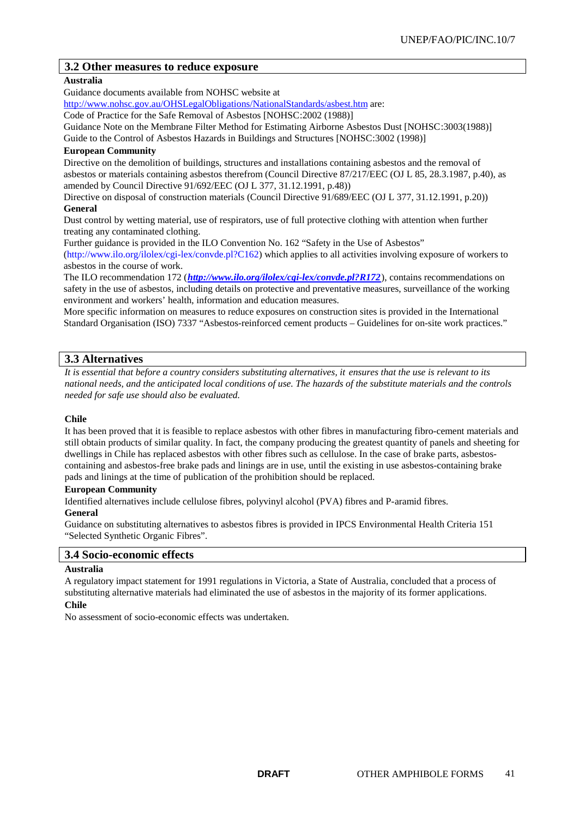## **3.2 Other measures to reduce exposure**

## **Australia**

Guidance documents available from NOHSC website at

http://www.nohsc.gov.au/OHSLegalObligations/NationalStandards/asbest.htm are:

Code of Practice for the Safe Removal of Asbestos [NOHSC:2002 (1988)]

Guidance Note on the Membrane Filter Method for Estimating Airborne Asbestos Dust [NOHSC:3003(1988)]

Guide to the Control of Asbestos Hazards in Buildings and Structures [NOHSC:3002 (1998)]

### **European Community**

Directive on the demolition of buildings, structures and installations containing asbestos and the removal of asbestos or materials containing asbestos therefrom (Council Directive 87/217/EEC (OJ L 85, 28.3.1987, p.40), as amended by Council Directive 91/692/EEC (OJ L 377, 31.12.1991, p.48))

Directive on disposal of construction materials (Council Directive 91/689/EEC (OJ L 377, 31.12.1991, p.20)) **General**

Dust control by wetting material, use of respirators, use of full protective clothing with attention when further treating any contaminated clothing.

Further guidance is provided in the ILO Convention No. 162 "Safety in the Use of Asbestos"

(http://www.ilo.org/ilolex/cgi-lex/convde.pl?C162) which applies to all activities involving exposure of workers to asbestos in the course of work.

The ILO recommendation 172 (*http://www.ilo.org/ilolex/cgi-lex/convde.pl?R172*), contains recommendations on safety in the use of asbestos, including details on protective and preventative measures, surveillance of the working environment and workers' health, information and education measures.

More specific information on measures to reduce exposures on construction sites is provided in the International Standard Organisation (ISO) 7337 "Asbestos-reinforced cement products – Guidelines for on-site work practices."

## **3.3 Alternatives**

*It is essential that before a country considers substituting alternatives, it ensures that the use is relevant to its national needs, and the anticipated local conditions of use. The hazards of the substitute materials and the controls needed for safe use should also be evaluated.*

## **Chile**

It has been proved that it is feasible to replace asbestos with other fibres in manufacturing fibro-cement materials and still obtain products of similar quality. In fact, the company producing the greatest quantity of panels and sheeting for dwellings in Chile has replaced asbestos with other fibres such as cellulose. In the case of brake parts, asbestoscontaining and asbestos-free brake pads and linings are in use, until the existing in use asbestos-containing brake pads and linings at the time of publication of the prohibition should be replaced.

### **European Community**

Identified alternatives include cellulose fibres, polyvinyl alcohol (PVA) fibres and P-aramid fibres.

### **General**

Guidance on substituting alternatives to asbestos fibres is provided in IPCS Environmental Health Criteria 151 "Selected Synthetic Organic Fibres".

## **3.4 Socio-economic effects**

#### **Australia**

A regulatory impact statement for 1991 regulations in Victoria, a State of Australia, concluded that a process of substituting alternative materials had eliminated the use of asbestos in the majority of its former applications.

## **Chile**

No assessment of socio-economic effects was undertaken.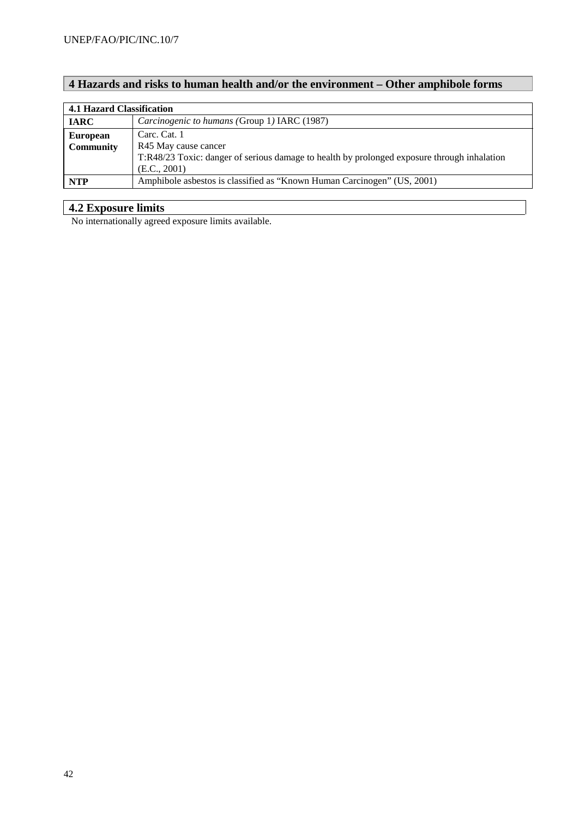## **4 Hazards and risks to human health and/or the environment – Other amphibole forms**

|                  | 4.1 Hazard Classification                                                                   |  |  |
|------------------|---------------------------------------------------------------------------------------------|--|--|
| <b>IARC</b>      | Carcinogenic to humans (Group 1) IARC (1987)                                                |  |  |
| <b>European</b>  | Carc. Cat. 1                                                                                |  |  |
| <b>Community</b> | R45 May cause cancer                                                                        |  |  |
|                  | T:R48/23 Toxic: danger of serious damage to health by prolonged exposure through inhalation |  |  |
|                  | (E.C., 2001)                                                                                |  |  |
| <b>NTP</b>       | Amphibole asbestos is classified as "Known Human Carcinogen" (US, 2001)                     |  |  |

## **4.2 Exposure limits**

No internationally agreed exposure limits available.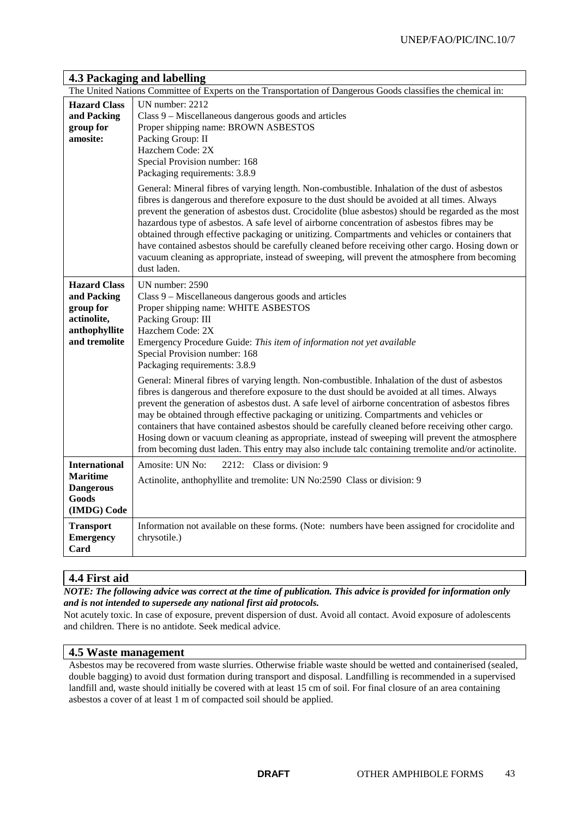|                                                                                                  | The United Nations Committee of Experts on the Transportation of Dangerous Goods classifies the chemical in:                                                                                                                                                                                                                                                                                                                                                                                                                                                                                                                                                                                                                                                                                                                                                                                                                                                 |
|--------------------------------------------------------------------------------------------------|--------------------------------------------------------------------------------------------------------------------------------------------------------------------------------------------------------------------------------------------------------------------------------------------------------------------------------------------------------------------------------------------------------------------------------------------------------------------------------------------------------------------------------------------------------------------------------------------------------------------------------------------------------------------------------------------------------------------------------------------------------------------------------------------------------------------------------------------------------------------------------------------------------------------------------------------------------------|
| <b>Hazard Class</b><br>and Packing<br>group for<br>amosite:                                      | UN number: 2212<br>Class 9 – Miscellaneous dangerous goods and articles<br>Proper shipping name: BROWN ASBESTOS<br>Packing Group: II<br>Hazchem Code: 2X<br>Special Provision number: 168<br>Packaging requirements: 3.8.9<br>General: Mineral fibres of varying length. Non-combustible. Inhalation of the dust of asbestos<br>fibres is dangerous and therefore exposure to the dust should be avoided at all times. Always<br>prevent the generation of asbestos dust. Crocidolite (blue asbestos) should be regarded as the most<br>hazardous type of asbestos. A safe level of airborne concentration of asbestos fibres may be<br>obtained through effective packaging or unitizing. Compartments and vehicles or containers that<br>have contained asbestos should be carefully cleaned before receiving other cargo. Hosing down or<br>vacuum cleaning as appropriate, instead of sweeping, will prevent the atmosphere from becoming<br>dust laden. |
| <b>Hazard Class</b><br>and Packing<br>group for<br>actinolite,<br>anthophyllite<br>and tremolite | UN number: 2590<br>Class 9 - Miscellaneous dangerous goods and articles<br>Proper shipping name: WHITE ASBESTOS<br>Packing Group: III<br>Hazchem Code: 2X<br>Emergency Procedure Guide: This item of information not yet available<br>Special Provision number: 168<br>Packaging requirements: 3.8.9                                                                                                                                                                                                                                                                                                                                                                                                                                                                                                                                                                                                                                                         |
|                                                                                                  | General: Mineral fibres of varying length. Non-combustible. Inhalation of the dust of asbestos<br>fibres is dangerous and therefore exposure to the dust should be avoided at all times. Always<br>prevent the generation of asbestos dust. A safe level of airborne concentration of asbestos fibres<br>may be obtained through effective packaging or unitizing. Compartments and vehicles or<br>containers that have contained asbestos should be carefully cleaned before receiving other cargo.<br>Hosing down or vacuum cleaning as appropriate, instead of sweeping will prevent the atmosphere<br>from becoming dust laden. This entry may also include talc containing tremolite and/or actinolite.                                                                                                                                                                                                                                                 |
| <b>International</b><br><b>Maritime</b><br><b>Dangerous</b><br>Goods<br>(IMDG) Code              | Amosite: UN No:<br>2212: Class or division: 9<br>Actinolite, anthophyllite and tremolite: UN No:2590 Class or division: 9                                                                                                                                                                                                                                                                                                                                                                                                                                                                                                                                                                                                                                                                                                                                                                                                                                    |
| <b>Transport</b><br><b>Emergency</b><br>Card                                                     | Information not available on these forms. (Note: numbers have been assigned for crocidolite and<br>chrysotile.)                                                                                                                                                                                                                                                                                                                                                                                                                                                                                                                                                                                                                                                                                                                                                                                                                                              |

## **4.3 Packaging and labelling**

**4.4 First aid**

*NOTE: The following advice was correct at the time of publication. This advice is provided for information only and is not intended to supersede any national first aid protocols.*

Not acutely toxic. In case of exposure, prevent dispersion of dust. Avoid all contact. Avoid exposure of adolescents and children. There is no antidote. Seek medical advice.

## **4.5 Waste management**

Asbestos may be recovered from waste slurries. Otherwise friable waste should be wetted and containerised (sealed, double bagging) to avoid dust formation during transport and disposal. Landfilling is recommended in a supervised landfill and, waste should initially be covered with at least 15 cm of soil. For final closure of an area containing asbestos a cover of at least 1 m of compacted soil should be applied.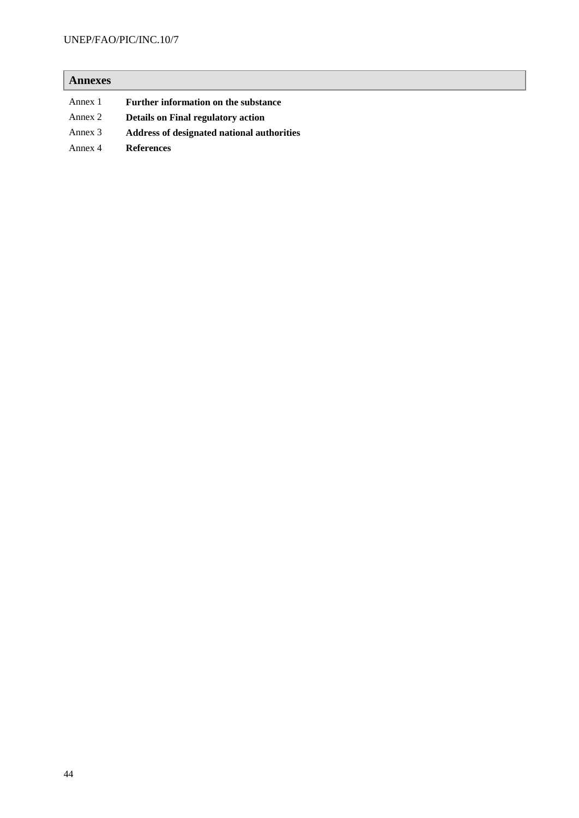## UNEP/FAO/PIC/INC.10/7

# **Annexes** Annex 1 **Further information on the substance** Annex 2 **Details on Final regulatory action** Annex 3 **Address of designated national authorities**

Annex 4 **References**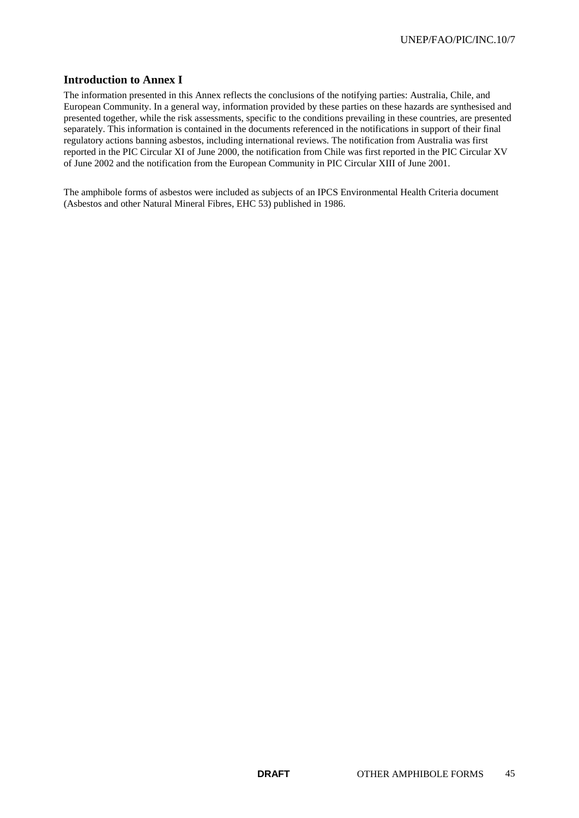## **Introduction to Annex I**

The information presented in this Annex reflects the conclusions of the notifying parties: Australia, Chile, and European Community. In a general way, information provided by these parties on these hazards are synthesised and presented together, while the risk assessments, specific to the conditions prevailing in these countries, are presented separately. This information is contained in the documents referenced in the notifications in support of their final regulatory actions banning asbestos, including international reviews. The notification from Australia was first reported in the PIC Circular XI of June 2000, the notification from Chile was first reported in the PIC Circular XV of June 2002 and the notification from the European Community in PIC Circular XIII of June 2001.

The amphibole forms of asbestos were included as subjects of an IPCS Environmental Health Criteria document (Asbestos and other Natural Mineral Fibres, EHC 53) published in 1986.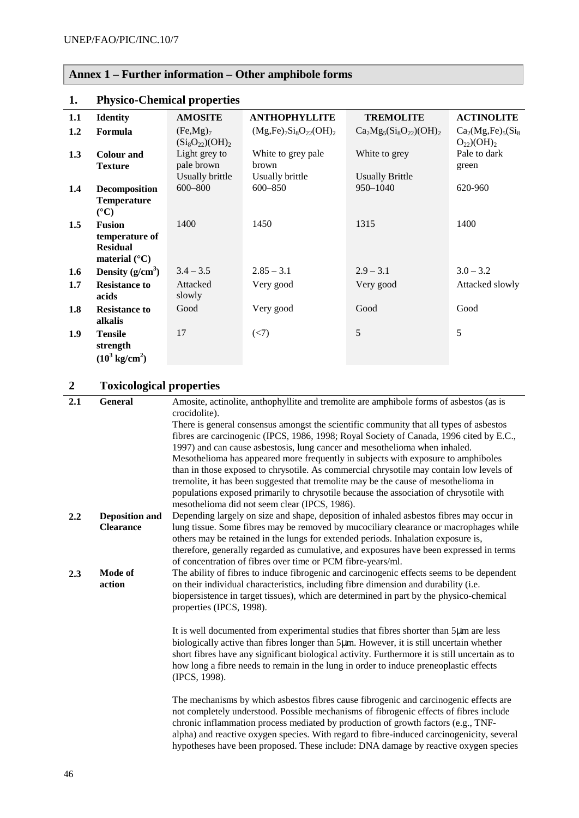# **Annex 1 – Further information – Other amphibole forms**

| 1.1 | <b>Identity</b>                                                              | <b>AMOSITE</b>                                   | <b>ANTHOPHYLLITE</b>           | <b>TREMOLITE</b>                   | <b>ACTINOLITE</b>                                 |
|-----|------------------------------------------------------------------------------|--------------------------------------------------|--------------------------------|------------------------------------|---------------------------------------------------|
| 1.2 | Formula                                                                      | (Fe, Mg) <sub>7</sub><br>$(Si_8O_{22})$ $(OH)_2$ | $(Mg,Fe)_{7}Si_8O_{22}(OH)_2$  | $Ca2Mg5(Si8O22)(OH)2$              | $Ca2(Mg,Fe)5(Si8)$<br>$O_{22}$ )(OH) <sub>2</sub> |
| 1.3 | <b>Colour</b> and<br><b>Texture</b>                                          | Light grey to<br>pale brown                      | White to grey pale<br>brown    | White to grey                      | Pale to dark<br>green                             |
| 1.4 | <b>Decomposition</b><br><b>Temperature</b><br>$({}^{\circ}C)$                | Usually brittle<br>600-800                       | Usually brittle<br>$600 - 850$ | <b>Usually Brittle</b><br>950-1040 | 620-960                                           |
| 1.5 | <b>Fusion</b><br>temperature of<br><b>Residual</b><br>material $(^{\circ}C)$ | 1400                                             | 1450                           | 1315                               | 1400                                              |
| 1.6 | Density $(g/cm^3)$                                                           | $3.4 - 3.5$                                      | $2.85 - 3.1$                   | $2.9 - 3.1$                        | $3.0 - 3.2$                                       |
| 1.7 | <b>Resistance to</b><br>acids                                                | Attacked<br>slowly                               | Very good                      | Very good                          | Attacked slowly                                   |
| 1.8 | <b>Resistance to</b><br>alkalis                                              | Good                                             | Very good                      | Good                               | Good                                              |
| 1.9 | <b>Tensile</b><br>strength<br>$(10^3 \text{ kg/cm}^2)$                       | 17                                               | (< 7)                          | 5                                  | 5                                                 |

## **1. Physico-Chemical properties**

# **2 Toxicological properties**

| 2.1 | <b>General</b>        | Amosite, actinolite, anthophyllite and tremolite are amphibole forms of asbestos (as is<br>crocidolite). |
|-----|-----------------------|----------------------------------------------------------------------------------------------------------|
|     |                       | There is general consensus amongst the scientific community that all types of asbestos                   |
|     |                       | fibres are carcinogenic (IPCS, 1986, 1998; Royal Society of Canada, 1996 cited by E.C.,                  |
|     |                       | 1997) and can cause asbestosis, lung cancer and mesothelioma when inhaled.                               |
|     |                       | Mesothelioma has appeared more frequently in subjects with exposure to amphiboles                        |
|     |                       | than in those exposed to chrysotile. As commercial chrysotile may contain low levels of                  |
|     |                       | tremolite, it has been suggested that tremolite may be the cause of mesothelioma in                      |
|     |                       | populations exposed primarily to chrysotile because the association of chrysotile with                   |
|     |                       | mesothelioma did not seem clear (IPCS, 1986).                                                            |
| 2.2 | <b>Deposition and</b> | Depending largely on size and shape, deposition of inhaled asbestos fibres may occur in                  |
|     | <b>Clearance</b>      | lung tissue. Some fibres may be removed by mucociliary clearance or macrophages while                    |
|     |                       | others may be retained in the lungs for extended periods. Inhalation exposure is,                        |
|     |                       | therefore, generally regarded as cumulative, and exposures have been expressed in terms                  |
|     |                       | of concentration of fibres over time or PCM fibre-years/ml.                                              |
| 2.3 | Mode of               | The ability of fibres to induce fibrogenic and carcinogenic effects seems to be dependent                |
|     | action                | on their individual characteristics, including fibre dimension and durability (i.e.                      |
|     |                       | biopersistence in target tissues), which are determined in part by the physico-chemical                  |
|     |                       | properties (IPCS, 1998).                                                                                 |
|     |                       |                                                                                                          |
|     |                       | It is well documented from experimental studies that fibres shorter than 5µm are less                    |
|     |                       | biologically active than fibres longer than 5µm. However, it is still uncertain whether                  |
|     |                       | short fibres have any significant biological activity. Furthermore it is still uncertain as to           |
|     |                       | how long a fibre needs to remain in the lung in order to induce preneoplastic effects                    |
|     |                       | (IPCS, 1998).                                                                                            |
|     |                       |                                                                                                          |
|     |                       | The mechanisms by which asbestos fibres cause fibrogenic and carcinogenic effects are                    |
|     |                       | not completely understood. Possible mechanisms of fibrogenic effects of fibres include                   |
|     |                       | chronic inflammation process mediated by production of growth factors (e.g., TNF-                        |
|     |                       | alpha) and reactive oxygen species. With regard to fibre-induced carcinogenicity, several                |
|     |                       | hypotheses have been proposed. These include: DNA damage by reactive oxygen species                      |
|     |                       |                                                                                                          |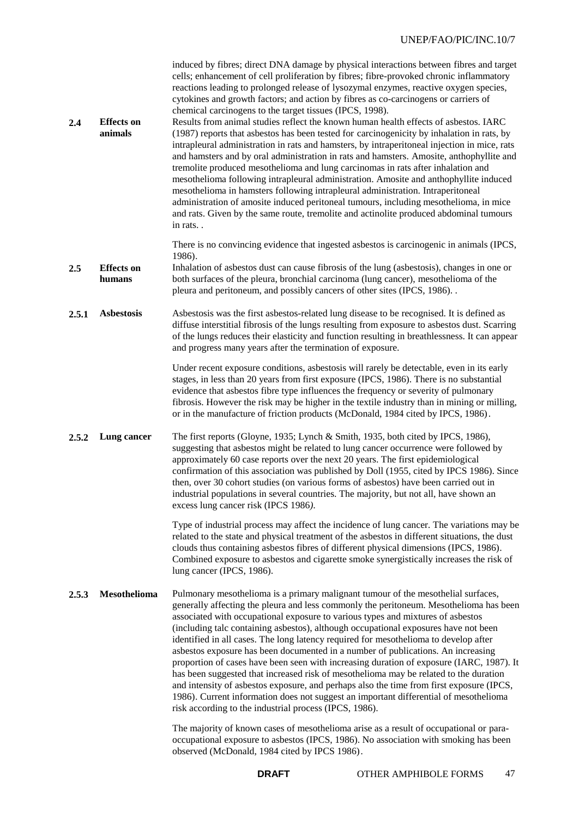| 2.4   | <b>Effects</b> on<br>animals | induced by fibres; direct DNA damage by physical interactions between fibres and target<br>cells; enhancement of cell proliferation by fibres; fibre-provoked chronic inflammatory<br>reactions leading to prolonged release of lysozymal enzymes, reactive oxygen species,<br>cytokines and growth factors; and action by fibres as co-carcinogens or carriers of<br>chemical carcinogens to the target tissues (IPCS, 1998).<br>Results from animal studies reflect the known human health effects of asbestos. IARC<br>(1987) reports that asbestos has been tested for carcinogenicity by inhalation in rats, by<br>intrapleural administration in rats and hamsters, by intraperitoneal injection in mice, rats<br>and hamsters and by oral administration in rats and hamsters. Amosite, anthophyllite and<br>tremolite produced mesothelioma and lung carcinomas in rats after inhalation and<br>mesothelioma following intrapleural administration. Amosite and anthophyllite induced<br>mesothelioma in hamsters following intrapleural administration. Intraperitoneal<br>administration of amosite induced peritoneal tumours, including mesothelioma, in mice<br>and rats. Given by the same route, tremolite and actinolite produced abdominal tumours<br>in rats |
|-------|------------------------------|--------------------------------------------------------------------------------------------------------------------------------------------------------------------------------------------------------------------------------------------------------------------------------------------------------------------------------------------------------------------------------------------------------------------------------------------------------------------------------------------------------------------------------------------------------------------------------------------------------------------------------------------------------------------------------------------------------------------------------------------------------------------------------------------------------------------------------------------------------------------------------------------------------------------------------------------------------------------------------------------------------------------------------------------------------------------------------------------------------------------------------------------------------------------------------------------------------------------------------------------------------------------------------|
| 2.5   | <b>Effects</b> on<br>humans  | There is no convincing evidence that ingested asbestos is carcinogenic in animals (IPCS,<br>1986).<br>Inhalation of asbestos dust can cause fibrosis of the lung (asbestosis), changes in one or<br>both surfaces of the pleura, bronchial carcinoma (lung cancer), mesothelioma of the<br>pleura and peritoneum, and possibly cancers of other sites (IPCS, 1986). .                                                                                                                                                                                                                                                                                                                                                                                                                                                                                                                                                                                                                                                                                                                                                                                                                                                                                                          |
| 2.5.1 | <b>Asbestosis</b>            | Asbestosis was the first asbestos-related lung disease to be recognised. It is defined as<br>diffuse interstitial fibrosis of the lungs resulting from exposure to asbestos dust. Scarring<br>of the lungs reduces their elasticity and function resulting in breathlessness. It can appear<br>and progress many years after the termination of exposure.                                                                                                                                                                                                                                                                                                                                                                                                                                                                                                                                                                                                                                                                                                                                                                                                                                                                                                                      |
|       |                              | Under recent exposure conditions, asbestosis will rarely be detectable, even in its early<br>stages, in less than 20 years from first exposure (IPCS, 1986). There is no substantial<br>evidence that asbestos fibre type influences the frequency or severity of pulmonary<br>fibrosis. However the risk may be higher in the textile industry than in mining or milling,<br>or in the manufacture of friction products (McDonald, 1984 cited by IPCS, 1986).                                                                                                                                                                                                                                                                                                                                                                                                                                                                                                                                                                                                                                                                                                                                                                                                                 |
| 2.5.2 | Lung cancer                  | The first reports (Gloyne, 1935; Lynch & Smith, 1935, both cited by IPCS, 1986),<br>suggesting that asbestos might be related to lung cancer occurrence were followed by<br>approximately 60 case reports over the next 20 years. The first epidemiological<br>confirmation of this association was published by Doll (1955, cited by IPCS 1986). Since<br>then, over 30 cohort studies (on various forms of asbestos) have been carried out in<br>industrial populations in several countries. The majority, but not all, have shown an<br>excess lung cancer risk (IPCS 1986).                                                                                                                                                                                                                                                                                                                                                                                                                                                                                                                                                                                                                                                                                               |
|       |                              | Type of industrial process may affect the incidence of lung cancer. The variations may be<br>related to the state and physical treatment of the asbestos in different situations, the dust<br>clouds thus containing asbestos fibres of different physical dimensions (IPCS, 1986).<br>Combined exposure to asbestos and cigarette smoke synergistically increases the risk of<br>lung cancer (IPCS, 1986).                                                                                                                                                                                                                                                                                                                                                                                                                                                                                                                                                                                                                                                                                                                                                                                                                                                                    |
| 2.5.3 | <b>Mesothelioma</b>          | Pulmonary mesothelioma is a primary malignant tumour of the mesothelial surfaces,<br>generally affecting the pleura and less commonly the peritoneum. Mesothelioma has been<br>associated with occupational exposure to various types and mixtures of asbestos<br>(including talc containing asbestos), although occupational exposures have not been<br>identified in all cases. The long latency required for mesothelioma to develop after<br>asbestos exposure has been documented in a number of publications. An increasing<br>proportion of cases have been seen with increasing duration of exposure (IARC, 1987). It<br>has been suggested that increased risk of mesothelioma may be related to the duration<br>and intensity of asbestos exposure, and perhaps also the time from first exposure (IPCS,<br>1986). Current information does not suggest an important differential of mesothelioma<br>risk according to the industrial process (IPCS, 1986).                                                                                                                                                                                                                                                                                                          |
|       |                              | The majority of known cases of mesothelioma arise as a result of occupational or para-<br>occupational exposure to asbestos (IPCS, 1986). No association with smoking has been<br>observed (McDonald, 1984 cited by IPCS 1986).                                                                                                                                                                                                                                                                                                                                                                                                                                                                                                                                                                                                                                                                                                                                                                                                                                                                                                                                                                                                                                                |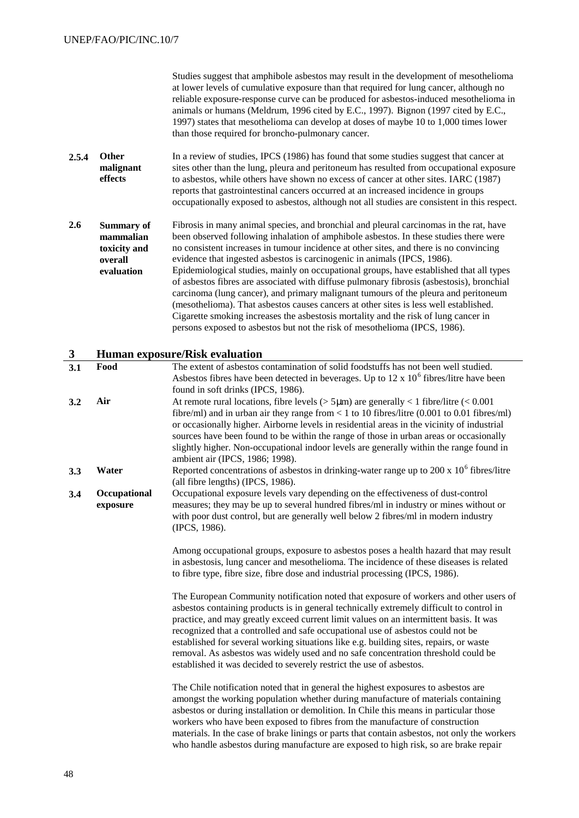| Studies suggest that amphibole asbestos may result in the development of mesothelioma  |
|----------------------------------------------------------------------------------------|
| at lower levels of cumulative exposure than that required for lung cancer, although no |
| reliable exposure-response curve can be produced for asbestos-induced mesothelioma in  |
| animals or humans (Meldrum, 1996 cited by E.C., 1997). Bignon (1997 cited by E.C.,     |
| 1997) states that mesothelioma can develop at doses of maybe 10 to 1,000 times lower   |
| than those required for broncho-pulmonary cancer.                                      |

- **2.5.4 Other malignant effects** In a review of studies, IPCS (1986) has found that some studies suggest that cancer at sites other than the lung, pleura and peritoneum has resulted from occupational exposure to asbestos, while others have shown no excess of cancer at other sites. IARC (1987) reports that gastrointestinal cancers occurred at an increased incidence in groups occupationally exposed to asbestos, although not all studies are consistent in this respect.
- **2.6 Summary of mammalian toxicity and overall evaluation** Fibrosis in many animal species, and bronchial and pleural carcinomas in the rat, have been observed following inhalation of amphibole asbestos. In these studies there were no consistent increases in tumour incidence at other sites, and there is no convincing evidence that ingested asbestos is carcinogenic in animals (IPCS, 1986). Epidemiological studies, mainly on occupational groups, have established that all types of asbestos fibres are associated with diffuse pulmonary fibrosis (asbestosis), bronchial carcinoma (lung cancer), and primary malignant tumours of the pleura and peritoneum (mesothelioma). That asbestos causes cancers at other sites is less well established. Cigarette smoking increases the asbestosis mortality and the risk of lung cancer in persons exposed to asbestos but not the risk of mesothelioma (IPCS, 1986).

## **3 Human exposure/Risk evaluation**

| 3.1 | Food                     | The extent of asbestos contamination of solid foodstuffs has not been well studied.<br>Asbestos fibres have been detected in beverages. Up to $12 \times 10^6$ fibres/litre have been<br>found in soft drinks (IPCS, 1986).                                                                                                                                                                                                                                                                                                                                                                                           |
|-----|--------------------------|-----------------------------------------------------------------------------------------------------------------------------------------------------------------------------------------------------------------------------------------------------------------------------------------------------------------------------------------------------------------------------------------------------------------------------------------------------------------------------------------------------------------------------------------------------------------------------------------------------------------------|
| 3.2 | Air                      | At remote rural locations, fibre levels ( $>$ 5 $\mu$ m) are generally < 1 fibre/litre (< 0.001<br>fibre/ml) and in urban air they range from $< 1$ to 10 fibres/litre (0.001 to 0.01 fibres/ml)<br>or occasionally higher. Airborne levels in residential areas in the vicinity of industrial<br>sources have been found to be within the range of those in urban areas or occasionally<br>slightly higher. Non-occupational indoor levels are generally within the range found in<br>ambient air (IPCS, 1986; 1998).                                                                                                |
| 3.3 | Water                    | Reported concentrations of asbestos in drinking-water range up to 200 x $10^6$ fibres/litre<br>(all fibre lengths) (IPCS, 1986).                                                                                                                                                                                                                                                                                                                                                                                                                                                                                      |
| 3.4 | Occupational<br>exposure | Occupational exposure levels vary depending on the effectiveness of dust-control<br>measures; they may be up to several hundred fibres/ml in industry or mines without or<br>with poor dust control, but are generally well below 2 fibres/ml in modern industry<br>(IPCS, 1986).                                                                                                                                                                                                                                                                                                                                     |
|     |                          | Among occupational groups, exposure to asbestos poses a health hazard that may result<br>in asbestosis, lung cancer and mesothelioma. The incidence of these diseases is related<br>to fibre type, fibre size, fibre dose and industrial processing (IPCS, 1986).                                                                                                                                                                                                                                                                                                                                                     |
|     |                          | The European Community notification noted that exposure of workers and other users of<br>asbestos containing products is in general technically extremely difficult to control in<br>practice, and may greatly exceed current limit values on an intermittent basis. It was<br>recognized that a controlled and safe occupational use of asbestos could not be<br>established for several working situations like e.g. building sites, repairs, or waste<br>removal. As asbestos was widely used and no safe concentration threshold could be<br>established it was decided to severely restrict the use of asbestos. |
|     |                          | The Chile notification noted that in general the highest exposures to asbestos are<br>amongst the working population whether during manufacture of materials containing<br>asbestos or during installation or demolition. In Chile this means in particular those<br>workers who have been exposed to fibres from the manufacture of construction<br>materials. In the case of brake linings or parts that contain asbestos, not only the workers<br>who handle asbestos during manufacture are exposed to high risk, so are brake repair                                                                             |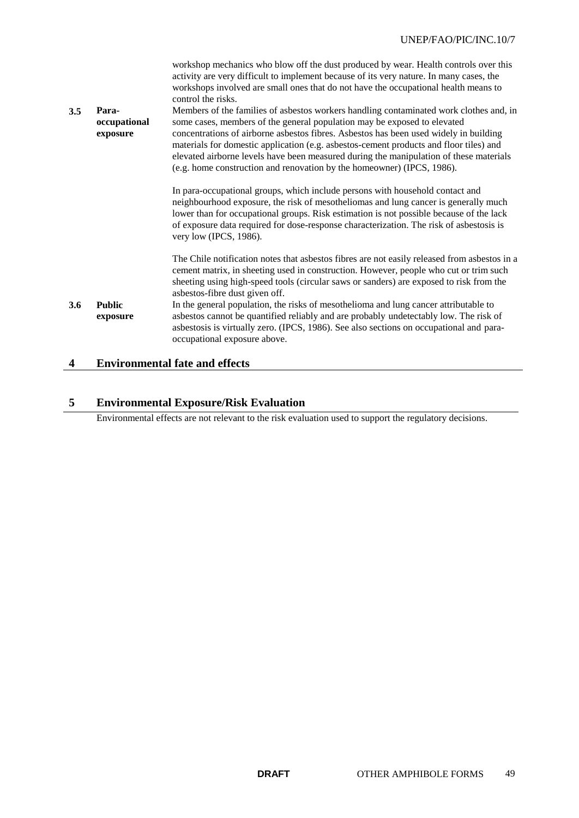| 3.5 | Para-<br>occupational<br>exposure | workshop mechanics who blow off the dust produced by wear. Health controls over this<br>activity are very difficult to implement because of its very nature. In many cases, the<br>workshops involved are small ones that do not have the occupational health means to<br>control the risks.<br>Members of the families of asbestos workers handling contaminated work clothes and, in<br>some cases, members of the general population may be exposed to elevated<br>concentrations of airborne asbestos fibres. Asbestos has been used widely in building<br>materials for domestic application (e.g. asbestos-cement products and floor tiles) and<br>elevated airborne levels have been measured during the manipulation of these materials<br>(e.g. home construction and renovation by the homeowner) (IPCS, 1986). |
|-----|-----------------------------------|---------------------------------------------------------------------------------------------------------------------------------------------------------------------------------------------------------------------------------------------------------------------------------------------------------------------------------------------------------------------------------------------------------------------------------------------------------------------------------------------------------------------------------------------------------------------------------------------------------------------------------------------------------------------------------------------------------------------------------------------------------------------------------------------------------------------------|
|     |                                   | In para-occupational groups, which include persons with household contact and<br>neighbourhood exposure, the risk of mesotheliomas and lung cancer is generally much<br>lower than for occupational groups. Risk estimation is not possible because of the lack<br>of exposure data required for dose-response characterization. The risk of asbestosis is<br>very low (IPCS, 1986).                                                                                                                                                                                                                                                                                                                                                                                                                                      |
|     |                                   | The Chile notification notes that asbestos fibres are not easily released from asbestos in a<br>cement matrix, in sheeting used in construction. However, people who cut or trim such<br>sheeting using high-speed tools (circular saws or sanders) are exposed to risk from the<br>asbestos-fibre dust given off.                                                                                                                                                                                                                                                                                                                                                                                                                                                                                                        |
| 3.6 | <b>Public</b><br>exposure         | In the general population, the risks of mesothelioma and lung cancer attributable to<br>asbestos cannot be quantified reliably and are probably undetectably low. The risk of<br>asbestosis is virtually zero. (IPCS, 1986). See also sections on occupational and para-<br>occupational exposure above.                                                                                                                                                                                                                                                                                                                                                                                                                                                                                                                  |

# **4 Environmental fate and effects**

## **5 Environmental Exposure/Risk Evaluation**

Environmental effects are not relevant to the risk evaluation used to support the regulatory decisions.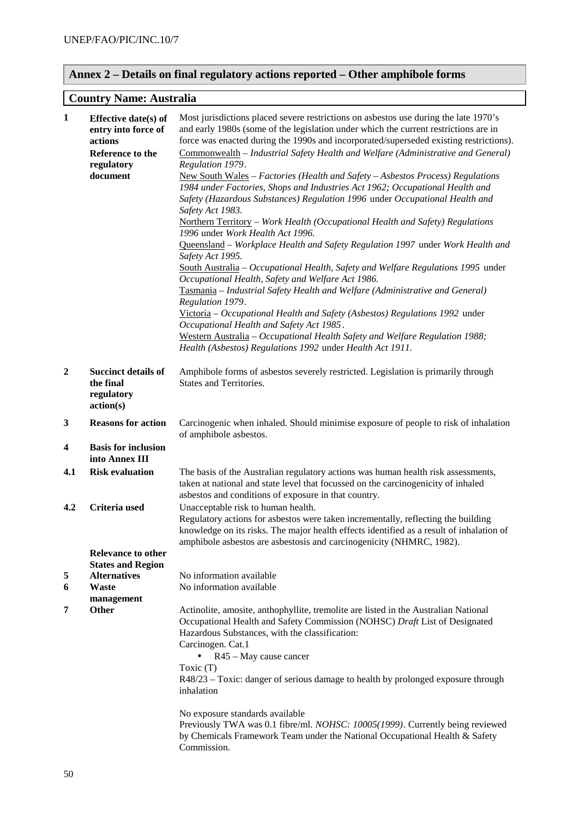# **Annex 2 – Details on final regulatory actions reported – Other amphibole forms**

## **Country Name: Australia**

| $\mathbf{1}$            | Effective date(s) of<br>entry into force of<br>actions<br>Reference to the<br>regulatory<br>document | Most jurisdictions placed severe restrictions on asbestos use during the late 1970's<br>and early 1980s (some of the legislation under which the current restrictions are in<br>force was enacted during the 1990s and incorporated/superseded existing restrictions).<br>Commonwealth - Industrial Safety Health and Welfare (Administrative and General)<br>Regulation 1979.<br>New South Wales - Factories (Health and Safety - Asbestos Process) Regulations<br>1984 under Factories, Shops and Industries Act 1962; Occupational Health and<br>Safety (Hazardous Substances) Regulation 1996 under Occupational Health and<br>Safety Act 1983.<br>Northern Territory - Work Health (Occupational Health and Safety) Regulations<br>1996 under Work Health Act 1996.<br>Queensland - Workplace Health and Safety Regulation 1997 under Work Health and<br>Safety Act 1995.<br>South Australia - Occupational Health, Safety and Welfare Regulations 1995 under<br>Occupational Health, Safety and Welfare Act 1986.<br>Tasmania - Industrial Safety Health and Welfare (Administrative and General)<br>Regulation 1979.<br>Victoria - Occupational Health and Safety (Asbestos) Regulations 1992 under<br>Occupational Health and Safety Act 1985.<br>Western Australia - Occupational Health Safety and Welfare Regulation 1988;<br>Health (Asbestos) Regulations 1992 under Health Act 1911. |
|-------------------------|------------------------------------------------------------------------------------------------------|----------------------------------------------------------------------------------------------------------------------------------------------------------------------------------------------------------------------------------------------------------------------------------------------------------------------------------------------------------------------------------------------------------------------------------------------------------------------------------------------------------------------------------------------------------------------------------------------------------------------------------------------------------------------------------------------------------------------------------------------------------------------------------------------------------------------------------------------------------------------------------------------------------------------------------------------------------------------------------------------------------------------------------------------------------------------------------------------------------------------------------------------------------------------------------------------------------------------------------------------------------------------------------------------------------------------------------------------------------------------------------------------------|
| $\boldsymbol{2}$        | <b>Succinct details of</b><br>the final<br>regulatory<br>action(s)                                   | Amphibole forms of asbestos severely restricted. Legislation is primarily through<br>States and Territories.                                                                                                                                                                                                                                                                                                                                                                                                                                                                                                                                                                                                                                                                                                                                                                                                                                                                                                                                                                                                                                                                                                                                                                                                                                                                                       |
| $\mathbf{3}$            | <b>Reasons for action</b>                                                                            | Carcinogenic when inhaled. Should minimise exposure of people to risk of inhalation<br>of amphibole asbestos.                                                                                                                                                                                                                                                                                                                                                                                                                                                                                                                                                                                                                                                                                                                                                                                                                                                                                                                                                                                                                                                                                                                                                                                                                                                                                      |
| $\overline{\mathbf{4}}$ | <b>Basis for inclusion</b><br>into Annex III                                                         |                                                                                                                                                                                                                                                                                                                                                                                                                                                                                                                                                                                                                                                                                                                                                                                                                                                                                                                                                                                                                                                                                                                                                                                                                                                                                                                                                                                                    |
| 4.1                     | <b>Risk evaluation</b>                                                                               | The basis of the Australian regulatory actions was human health risk assessments,<br>taken at national and state level that focussed on the carcinogenicity of inhaled<br>asbestos and conditions of exposure in that country.                                                                                                                                                                                                                                                                                                                                                                                                                                                                                                                                                                                                                                                                                                                                                                                                                                                                                                                                                                                                                                                                                                                                                                     |
| 4.2                     | Criteria used<br><b>Relevance to other</b>                                                           | Unacceptable risk to human health.<br>Regulatory actions for asbestos were taken incrementally, reflecting the building<br>knowledge on its risks. The major health effects identified as a result of inhalation of<br>amphibole asbestos are asbestosis and carcinogenicity (NHMRC, 1982).                                                                                                                                                                                                                                                                                                                                                                                                                                                                                                                                                                                                                                                                                                                                                                                                                                                                                                                                                                                                                                                                                                        |
|                         | <b>States and Region</b>                                                                             |                                                                                                                                                                                                                                                                                                                                                                                                                                                                                                                                                                                                                                                                                                                                                                                                                                                                                                                                                                                                                                                                                                                                                                                                                                                                                                                                                                                                    |
| 5<br>6                  | <b>Alternatives</b><br><b>Waste</b>                                                                  | No information available<br>No information available                                                                                                                                                                                                                                                                                                                                                                                                                                                                                                                                                                                                                                                                                                                                                                                                                                                                                                                                                                                                                                                                                                                                                                                                                                                                                                                                               |
|                         | management                                                                                           |                                                                                                                                                                                                                                                                                                                                                                                                                                                                                                                                                                                                                                                                                                                                                                                                                                                                                                                                                                                                                                                                                                                                                                                                                                                                                                                                                                                                    |
| 7                       | Other                                                                                                | Actinolite, amosite, anthophyllite, tremolite are listed in the Australian National<br>Occupational Health and Safety Commission (NOHSC) Draft List of Designated<br>Hazardous Substances, with the classification:<br>Carcinogen. Cat.1<br>R45 - May cause cancer<br>Toxic (T)<br>R48/23 – Toxic: danger of serious damage to health by prolonged exposure through<br>inhalation                                                                                                                                                                                                                                                                                                                                                                                                                                                                                                                                                                                                                                                                                                                                                                                                                                                                                                                                                                                                                  |
|                         |                                                                                                      | No exposure standards available<br>Previously TWA was 0.1 fibre/ml. NOHSC: 10005(1999). Currently being reviewed<br>by Chemicals Framework Team under the National Occupational Health & Safety<br>Commission.                                                                                                                                                                                                                                                                                                                                                                                                                                                                                                                                                                                                                                                                                                                                                                                                                                                                                                                                                                                                                                                                                                                                                                                     |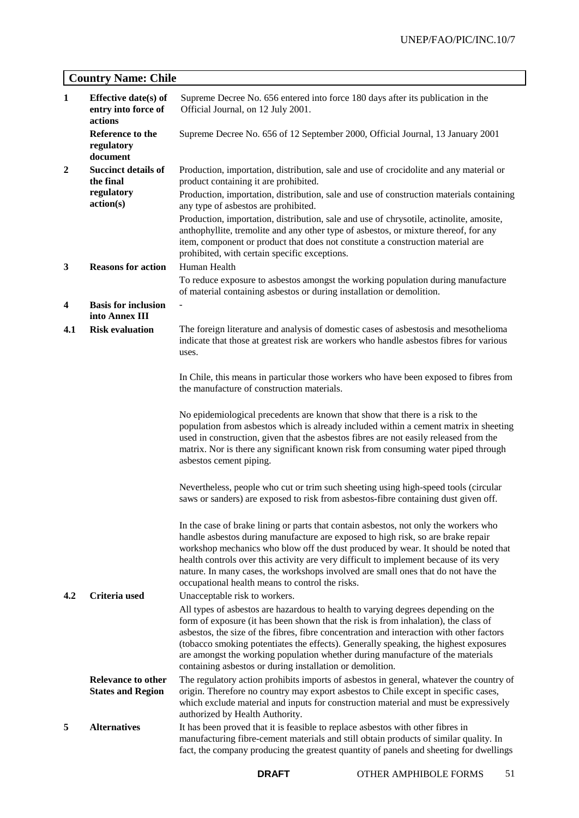# **Country Name: Chile**

| $\mathbf{1}$   | <b>Effective date(s) of</b><br>entry into force of<br>actions | Supreme Decree No. 656 entered into force 180 days after its publication in the<br>Official Journal, on 12 July 2001.                                                                                                                                                                                                                                                                                                                                                                                                             |  |
|----------------|---------------------------------------------------------------|-----------------------------------------------------------------------------------------------------------------------------------------------------------------------------------------------------------------------------------------------------------------------------------------------------------------------------------------------------------------------------------------------------------------------------------------------------------------------------------------------------------------------------------|--|
|                | Reference to the<br>regulatory<br>document                    | Supreme Decree No. 656 of 12 September 2000, Official Journal, 13 January 2001                                                                                                                                                                                                                                                                                                                                                                                                                                                    |  |
| $\overline{2}$ | <b>Succinct details of</b><br>the final                       | Production, importation, distribution, sale and use of crocidolite and any material or<br>product containing it are prohibited.                                                                                                                                                                                                                                                                                                                                                                                                   |  |
|                | regulatory<br>action(s)                                       | Production, importation, distribution, sale and use of construction materials containing<br>any type of asbestos are prohibited.                                                                                                                                                                                                                                                                                                                                                                                                  |  |
| 3              | <b>Reasons for action</b>                                     | Production, importation, distribution, sale and use of chrysotile, actinolite, amosite,<br>anthophyllite, tremolite and any other type of asbestos, or mixture thereof, for any<br>item, component or product that does not constitute a construction material are<br>prohibited, with certain specific exceptions.<br>Human Health                                                                                                                                                                                               |  |
|                |                                                               | To reduce exposure to asbestos amongst the working population during manufacture<br>of material containing asbestos or during installation or demolition.                                                                                                                                                                                                                                                                                                                                                                         |  |
| 4              | <b>Basis for inclusion</b><br>into Annex III                  |                                                                                                                                                                                                                                                                                                                                                                                                                                                                                                                                   |  |
| 4.1            | <b>Risk evaluation</b>                                        | The foreign literature and analysis of domestic cases of asbestosis and mesothelioma<br>indicate that those at greatest risk are workers who handle asbestos fibres for various<br>uses.                                                                                                                                                                                                                                                                                                                                          |  |
|                |                                                               | In Chile, this means in particular those workers who have been exposed to fibres from<br>the manufacture of construction materials.                                                                                                                                                                                                                                                                                                                                                                                               |  |
|                |                                                               | No epidemiological precedents are known that show that there is a risk to the<br>population from asbestos which is already included within a cement matrix in sheeting<br>used in construction, given that the asbestos fibres are not easily released from the<br>matrix. Nor is there any significant known risk from consuming water piped through<br>asbestos cement piping.                                                                                                                                                  |  |
|                |                                                               | Nevertheless, people who cut or trim such sheeting using high-speed tools (circular<br>saws or sanders) are exposed to risk from asbestos-fibre containing dust given off.                                                                                                                                                                                                                                                                                                                                                        |  |
| 4.2            | Criteria used                                                 | In the case of brake lining or parts that contain asbestos, not only the workers who<br>handle asbestos during manufacture are exposed to high risk, so are brake repair<br>workshop mechanics who blow off the dust produced by wear. It should be noted that<br>health controls over this activity are very difficult to implement because of its very<br>nature. In many cases, the workshops involved are small ones that do not have the<br>occupational health means to control the risks.<br>Unacceptable risk to workers. |  |
|                |                                                               | All types of asbestos are hazardous to health to varying degrees depending on the<br>form of exposure (it has been shown that the risk is from inhalation), the class of<br>asbestos, the size of the fibres, fibre concentration and interaction with other factors<br>(tobacco smoking potentiates the effects). Generally speaking, the highest exposures<br>are amongst the working population whether during manufacture of the materials<br>containing asbestos or during installation or demolition.                       |  |
|                | <b>Relevance to other</b><br><b>States and Region</b>         | The regulatory action prohibits imports of asbestos in general, whatever the country of<br>origin. Therefore no country may export asbestos to Chile except in specific cases,<br>which exclude material and inputs for construction material and must be expressively<br>authorized by Health Authority.                                                                                                                                                                                                                         |  |
| 5              | <b>Alternatives</b>                                           | It has been proved that it is feasible to replace asbestos with other fibres in<br>manufacturing fibre-cement materials and still obtain products of similar quality. In<br>fact, the company producing the greatest quantity of panels and sheeting for dwellings                                                                                                                                                                                                                                                                |  |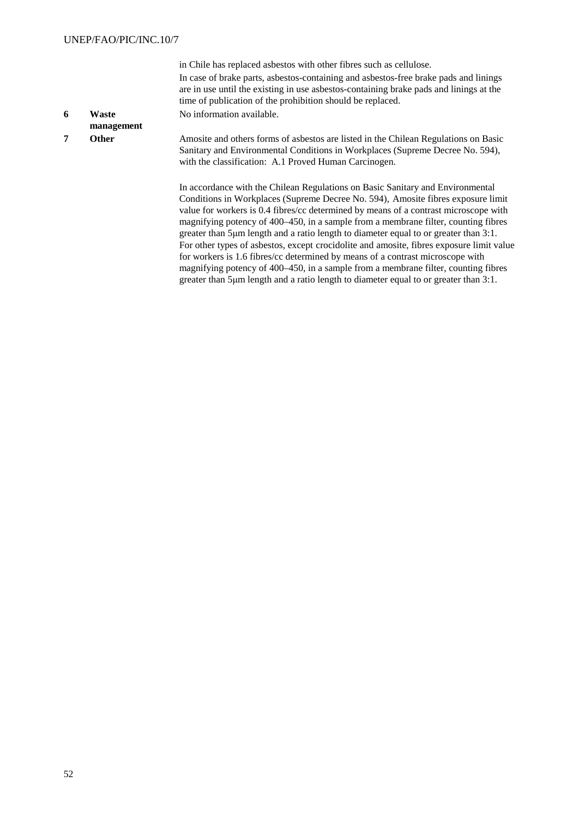in Chile has replaced asbestos with other fibres such as cellulose. In case of brake parts, asbestos-containing and asbestos-free brake pads and linings are in use until the existing in use asbestos-containing brake pads and linings at the time of publication of the prohibition should be replaced. No information available.

#### **6 Waste management**

**7 Other** Amosite and others forms of asbestos are listed in the Chilean Regulations on Basic Sanitary and Environmental Conditions in Workplaces (Supreme Decree No. 594), with the classification: A.1 Proved Human Carcinogen.

> In accordance with the Chilean Regulations on Basic Sanitary and Environmental Conditions in Workplaces (Supreme Decree No. 594), Amosite fibres exposure limit value for workers is 0.4 fibres/cc determined by means of a contrast microscope with magnifying potency of 400–450, in a sample from a membrane filter, counting fibres greater than 5μm length and a ratio length to diameter equal to or greater than 3:1. For other types of asbestos, except crocidolite and amosite, fibres exposure limit value for workers is 1.6 fibres/cc determined by means of a contrast microscope with magnifying potency of 400–450, in a sample from a membrane filter, counting fibres greater than 5μm length and a ratio length to diameter equal to or greater than 3:1.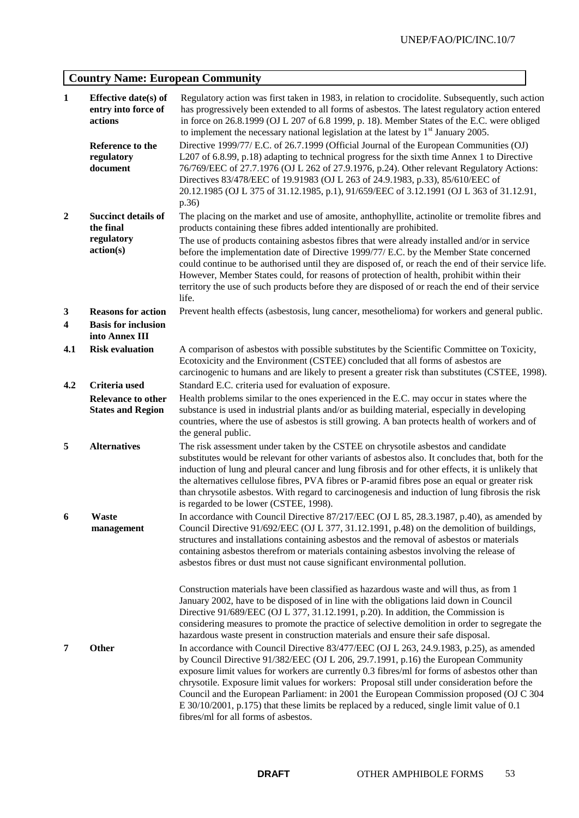# **Country Name: European Community**

| $\mathbf{1}$            | Effective date(s) of<br>entry into force of<br>actions<br>Reference to the | Regulatory action was first taken in 1983, in relation to crocidolite. Subsequently, such action<br>has progressively been extended to all forms of asbestos. The latest regulatory action entered<br>in force on 26.8.1999 (OJ L 207 of 6.8 1999, p. 18). Member States of the E.C. were obliged<br>to implement the necessary national legislation at the latest by $1st$ January 2005.<br>Directive 1999/77/ E.C. of 26.7.1999 (Official Journal of the European Communities (OJ)                                                                                                                             |
|-------------------------|----------------------------------------------------------------------------|------------------------------------------------------------------------------------------------------------------------------------------------------------------------------------------------------------------------------------------------------------------------------------------------------------------------------------------------------------------------------------------------------------------------------------------------------------------------------------------------------------------------------------------------------------------------------------------------------------------|
|                         | regulatory<br>document                                                     | L207 of 6.8.99, p.18) adapting to technical progress for the sixth time Annex 1 to Directive<br>76/769/EEC of 27.7.1976 (OJ L 262 of 27.9.1976, p.24). Other relevant Regulatory Actions:<br>Directives 83/478/EEC of 19.91983 (OJ L 263 of 24.9.1983, p.33), 85/610/EEC of<br>20.12.1985 (OJ L 375 of 31.12.1985, p.1), 91/659/EEC of 3.12.1991 (OJ L 363 of 31.12.91,<br>p.36)                                                                                                                                                                                                                                 |
| $\boldsymbol{2}$        | <b>Succinct details of</b><br>the final<br>regulatory                      | The placing on the market and use of amosite, anthophyllite, actinolite or tremolite fibres and<br>products containing these fibres added intentionally are prohibited.<br>The use of products containing asbestos fibres that were already installed and/or in service                                                                                                                                                                                                                                                                                                                                          |
|                         | action(s)                                                                  | before the implementation date of Directive 1999/77/ E.C. by the Member State concerned<br>could continue to be authorised until they are disposed of, or reach the end of their service life.<br>However, Member States could, for reasons of protection of health, prohibit within their<br>territory the use of such products before they are disposed of or reach the end of their service<br>life.                                                                                                                                                                                                          |
| $\mathbf{3}$            | <b>Reasons for action</b>                                                  | Prevent health effects (asbestosis, lung cancer, mesothelioma) for workers and general public.                                                                                                                                                                                                                                                                                                                                                                                                                                                                                                                   |
| $\overline{\mathbf{4}}$ | <b>Basis for inclusion</b><br>into Annex III                               |                                                                                                                                                                                                                                                                                                                                                                                                                                                                                                                                                                                                                  |
| 4.1                     | <b>Risk evaluation</b>                                                     | A comparison of asbestos with possible substitutes by the Scientific Committee on Toxicity,<br>Ecotoxicity and the Environment (CSTEE) concluded that all forms of asbestos are<br>carcinogenic to humans and are likely to present a greater risk than substitutes (CSTEE, 1998).                                                                                                                                                                                                                                                                                                                               |
| 4.2                     | Criteria used                                                              | Standard E.C. criteria used for evaluation of exposure.                                                                                                                                                                                                                                                                                                                                                                                                                                                                                                                                                          |
|                         | <b>Relevance to other</b><br><b>States and Region</b>                      | Health problems similar to the ones experienced in the E.C. may occur in states where the<br>substance is used in industrial plants and/or as building material, especially in developing<br>countries, where the use of asbestos is still growing. A ban protects health of workers and of<br>the general public.                                                                                                                                                                                                                                                                                               |
| 5                       | <b>Alternatives</b>                                                        | The risk assessment under taken by the CSTEE on chrysotile asbestos and candidate<br>substitutes would be relevant for other variants of asbestos also. It concludes that, both for the<br>induction of lung and pleural cancer and lung fibrosis and for other effects, it is unlikely that<br>the alternatives cellulose fibres, PVA fibres or P-aramid fibres pose an equal or greater risk<br>than chrysotile asbestos. With regard to carcinogenesis and induction of lung fibrosis the risk<br>is regarded to be lower (CSTEE, 1998).                                                                      |
| 6                       | <b>Waste</b><br>management                                                 | In accordance with Council Directive 87/217/EEC (OJ L 85, 28.3.1987, p.40), as amended by<br>Council Directive 91/692/EEC (OJ L 377, 31.12.1991, p.48) on the demolition of buildings,<br>structures and installations containing asbestos and the removal of asbestos or materials<br>containing asbestos therefrom or materials containing asbestos involving the release of<br>asbestos fibres or dust must not cause significant environmental pollution.                                                                                                                                                    |
|                         |                                                                            | Construction materials have been classified as hazardous waste and will thus, as from 1<br>January 2002, have to be disposed of in line with the obligations laid down in Council<br>Directive 91/689/EEC (OJ L 377, 31.12.1991, p.20). In addition, the Commission is<br>considering measures to promote the practice of selective demolition in order to segregate the<br>hazardous waste present in construction materials and ensure their safe disposal.                                                                                                                                                    |
| 7                       | Other                                                                      | In accordance with Council Directive 83/477/EEC (OJ L 263, 24.9.1983, p.25), as amended<br>by Council Directive 91/382/EEC (OJ L 206, 29.7.1991, p.16) the European Community<br>exposure limit values for workers are currently 0.3 fibres/ml for forms of asbestos other than<br>chrysotile. Exposure limit values for workers: Proposal still under consideration before the<br>Council and the European Parliament: in 2001 the European Commission proposed (OJ C 304<br>E 30/10/2001, p.175) that these limits be replaced by a reduced, single limit value of 0.1<br>fibres/ml for all forms of asbestos. |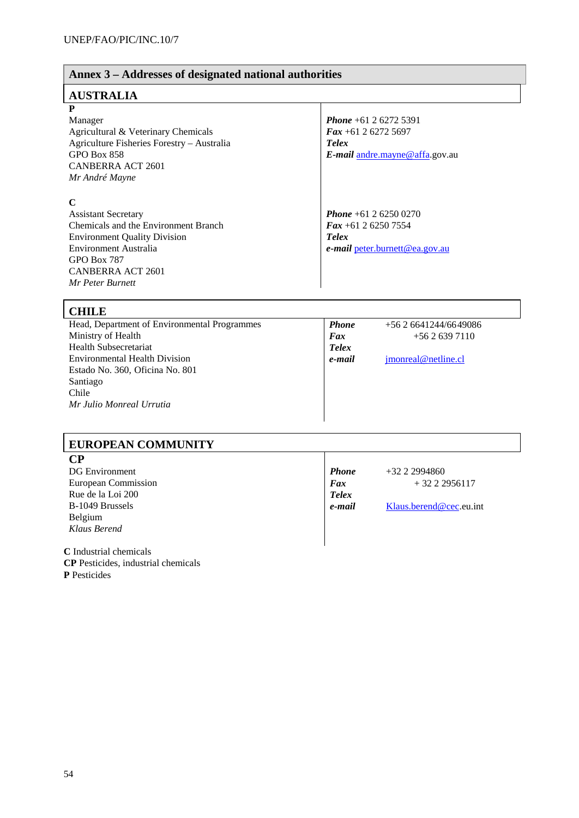#### **Annex 3 – Addresses of designated national authorities AUSTRALIA P** Manager Agricultural & Veterinary Chemicals Agriculture Fisheries Forestry – Australia GPO Box 858 CANBERRA ACT 2601 *Mr André Mayne Phone* +61 2 6272 5391 *Fax* +61 2 6272 5697 *Telex E-mail* andre.mayne@affa.gov.au **C** Assistant Secretary Chemicals and the Environment Branch Environment Quality Division Environment Australia GPO Box 787 *Phone* +61 2 6250 0270 *Fax* +61 2 6250 7554 *Telex e***-***mail* peter.burnett@ea.gov.au

# **CHILE**

CANBERRA ACT 2601 *Mr Peter Burnett*

| VIIIDD                                       |              |                      |  |
|----------------------------------------------|--------------|----------------------|--|
| Head, Department of Environmental Programmes | <b>Phone</b> | $+562641244/6649086$ |  |
| Ministry of Health                           | Fax          | $+5626397110$        |  |
| <b>Health Subsecretariat</b>                 | <b>Telex</b> |                      |  |
| <b>Environmental Health Division</b>         | e-mail       | jmonreal@netline.cl  |  |
| Estado No. 360, Oficina No. 801              |              |                      |  |
| Santiago                                     |              |                      |  |
| Chile                                        |              |                      |  |
| Mr Julio Monreal Urrutia                     |              |                      |  |
|                                              |              |                      |  |

## **EUROPEAN COMMUNITY**

### **CP**

DG Environment European Commission Rue de la Loi 200 B-1049 Brussels Belgium *Klaus Berend*

*Phone* +32 2 2994860  $Fax + 3222956117$ *Telex e***-***mail* Klaus.berend@cec.eu.int

**C** Industrial chemicals **CP** Pesticides, industrial chemicals **P** Pesticides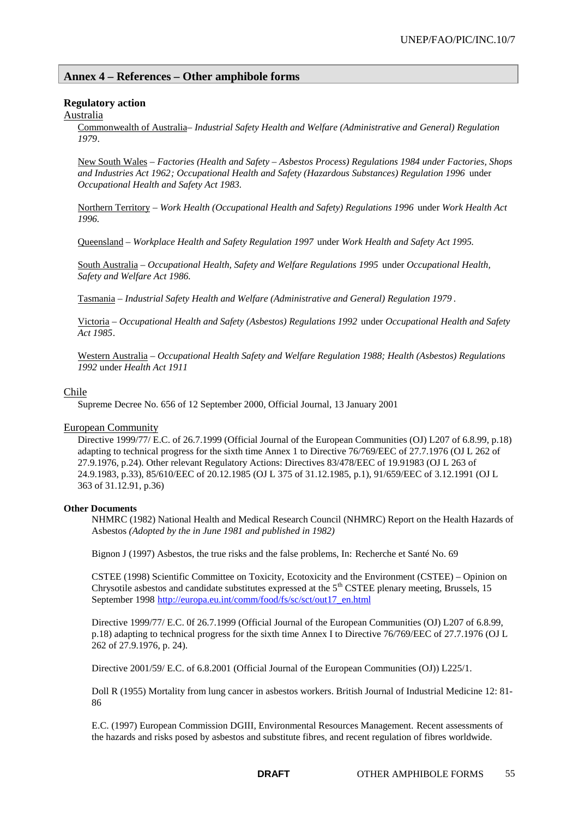## **Annex 4 – References – Other amphibole forms**

### **Regulatory action**

### Australia

Commonwealth of Australia– *Industrial Safety Health and Welfare (Administrative and General) Regulation 1979*.

New South Wales – *Factories (Health and Safety – Asbestos Process) Regulations 1984 under Factories, Shops and Industries Act 1962; Occupational Health and Safety (Hazardous Substances) Regulation 1996* under *Occupational Health and Safety Act 1983.*

Northern Territory – *Work Health (Occupational Health and Safety) Regulations 1996* under *Work Health Act 1996.*

Queensland – *Workplace Health and Safety Regulation 1997* under *Work Health and Safety Act 1995.*

South Australia – *Occupational Health, Safety and Welfare Regulations 1995* under *Occupational Health, Safety and Welfare Act 1986.*

Tasmania – *Industrial Safety Health and Welfare (Administrative and General) Regulation 1979* .

Victoria – *Occupational Health and Safety (Asbestos) Regulations 1992* under *Occupational Health and Safety Act 1985*.

Western Australia – *Occupational Health Safety and Welfare Regulation 1988; Health (Asbestos) Regulations 1992* under *Health Act 1911*

#### Chile

Supreme Decree No. 656 of 12 September 2000, Official Journal, 13 January 2001

#### European Community

Directive 1999/77/ E.C. of 26.7.1999 (Official Journal of the European Communities (OJ) L207 of 6.8.99, p.18) adapting to technical progress for the sixth time Annex 1 to Directive 76/769/EEC of 27.7.1976 (OJ L 262 of 27.9.1976, p.24). Other relevant Regulatory Actions: Directives 83/478/EEC of 19.91983 (OJ L 263 of 24.9.1983, p.33), 85/610/EEC of 20.12.1985 (OJ L 375 of 31.12.1985, p.1), 91/659/EEC of 3.12.1991 (OJ L 363 of 31.12.91, p.36)

#### **Other Documents**

NHMRC (1982) National Health and Medical Research Council (NHMRC) Report on the Health Hazards of Asbestos *(Adopted by the in June 1981 and published in 1982)*

Bignon J (1997) Asbestos, the true risks and the false problems, In: Recherche et Santé No. 69

CSTEE (1998) Scientific Committee on Toxicity, Ecotoxicity and the Environment (CSTEE) – Opinion on Chrysotile asbestos and candidate substitutes expressed at the  $5<sup>th</sup>$  CSTEE plenary meeting, Brussels, 15 September 1998 http://europa.eu.int/comm/food/fs/sc/sct/out17\_en.html

Directive 1999/77/ E.C. 0f 26.7.1999 (Official Journal of the European Communities (OJ) L207 of 6.8.99, p.18) adapting to technical progress for the sixth time Annex I to Directive 76/769/EEC of 27.7.1976 (OJ L 262 of 27.9.1976, p. 24).

Directive 2001/59/ E.C. of 6.8.2001 (Official Journal of the European Communities (OJ)) L225/1.

Doll R (1955) Mortality from lung cancer in asbestos workers. British Journal of Industrial Medicine 12: 81- 86

E.C. (1997) European Commission DGIII, Environmental Resources Management. Recent assessments of the hazards and risks posed by asbestos and substitute fibres, and recent regulation of fibres worldwide.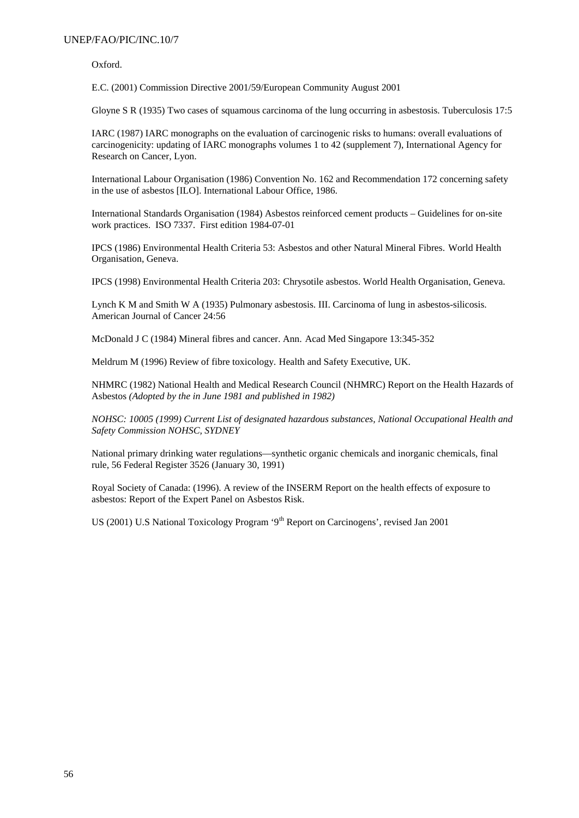### UNEP/FAO/PIC/INC.10/7

Oxford.

E.C. (2001) Commission Directive 2001/59/European Community August 2001

Gloyne S R (1935) Two cases of squamous carcinoma of the lung occurring in asbestosis. Tuberculosis 17:5

IARC (1987) IARC monographs on the evaluation of carcinogenic risks to humans: overall evaluations of carcinogenicity: updating of IARC monographs volumes 1 to 42 (supplement 7), International Agency for Research on Cancer, Lyon.

International Labour Organisation (1986) Convention No. 162 and Recommendation 172 concerning safety in the use of asbestos [ILO]. International Labour Office, 1986.

International Standards Organisation (1984) Asbestos reinforced cement products – Guidelines for on-site work practices. ISO 7337. First edition 1984-07-01

IPCS (1986) Environmental Health Criteria 53: Asbestos and other Natural Mineral Fibres. World Health Organisation, Geneva.

IPCS (1998) Environmental Health Criteria 203: Chrysotile asbestos. World Health Organisation, Geneva.

Lynch K M and Smith W A (1935) Pulmonary asbestosis. III. Carcinoma of lung in asbestos-silicosis. American Journal of Cancer 24:56

McDonald J C (1984) Mineral fibres and cancer. Ann. Acad Med Singapore 13:345-352

Meldrum M (1996) Review of fibre toxicology. Health and Safety Executive, UK.

NHMRC (1982) National Health and Medical Research Council (NHMRC) Report on the Health Hazards of Asbestos *(Adopted by the in June 1981 and published in 1982)*

*NOHSC: 10005 (1999) Current List of designated hazardous substances, National Occupational Health and Safety Commission NOHSC, SYDNEY*

National primary drinking water regulations—synthetic organic chemicals and inorganic chemicals, final rule, 56 Federal Register 3526 (January 30, 1991)

Royal Society of Canada: (1996). A review of the INSERM Report on the health effects of exposure to asbestos: Report of the Expert Panel on Asbestos Risk.

US (2001) U.S National Toxicology Program '9<sup>th</sup> Report on Carcinogens', revised Jan 2001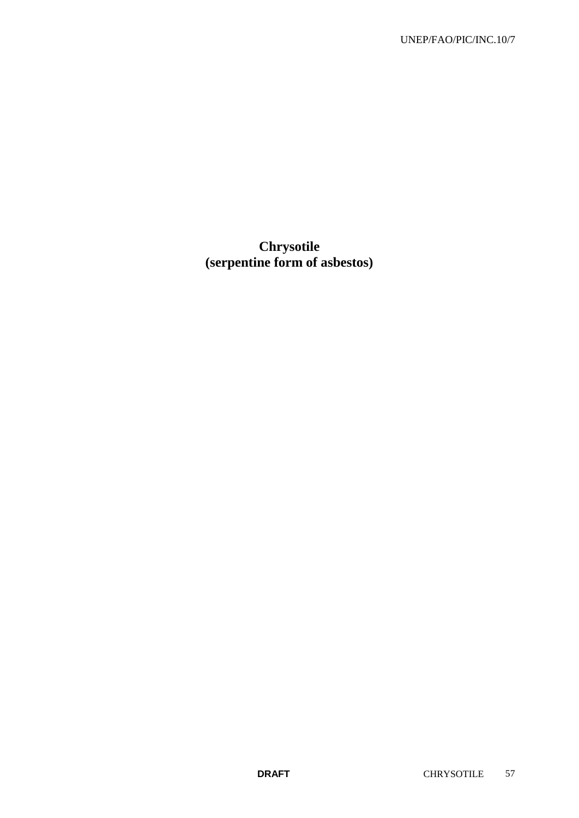# **Chrysotile (serpentine form of asbestos)**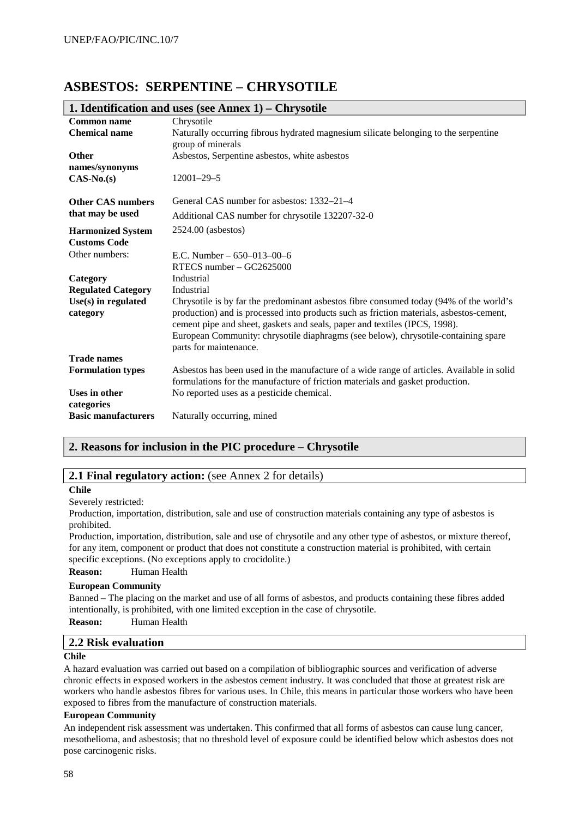## **ASBESTOS: SERPENTINE – CHRYSOTILE**

|                                          | 1. Identification and uses (see Annex 1) – Chrysotile                                                                                                                 |
|------------------------------------------|-----------------------------------------------------------------------------------------------------------------------------------------------------------------------|
| Common name                              | Chrysotile                                                                                                                                                            |
| <b>Chemical name</b>                     | Naturally occurring fibrous hydrated magnesium silicate belonging to the serpentine                                                                                   |
|                                          | group of minerals                                                                                                                                                     |
| <b>Other</b>                             | Asbestos, Serpentine asbestos, white asbestos                                                                                                                         |
| names/synonyms                           |                                                                                                                                                                       |
| $CAS-N0(s)$                              | $12001 - 29 - 5$                                                                                                                                                      |
| <b>Other CAS numbers</b>                 | General CAS number for aspessors: 1332–21–4                                                                                                                           |
| that may be used                         |                                                                                                                                                                       |
|                                          | Additional CAS number for chrysotile 132207-32-0                                                                                                                      |
| <b>Harmonized System</b>                 | 2524.00 (asbestos)                                                                                                                                                    |
| <b>Customs Code</b>                      |                                                                                                                                                                       |
| Other numbers:                           | E.C. Number $-650-013-00-6$                                                                                                                                           |
|                                          | RTECS number - GC2625000                                                                                                                                              |
| Category                                 | Industrial                                                                                                                                                            |
| <b>Regulated Category</b>                | Industrial                                                                                                                                                            |
| $Use(s)$ in regulated                    | Chrysotile is by far the predominant asbestos fibre consumed today (94% of the world's                                                                                |
| category                                 | production) and is processed into products such as friction materials, asbestos-cement,<br>cement pipe and sheet, gaskets and seals, paper and textiles (IPCS, 1998). |
|                                          | European Community: chrysotile diaphragms (see below), chrysotile-containing spare                                                                                    |
|                                          | parts for maintenance.                                                                                                                                                |
| <b>Trade names</b>                       |                                                                                                                                                                       |
| <b>Formulation types</b>                 | Asbestos has been used in the manufacture of a wide range of articles. Available in solid                                                                             |
|                                          | formulations for the manufacture of friction materials and gasket production.                                                                                         |
| Uses in other                            | No reported uses as a pesticide chemical.                                                                                                                             |
| categories<br><b>Basic manufacturers</b> | Naturally occurring, mined                                                                                                                                            |
|                                          |                                                                                                                                                                       |

## **1. Identification and uses (see Annex 1) – Chrysotile**

## **2. Reasons for inclusion in the PIC procedure – Chrysotile**

## **2.1 Final regulatory action:** (see Annex 2 for details)

#### **Chile**

Severely restricted:

Production, importation, distribution, sale and use of construction materials containing any type of asbestos is prohibited.

Production, importation, distribution, sale and use of chrysotile and any other type of asbestos, or mixture thereof, for any item, component or product that does not constitute a construction material is prohibited, with certain specific exceptions. (No exceptions apply to crocidolite.)

**Reason:** Human Health

#### **European Community**

Banned – The placing on the market and use of all forms of asbestos, and products containing these fibres added intentionally, is prohibited, with one limited exception in the case of chrysotile.

**Reason:** Human Health

### **2.2 Risk evaluation**

#### **Chile**

A hazard evaluation was carried out based on a compilation of bibliographic sources and verification of adverse chronic effects in exposed workers in the asbestos cement industry. It was concluded that those at greatest risk are workers who handle asbestos fibres for various uses. In Chile, this means in particular those workers who have been exposed to fibres from the manufacture of construction materials.

#### **European Community**

An independent risk assessment was undertaken. This confirmed that all forms of asbestos can cause lung cancer, mesothelioma, and asbestosis; that no threshold level of exposure could be identified below which asbestos does not pose carcinogenic risks.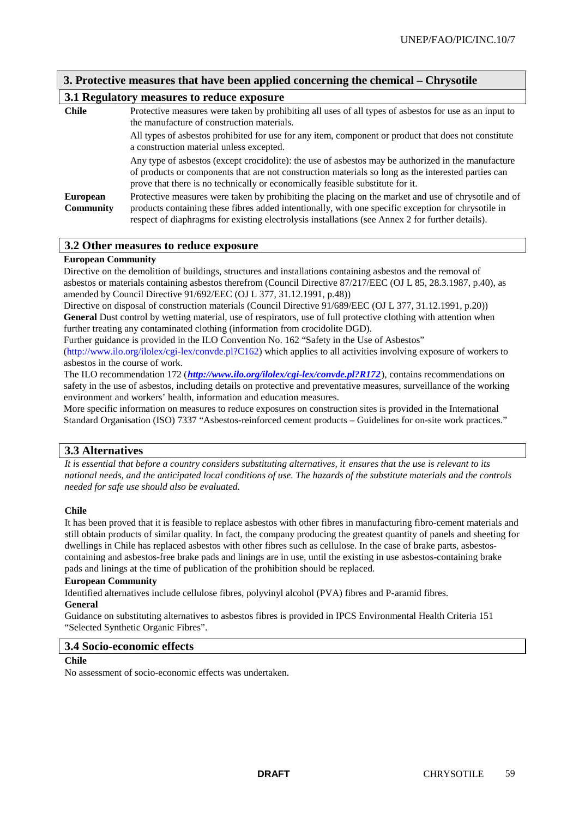## **3. Protective measures that have been applied concerning the chemical – Chrysotile**

## **3.1 Regulatory measures to reduce exposure**

| <b>Chile</b>     | Protective measures were taken by prohibiting all uses of all types of asbestos for use as an input to<br>the manufacture of construction materials.                                                                                                                                         |
|------------------|----------------------------------------------------------------------------------------------------------------------------------------------------------------------------------------------------------------------------------------------------------------------------------------------|
|                  | All types of asbestos prohibited for use for any item, component or product that does not constitute<br>a construction material unless excepted.                                                                                                                                             |
|                  | Any type of asbestos (except crocidolite): the use of asbestos may be authorized in the manufacture<br>of products or components that are not construction materials so long as the interested parties can<br>prove that there is no technically or economically feasible substitute for it. |
| <b>European</b>  | Protective measures were taken by prohibiting the placing on the market and use of chrysotile and of                                                                                                                                                                                         |
| <b>Community</b> | products containing these fibres added intentionally, with one specific exception for chrysotile in<br>respect of diaphragms for existing electrolysis installations (see Annex 2 for further details).                                                                                      |

#### **3.2 Other measures to reduce exposure**

#### **European Community**

Directive on the demolition of buildings, structures and installations containing asbestos and the removal of asbestos or materials containing asbestos therefrom (Council Directive 87/217/EEC (OJ L 85, 28.3.1987, p.40), as amended by Council Directive 91/692/EEC (OJ L 377, 31.12.1991, p.48))

Directive on disposal of construction materials (Council Directive 91/689/EEC (OJ L 377, 31.12.1991, p.20)) General Dust control by wetting material, use of respirators, use of full protective clothing with attention when further treating any contaminated clothing (information from crocidolite DGD).

Further guidance is provided in the ILO Convention No. 162 "Safety in the Use of Asbestos"

(http://www.ilo.org/ilolex/cgi-lex/convde.pl?C162) which applies to all activities involving exposure of workers to asbestos in the course of work.

The ILO recommendation 172 (*http://www.ilo.org/ilolex/cgi-lex/convde.pl?R172*), contains recommendations on safety in the use of asbestos, including details on protective and preventative measures, surveillance of the working environment and workers' health, information and education measures.

More specific information on measures to reduce exposures on construction sites is provided in the International Standard Organisation (ISO) 7337 "Asbestos-reinforced cement products – Guidelines for on-site work practices."

## **3.3 Alternatives**

*It is essential that before a country considers substituting alternatives, it ensures that the use is relevant to its national needs, and the anticipated local conditions of use. The hazards of the substitute materials and the controls needed for safe use should also be evaluated.*

#### **Chile**

It has been proved that it is feasible to replace asbestos with other fibres in manufacturing fibro-cement materials and still obtain products of similar quality. In fact, the company producing the greatest quantity of panels and sheeting for dwellings in Chile has replaced asbestos with other fibres such as cellulose. In the case of brake parts, asbestoscontaining and asbestos-free brake pads and linings are in use, until the existing in use asbestos-containing brake pads and linings at the time of publication of the prohibition should be replaced.

#### **European Community**

Identified alternatives include cellulose fibres, polyvinyl alcohol (PVA) fibres and P-aramid fibres.

## **General**

Guidance on substituting alternatives to asbestos fibres is provided in IPCS Environmental Health Criteria 151 "Selected Synthetic Organic Fibres".

#### **3.4 Socio-economic effects**

### **Chile**

No assessment of socio-economic effects was undertaken.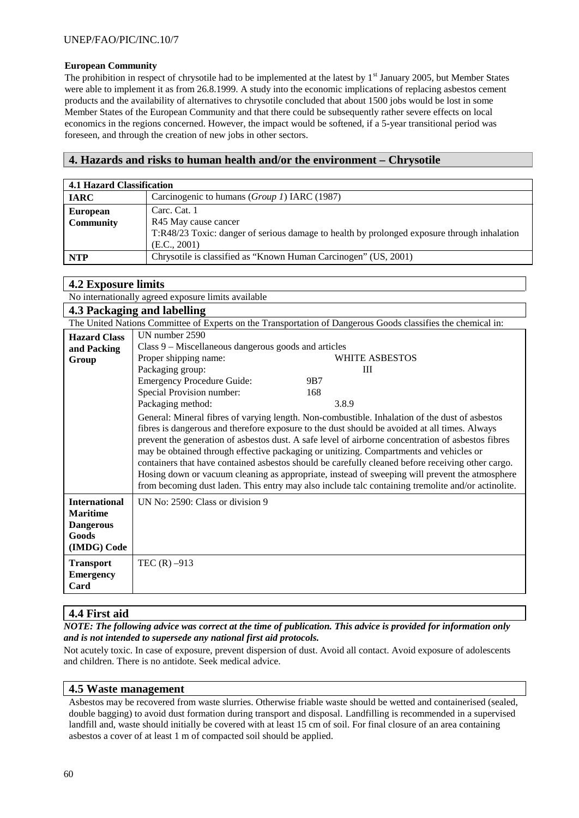### **European Community**

The prohibition in respect of chrysotile had to be implemented at the latest by  $1<sup>st</sup>$  January 2005, but Member States were able to implement it as from 26.8.1999. A study into the economic implications of replacing asbestos cement products and the availability of alternatives to chrysotile concluded that about 1500 jobs would be lost in some Member States of the European Community and that there could be subsequently rather severe effects on local economics in the regions concerned. However, the impact would be softened, if a 5-year transitional period was foreseen, and through the creation of new jobs in other sectors.

## **4. Hazards and risks to human health and/or the environment – Chrysotile**

|                                     | 4.1 Hazard Classification                                                                                                           |  |  |
|-------------------------------------|-------------------------------------------------------------------------------------------------------------------------------------|--|--|
| <b>IARC</b>                         | Carcinogenic to humans (Group 1) IARC (1987)                                                                                        |  |  |
| <b>European</b><br><b>Community</b> | Carc. Cat. 1<br>R45 May cause cancer<br>T:R48/23 Toxic: danger of serious damage to health by prolonged exposure through inhalation |  |  |
|                                     | (E.C., 2001)                                                                                                                        |  |  |
| <b>NTP</b>                          | Chrysotile is classified as "Known Human Carcinogen" (US, 2001)                                                                     |  |  |

## **4.2 Exposure limits**

No internationally agreed exposure limits available

|                                                                                     | 4.3 Packaging and labelling                                                                                                                                                                                                                                                                                                                                                                                                                                                                                                                                                                                                                                                                                  |
|-------------------------------------------------------------------------------------|--------------------------------------------------------------------------------------------------------------------------------------------------------------------------------------------------------------------------------------------------------------------------------------------------------------------------------------------------------------------------------------------------------------------------------------------------------------------------------------------------------------------------------------------------------------------------------------------------------------------------------------------------------------------------------------------------------------|
|                                                                                     | The United Nations Committee of Experts on the Transportation of Dangerous Goods classifies the chemical in:                                                                                                                                                                                                                                                                                                                                                                                                                                                                                                                                                                                                 |
| <b>Hazard Class</b><br>and Packing                                                  | UN number 2590<br>Class 9 – Miscellaneous dangerous goods and articles                                                                                                                                                                                                                                                                                                                                                                                                                                                                                                                                                                                                                                       |
| Group                                                                               | Proper shipping name:<br>WHITE ASBESTOS<br>Packaging group:<br>Ш<br><b>Emergency Procedure Guide:</b><br>9 <sub>B7</sub>                                                                                                                                                                                                                                                                                                                                                                                                                                                                                                                                                                                     |
|                                                                                     | Special Provision number:<br>168<br>Packaging method:<br>3.8.9                                                                                                                                                                                                                                                                                                                                                                                                                                                                                                                                                                                                                                               |
|                                                                                     | General: Mineral fibres of varying length. Non-combustible. Inhalation of the dust of asbestos<br>fibres is dangerous and therefore exposure to the dust should be avoided at all times. Always<br>prevent the generation of asbestos dust. A safe level of airborne concentration of asbestos fibres<br>may be obtained through effective packaging or unitizing. Compartments and vehicles or<br>containers that have contained asbestos should be carefully cleaned before receiving other cargo.<br>Hosing down or vacuum cleaning as appropriate, instead of sweeping will prevent the atmosphere<br>from becoming dust laden. This entry may also include talc containing tremolite and/or actinolite. |
| <b>International</b><br><b>Maritime</b><br><b>Dangerous</b><br>Goods<br>(IMDG) Code | UN No: 2590: Class or division 9                                                                                                                                                                                                                                                                                                                                                                                                                                                                                                                                                                                                                                                                             |
| <b>Transport</b><br><b>Emergency</b><br>Card                                        | TEC $(R) -913$                                                                                                                                                                                                                                                                                                                                                                                                                                                                                                                                                                                                                                                                                               |

## **4.4 First aid**

*NOTE: The following advice was correct at the time of publication. This advice is provided for information only and is not intended to supersede any national first aid protocols.*

Not acutely toxic. In case of exposure, prevent dispersion of dust. Avoid all contact. Avoid exposure of adolescents and children. There is no antidote. Seek medical advice.

## **4.5 Waste management**

Asbestos may be recovered from waste slurries. Otherwise friable waste should be wetted and containerised (sealed, double bagging) to avoid dust formation during transport and disposal. Landfilling is recommended in a supervised landfill and, waste should initially be covered with at least 15 cm of soil. For final closure of an area containing asbestos a cover of at least 1 m of compacted soil should be applied.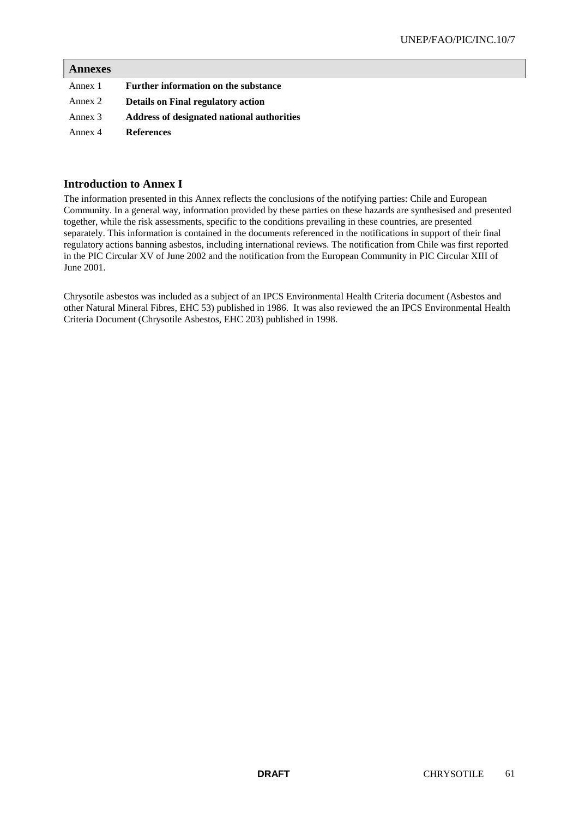## **Annexes**

| Annex 1 | Further information on the substance       |
|---------|--------------------------------------------|
| Annex 2 | <b>Details on Final regulatory action</b>  |
| Annex 3 | Address of designated national authorities |
| Annex 4 | <b>References</b>                          |

## **Introduction to Annex I**

The information presented in this Annex reflects the conclusions of the notifying parties: Chile and European Community. In a general way, information provided by these parties on these hazards are synthesised and presented together, while the risk assessments, specific to the conditions prevailing in these countries, are presented separately. This information is contained in the documents referenced in the notifications in support of their final regulatory actions banning asbestos, including international reviews. The notification from Chile was first reported in the PIC Circular XV of June 2002 and the notification from the European Community in PIC Circular XIII of June 2001.

Chrysotile asbestos was included as a subject of an IPCS Environmental Health Criteria document (Asbestos and other Natural Mineral Fibres, EHC 53) published in 1986. It was also reviewed the an IPCS Environmental Health Criteria Document (Chrysotile Asbestos, EHC 203) published in 1998.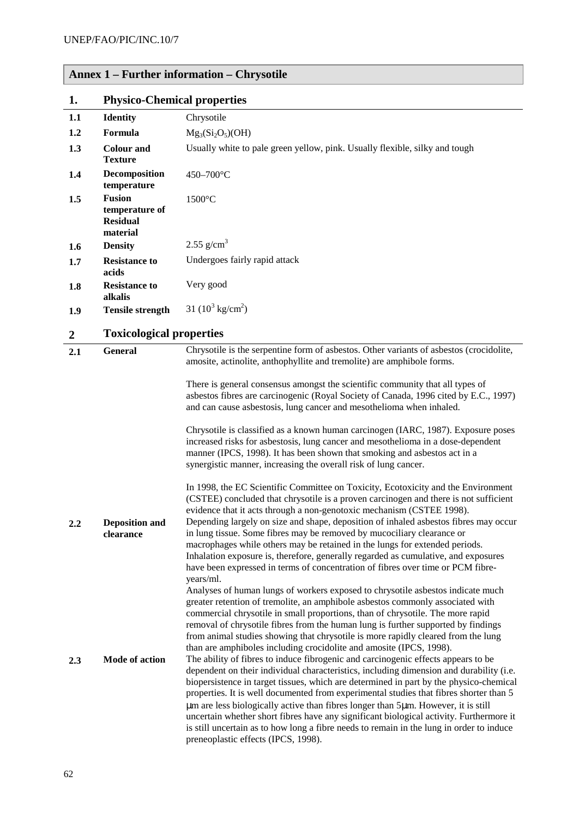|  |  |  | <b>Annex 1 – Further information – Chrysotile</b> |  |
|--|--|--|---------------------------------------------------|--|
|--|--|--|---------------------------------------------------|--|

| 1.               | <b>Physico-Chemical properties</b>                             |                                                                                                                                                                                                                                                                                                                                                                                                                                                                                                                                                                                                                                                                                     |  |
|------------------|----------------------------------------------------------------|-------------------------------------------------------------------------------------------------------------------------------------------------------------------------------------------------------------------------------------------------------------------------------------------------------------------------------------------------------------------------------------------------------------------------------------------------------------------------------------------------------------------------------------------------------------------------------------------------------------------------------------------------------------------------------------|--|
| 1.1              | <b>Identity</b>                                                | Chrysotile                                                                                                                                                                                                                                                                                                                                                                                                                                                                                                                                                                                                                                                                          |  |
| 1.2              | Formula                                                        | $Mg_3(Si_2O_5)(OH)$                                                                                                                                                                                                                                                                                                                                                                                                                                                                                                                                                                                                                                                                 |  |
| 1.3              | <b>Colour and</b><br><b>Texture</b>                            | Usually white to pale green yellow, pink. Usually flexible, silky and tough                                                                                                                                                                                                                                                                                                                                                                                                                                                                                                                                                                                                         |  |
| 1.4              | Decomposition<br>temperature                                   | 450-700°C                                                                                                                                                                                                                                                                                                                                                                                                                                                                                                                                                                                                                                                                           |  |
| 1.5              | <b>Fusion</b><br>temperature of<br><b>Residual</b><br>material | $1500^{\circ}$ C                                                                                                                                                                                                                                                                                                                                                                                                                                                                                                                                                                                                                                                                    |  |
| 1.6              | <b>Density</b>                                                 | $2.55$ g/cm <sup>3</sup>                                                                                                                                                                                                                                                                                                                                                                                                                                                                                                                                                                                                                                                            |  |
| 1.7              | <b>Resistance to</b><br>acids                                  | Undergoes fairly rapid attack                                                                                                                                                                                                                                                                                                                                                                                                                                                                                                                                                                                                                                                       |  |
| 1.8              | <b>Resistance to</b><br>alkalis                                | Very good                                                                                                                                                                                                                                                                                                                                                                                                                                                                                                                                                                                                                                                                           |  |
| 1.9              | <b>Tensile strength</b>                                        | 31 $(10^3 \text{ kg/cm}^2)$                                                                                                                                                                                                                                                                                                                                                                                                                                                                                                                                                                                                                                                         |  |
| $\boldsymbol{2}$ | <b>Toxicological properties</b>                                |                                                                                                                                                                                                                                                                                                                                                                                                                                                                                                                                                                                                                                                                                     |  |
| 2.1              | <b>General</b>                                                 | Chrysotile is the serpentine form of asbestos. Other variants of asbestos (crocidolite,<br>amosite, actinolite, anthophyllite and tremolite) are amphibole forms.                                                                                                                                                                                                                                                                                                                                                                                                                                                                                                                   |  |
|                  |                                                                | There is general consensus amongst the scientific community that all types of<br>asbestos fibres are carcinogenic (Royal Society of Canada, 1996 cited by E.C., 1997)<br>and can cause asbestosis, lung cancer and mesothelioma when inhaled.                                                                                                                                                                                                                                                                                                                                                                                                                                       |  |
|                  |                                                                | Chrysotile is classified as a known human carcinogen (IARC, 1987). Exposure poses<br>increased risks for asbestosis, lung cancer and mesothelioma in a dose-dependent<br>manner (IPCS, 1998). It has been shown that smoking and asbestos act in a<br>synergistic manner, increasing the overall risk of lung cancer.                                                                                                                                                                                                                                                                                                                                                               |  |
|                  |                                                                | In 1998, the EC Scientific Committee on Toxicity, Ecotoxicity and the Environment<br>(CSTEE) concluded that chrysotile is a proven carcinogen and there is not sufficient<br>evidence that it acts through a non-genotoxic mechanism (CSTEE 1998).                                                                                                                                                                                                                                                                                                                                                                                                                                  |  |
| $2.2\,$          | <b>Deposition and</b><br>clearance                             | Depending largely on size and shape, deposition of inhaled asbestos fibres may occur<br>in lung tissue. Some fibres may be removed by mucociliary clearance or<br>macrophages while others may be retained in the lungs for extended periods.<br>Inhalation exposure is, therefore, generally regarded as cumulative, and exposures<br>have been expressed in terms of concentration of fibres over time or PCM fibre-<br>years/ml.<br>Analyses of human lungs of workers exposed to chrysotile asbestos indicate much                                                                                                                                                              |  |
|                  |                                                                | greater retention of tremolite, an amphibole asbestos commonly associated with<br>commercial chrysotile in small proportions, than of chrysotile. The more rapid<br>removal of chrysotile fibres from the human lung is further supported by findings<br>from animal studies showing that chrysotile is more rapidly cleared from the lung<br>than are amphiboles including crocidolite and amosite (IPCS, 1998).                                                                                                                                                                                                                                                                   |  |
| 2.3              | Mode of action                                                 | The ability of fibres to induce fibrogenic and carcinogenic effects appears to be<br>dependent on their individual characteristics, including dimension and durability (i.e.<br>biopersistence in target tissues, which are determined in part by the physico-chemical<br>properties. It is well documented from experimental studies that fibres shorter than 5<br>um are less biologically active than fibres longer than 5um. However, it is still<br>uncertain whether short fibres have any significant biological activity. Furthermore it<br>is still uncertain as to how long a fibre needs to remain in the lung in order to induce<br>preneoplastic effects (IPCS, 1998). |  |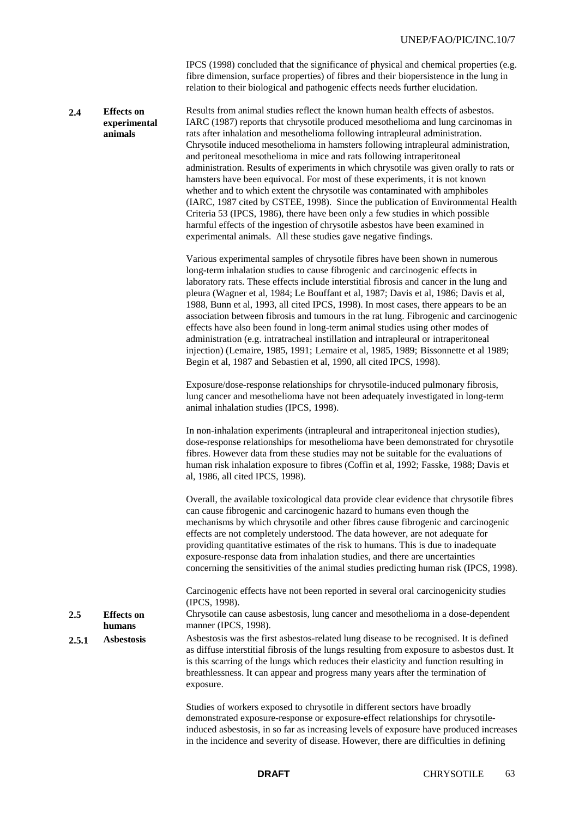IPCS (1998) concluded that the significance of physical and chemical properties (e.g. fibre dimension, surface properties) of fibres and their biopersistence in the lung in relation to their biological and pathogenic effects needs further elucidation.

#### **2.4 Effects on experimental animals** Results from animal studies reflect the known human health effects of asbestos. IARC (1987) reports that chrysotile produced mesothelioma and lung carcinomas in rats after inhalation and mesothelioma following intrapleural administration. Chrysotile induced mesothelioma in hamsters following intrapleural administration, and peritoneal mesothelioma in mice and rats following intraperitoneal administration. Results of experiments in which chrysotile was given orally to rats or hamsters have been equivocal. For most of these experiments, it is not known whether and to which extent the chrysotile was contaminated with amphiboles (IARC, 1987 cited by CSTEE, 1998). Since the publication of Environmental Health Criteria 53 (IPCS, 1986), there have been only a few studies in which possible harmful effects of the ingestion of chrysotile asbestos have been examined in experimental animals. All these studies gave negative findings.

Various experimental samples of chrysotile fibres have been shown in numerous long-term inhalation studies to cause fibrogenic and carcinogenic effects in laboratory rats. These effects include interstitial fibrosis and cancer in the lung and pleura (Wagner et al, 1984; Le Bouffant et al, 1987; Davis et al, 1986; Davis et al, 1988, Bunn et al, 1993, all cited IPCS, 1998). In most cases, there appears to be an association between fibrosis and tumours in the rat lung. Fibrogenic and carcinogenic effects have also been found in long-term animal studies using other modes of administration (e.g. intratracheal instillation and intrapleural or intraperitoneal injection) (Lemaire, 1985, 1991; Lemaire et al, 1985, 1989; Bissonnette et al 1989; Begin et al, 1987 and Sebastien et al, 1990, all cited IPCS, 1998).

Exposure/dose-response relationships for chrysotile-induced pulmonary fibrosis, lung cancer and mesothelioma have not been adequately investigated in long-term animal inhalation studies (IPCS, 1998).

In non-inhalation experiments (intrapleural and intraperitoneal injection studies), dose-response relationships for mesothelioma have been demonstrated for chrysotile fibres. However data from these studies may not be suitable for the evaluations of human risk inhalation exposure to fibres (Coffin et al, 1992; Fasske, 1988; Davis et al, 1986, all cited IPCS, 1998).

Overall, the available toxicological data provide clear evidence that chrysotile fibres can cause fibrogenic and carcinogenic hazard to humans even though the mechanisms by which chrysotile and other fibres cause fibrogenic and carcinogenic effects are not completely understood. The data however, are not adequate for providing quantitative estimates of the risk to humans. This is due to inadequate exposure-response data from inhalation studies, and there are uncertainties concerning the sensitivities of the animal studies predicting human risk (IPCS, 1998).

Carcinogenic effects have not been reported in several oral carcinogenicity studies (IPCS, 1998).

Chrysotile can cause asbestosis, lung cancer and mesothelioma in a dose-dependent manner (IPCS, 1998).

2.5.1 **Asbestosis** Asbestosis was the first asbestos-related lung disease to be recognised. It is defined as diffuse interstitial fibrosis of the lungs resulting from exposure to asbestos dust. It is this scarring of the lungs which reduces their elasticity and function resulting in breathlessness. It can appear and progress many years after the termination of exposure.

> Studies of workers exposed to chrysotile in different sectors have broadly demonstrated exposure-response or exposure-effect relationships for chrysotileinduced asbestosis, in so far as increasing levels of exposure have produced increases in the incidence and severity of disease. However, there are difficulties in defining

**2.5 Effects on humans**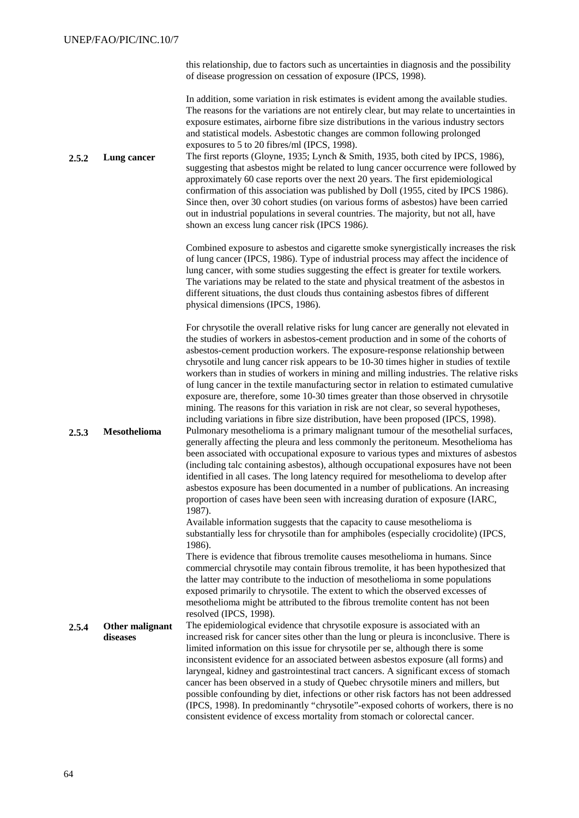this relationship, due to factors such as uncertainties in diagnosis and the possibility of disease progression on cessation of exposure (IPCS, 1998).

In addition, some variation in risk estimates is evident among the available studies. The reasons for the variations are not entirely clear, but may relate to uncertainties in exposure estimates, airborne fibre size distributions in the various industry sectors and statistical models. Asbestotic changes are common following prolonged exposures to 5 to 20 fibres/ml (IPCS, 1998).

**2.5.2 Lung cancer** The first reports (Gloyne, 1935; Lynch & Smith, 1935, both cited by IPCS, 1986), suggesting that asbestos might be related to lung cancer occurrence were followed by approximately 60 case reports over the next 20 years. The first epidemiological confirmation of this association was published by Doll (1955, cited by IPCS 1986). Since then, over 30 cohort studies (on various forms of asbestos) have been carried out in industrial populations in several countries. The majority, but not all, have shown an excess lung cancer risk (IPCS 1986*)*.

> Combined exposure to asbestos and cigarette smoke synergistically increases the risk of lung cancer (IPCS, 1986). Type of industrial process may affect the incidence of lung cancer, with some studies suggesting the effect is greater for textile workers*.* The variations may be related to the state and physical treatment of the asbestos in different situations, the dust clouds thus containing asbestos fibres of different physical dimensions (IPCS, 1986).

For chrysotile the overall relative risks for lung cancer are generally not elevated in the studies of workers in asbestos-cement production and in some of the cohorts of asbestos-cement production workers. The exposure-response relationship between chrysotile and lung cancer risk appears to be 10-30 times higher in studies of textile workers than in studies of workers in mining and milling industries. The relative risks of lung cancer in the textile manufacturing sector in relation to estimated cumulative exposure are, therefore, some 10-30 times greater than those observed in chrysotile mining. The reasons for this variation in risk are not clear, so several hypotheses, including variations in fibre size distribution, have been proposed (IPCS, 1998). **2.5.3 Mesothelioma** Pulmonary mesothelioma is a primary malignant tumour of the mesothelial surfaces, generally affecting the pleura and less commonly the peritoneum. Mesothelioma has been associated with occupational exposure to various types and mixtures of asbestos (including talc containing asbestos), although occupational exposures have not been identified in all cases. The long latency required for mesothelioma to develop after asbestos exposure has been documented in a number of publications. An increasing proportion of cases have been seen with increasing duration of exposure (IARC, 1987).

> Available information suggests that the capacity to cause mesothelioma is substantially less for chrysotile than for amphiboles (especially crocidolite) (IPCS, 1986).

> There is evidence that fibrous tremolite causes mesothelioma in humans. Since commercial chrysotile may contain fibrous tremolite, it has been hypothesized that the latter may contribute to the induction of mesothelioma in some populations exposed primarily to chrysotile. The extent to which the observed excesses of mesothelioma might be attributed to the fibrous tremolite content has not been resolved (IPCS, 1998).

**2.5.4 Other malignant diseases** The epidemiological evidence that chrysotile exposure is associated with an increased risk for cancer sites other than the lung or pleura is inconclusive. There is limited information on this issue for chrysotile per se, although there is some inconsistent evidence for an associated between asbestos exposure (all forms) and laryngeal, kidney and gastrointestinal tract cancers. A significant excess of stomach cancer has been observed in a study of Quebec chrysotile miners and millers, but possible confounding by diet, infections or other risk factors has not been addressed (IPCS, 1998). In predominantly "chrysotile"-exposed cohorts of workers, there is no consistent evidence of excess mortality from stomach or colorectal cancer.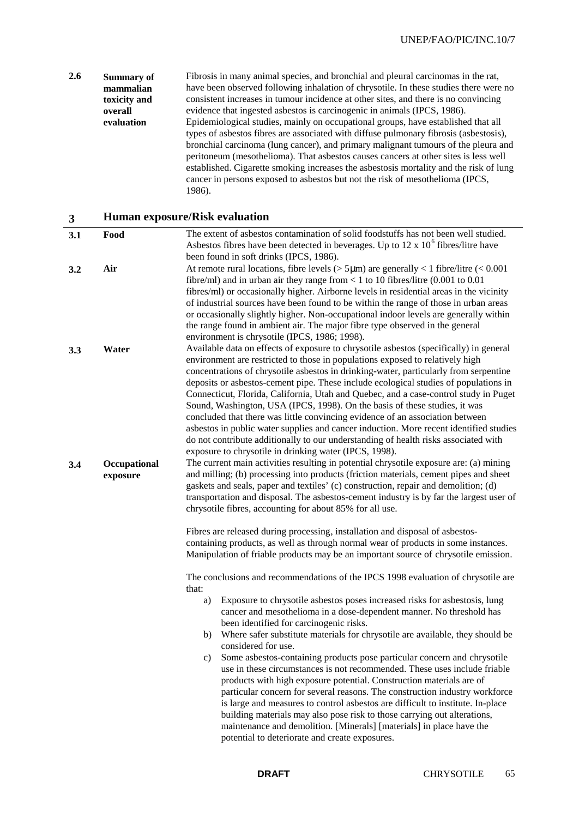#### **2.6 Summary of mammalian toxicity and overall evaluation** Fibrosis in many animal species, and bronchial and pleural carcinomas in the rat, have been observed following inhalation of chrysotile. In these studies there were no consistent increases in tumour incidence at other sites, and there is no convincing evidence that ingested asbestos is carcinogenic in animals (IPCS, 1986). Epidemiological studies, mainly on occupational groups, have established that all types of asbestos fibres are associated with diffuse pulmonary fibrosis (asbestosis), bronchial carcinoma (lung cancer), and primary malignant tumours of the pleura and peritoneum (mesothelioma). That asbestos causes cancers at other sites is less well established. Cigarette smoking increases the asbestosis mortality and the risk of lung cancer in persons exposed to asbestos but not the risk of mesothelioma (IPCS, 1986).

### **3 Human exposure/Risk evaluation**

| 3.1 | Food                     | The extent of asbestos contamination of solid foodstuffs has not been well studied.<br>Asbestos fibres have been detected in beverages. Up to 12 x $106$ fibres/litre have<br>been found in soft drinks (IPCS, 1986).                                                                                                                                                                                                                                                                                                                                                                                                                                                                                                                                                                                                                                      |
|-----|--------------------------|------------------------------------------------------------------------------------------------------------------------------------------------------------------------------------------------------------------------------------------------------------------------------------------------------------------------------------------------------------------------------------------------------------------------------------------------------------------------------------------------------------------------------------------------------------------------------------------------------------------------------------------------------------------------------------------------------------------------------------------------------------------------------------------------------------------------------------------------------------|
| 3.2 | Air                      | At remote rural locations, fibre levels ( $>$ 5µm) are generally < 1 fibre/litre (< 0.001<br>fibre/ml) and in urban air they range from < 1 to 10 fibres/litre $(0.001$ to $0.01$<br>fibres/ml) or occasionally higher. Airborne levels in residential areas in the vicinity<br>of industrial sources have been found to be within the range of those in urban areas<br>or occasionally slightly higher. Non-occupational indoor levels are generally within<br>the range found in ambient air. The major fibre type observed in the general<br>environment is chrysotile (IPCS, 1986; 1998).                                                                                                                                                                                                                                                              |
| 3.3 | Water                    | Available data on effects of exposure to chrysotile asbestos (specifically) in general<br>environment are restricted to those in populations exposed to relatively high<br>concentrations of chrysotile asbestos in drinking-water, particularly from serpentine<br>deposits or asbestos-cement pipe. These include ecological studies of populations in<br>Connecticut, Florida, California, Utah and Quebec, and a case-control study in Puget<br>Sound, Washington, USA (IPCS, 1998). On the basis of these studies, it was<br>concluded that there was little convincing evidence of an association between<br>asbestos in public water supplies and cancer induction. More recent identified studies<br>do not contribute additionally to our understanding of health risks associated with<br>exposure to chrysotile in drinking water (IPCS, 1998). |
| 3.4 | Occupational<br>exposure | The current main activities resulting in potential chrysotile exposure are: (a) mining<br>and milling; (b) processing into products (friction materials, cement pipes and sheet<br>gaskets and seals, paper and textiles' (c) construction, repair and demolition; (d)<br>transportation and disposal. The asbestos-cement industry is by far the largest user of<br>chrysotile fibres, accounting for about 85% for all use.                                                                                                                                                                                                                                                                                                                                                                                                                              |
|     |                          | Fibres are released during processing, installation and disposal of asbestos-<br>containing products, as well as through normal wear of products in some instances.<br>Manipulation of friable products may be an important source of chrysotile emission.                                                                                                                                                                                                                                                                                                                                                                                                                                                                                                                                                                                                 |
|     |                          | The conclusions and recommendations of the IPCS 1998 evaluation of chrysotile are<br>that:                                                                                                                                                                                                                                                                                                                                                                                                                                                                                                                                                                                                                                                                                                                                                                 |
|     |                          | Exposure to chrysotile asbestos poses increased risks for asbestosis, lung<br>a)<br>cancer and mesothelioma in a dose-dependent manner. No threshold has<br>been identified for carcinogenic risks.                                                                                                                                                                                                                                                                                                                                                                                                                                                                                                                                                                                                                                                        |
|     |                          | Where safer substitute materials for chrysotile are available, they should be<br>b)<br>considered for use.                                                                                                                                                                                                                                                                                                                                                                                                                                                                                                                                                                                                                                                                                                                                                 |
|     |                          | Some asbestos-containing products pose particular concern and chrysotile<br>c)<br>use in these circumstances is not recommended. These uses include friable<br>products with high exposure potential. Construction materials are of<br>particular concern for several reasons. The construction industry workforce<br>is large and measures to control asbestos are difficult to institute. In-place<br>building materials may also pose risk to those carrying out alterations,<br>maintenance and demolition. [Minerals] [materials] in place have the<br>potential to deteriorate and create exposures.                                                                                                                                                                                                                                                 |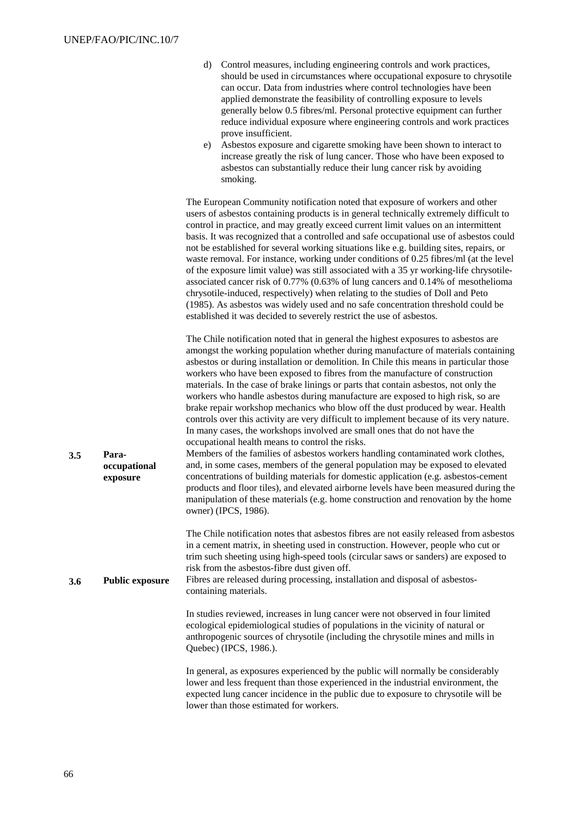| d) Control measures, including engineering controls and work practices,   |
|---------------------------------------------------------------------------|
| should be used in circumstances where occupational exposure to chrysotile |
| can occur. Data from industries where control technologies have been      |
| applied demonstrate the feasibility of controlling exposure to levels     |
| generally below 0.5 fibres/ml. Personal protective equipment can further  |
| reduce individual exposure where engineering controls and work practices  |
| prove insufficient.                                                       |

e) Asbestos exposure and cigarette smoking have been shown to interact to increase greatly the risk of lung cancer. Those who have been exposed to asbestos can substantially reduce their lung cancer risk by avoiding smoking.

The European Community notification noted that exposure of workers and other users of asbestos containing products is in general technically extremely difficult to control in practice, and may greatly exceed current limit values on an intermittent basis. It was recognized that a controlled and safe occupational use of asbestos could not be established for several working situations like e.g. building sites, repairs, or waste removal. For instance, working under conditions of 0.25 fibres/ml (at the level of the exposure limit value) was still associated with a 35 yr working-life chrysotileassociated cancer risk of 0.77% (0.63% of lung cancers and 0.14% of mesothelioma chrysotile-induced, respectively) when relating to the studies of Doll and Peto (1985). As asbestos was widely used and no safe concentration threshold could be established it was decided to severely restrict the use of asbestos.

The Chile notification noted that in general the highest exposures to asbestos are amongst the working population whether during manufacture of materials containing asbestos or during installation or demolition. In Chile this means in particular those workers who have been exposed to fibres from the manufacture of construction materials. In the case of brake linings or parts that contain asbestos, not only the workers who handle asbestos during manufacture are exposed to high risk, so are brake repair workshop mechanics who blow off the dust produced by wear. Health controls over this activity are very difficult to implement because of its very nature. In many cases, the workshops involved are small ones that do not have the occupational health means to control the risks. Members of the families of asbestos workers handling contaminated work clothes,

**3.5 Paraoccupational exposure** and, in some cases, members of the general population may be exposed to elevated concentrations of building materials for domestic application (e.g. asbestos-cement products and floor tiles), and elevated airborne levels have been measured during the manipulation of these materials (e.g. home construction and renovation by the home owner) (IPCS, 1986).

> The Chile notification notes that asbestos fibres are not easily released from asbestos in a cement matrix, in sheeting used in construction. However, people who cut or trim such sheeting using high-speed tools (circular saws or sanders) are exposed to risk from the asbestos-fibre dust given off.

**3.6 Public exposure** Fibres are released during processing, installation and disposal of asbestoscontaining materials.

> In studies reviewed, increases in lung cancer were not observed in four limited ecological epidemiological studies of populations in the vicinity of natural or anthropogenic sources of chrysotile (including the chrysotile mines and mills in Quebec) (IPCS, 1986.).

In general, as exposures experienced by the public will normally be considerably lower and less frequent than those experienced in the industrial environment, the expected lung cancer incidence in the public due to exposure to chrysotile will be lower than those estimated for workers.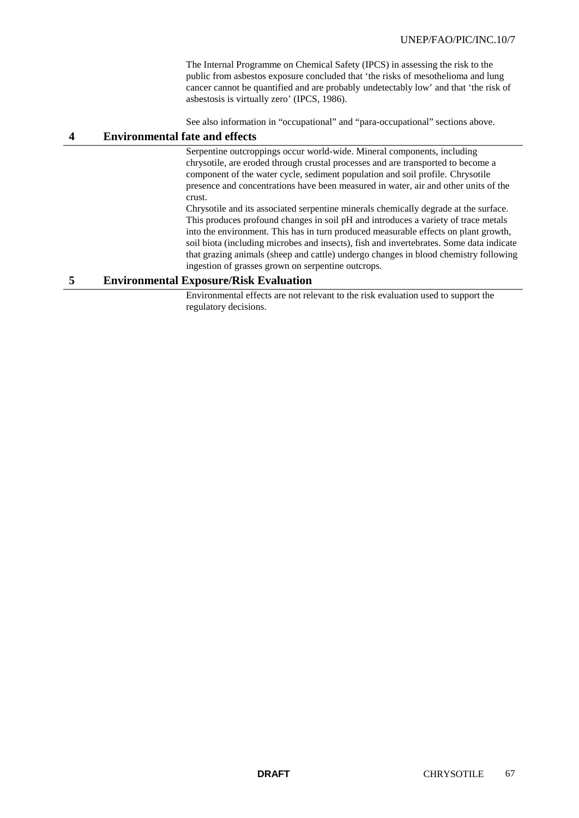The Internal Programme on Chemical Safety (IPCS) in assessing the risk to the public from asbestos exposure concluded that 'the risks of mesothelioma and lung cancer cannot be quantified and are probably undetectably low' and that 'the risk of asbestosis is virtually zero' (IPCS, 1986).

See also information in "occupational" and "para-occupational" sections above.

## **4 Environmental fate and effects**

Serpentine outcroppings occur world-wide. Mineral components, including chrysotile, are eroded through crustal processes and are transported to become a component of the water cycle, sediment population and soil profile. Chrysotile presence and concentrations have been measured in water, air and other units of the crust.

Chrysotile and its associated serpentine minerals chemically degrade at the surface. This produces profound changes in soil pH and introduces a variety of trace metals into the environment. This has in turn produced measurable effects on plant growth, soil biota (including microbes and insects), fish and invertebrates. Some data indicate that grazing animals (sheep and cattle) undergo changes in blood chemistry following ingestion of grasses grown on serpentine outcrops.

## **5 Environmental Exposure/Risk Evaluation**

Environmental effects are not relevant to the risk evaluation used to support the regulatory decisions.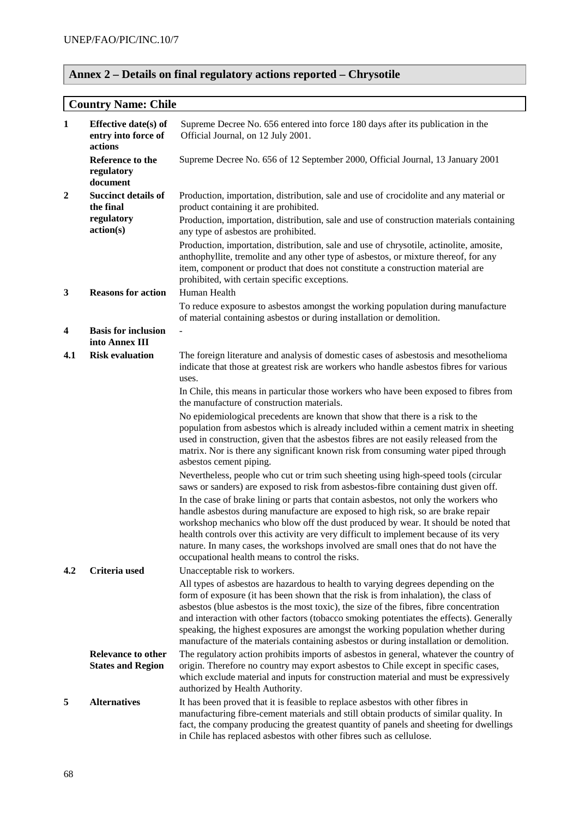# **Annex 2 – Details on final regulatory actions reported – Chrysotile**

# **Country Name: Chile**

| $\mathbf{1}$     | Effective date(s) of<br>entry into force of<br>actions | Supreme Decree No. 656 entered into force 180 days after its publication in the<br>Official Journal, on 12 July 2001.                                                                                                                                                                                                                                                                                                                                                                                                                         |
|------------------|--------------------------------------------------------|-----------------------------------------------------------------------------------------------------------------------------------------------------------------------------------------------------------------------------------------------------------------------------------------------------------------------------------------------------------------------------------------------------------------------------------------------------------------------------------------------------------------------------------------------|
|                  | Reference to the<br>regulatory<br>document             | Supreme Decree No. 656 of 12 September 2000, Official Journal, 13 January 2001                                                                                                                                                                                                                                                                                                                                                                                                                                                                |
| $\boldsymbol{2}$ | <b>Succinct details of</b><br>the final                | Production, importation, distribution, sale and use of crocidolite and any material or<br>product containing it are prohibited.                                                                                                                                                                                                                                                                                                                                                                                                               |
|                  | regulatory<br>action(s)                                | Production, importation, distribution, sale and use of construction materials containing<br>any type of asbestos are prohibited.                                                                                                                                                                                                                                                                                                                                                                                                              |
|                  |                                                        | Production, importation, distribution, sale and use of chrysotile, actinolite, amosite,<br>anthophyllite, tremolite and any other type of asbestos, or mixture thereof, for any<br>item, component or product that does not constitute a construction material are<br>prohibited, with certain specific exceptions.                                                                                                                                                                                                                           |
| $\mathbf{3}$     | <b>Reasons for action</b>                              | Human Health<br>To reduce exposure to asbestos amongst the working population during manufacture                                                                                                                                                                                                                                                                                                                                                                                                                                              |
|                  |                                                        | of material containing asbestos or during installation or demolition.                                                                                                                                                                                                                                                                                                                                                                                                                                                                         |
| 4                | <b>Basis for inclusion</b><br>into Annex III           |                                                                                                                                                                                                                                                                                                                                                                                                                                                                                                                                               |
| 4.1              | <b>Risk evaluation</b>                                 | The foreign literature and analysis of domestic cases of asbestosis and mesothelioma<br>indicate that those at greatest risk are workers who handle asbestos fibres for various<br>uses.                                                                                                                                                                                                                                                                                                                                                      |
|                  |                                                        | In Chile, this means in particular those workers who have been exposed to fibres from<br>the manufacture of construction materials.                                                                                                                                                                                                                                                                                                                                                                                                           |
|                  |                                                        | No epidemiological precedents are known that show that there is a risk to the<br>population from asbestos which is already included within a cement matrix in sheeting<br>used in construction, given that the asbestos fibres are not easily released from the<br>matrix. Nor is there any significant known risk from consuming water piped through<br>asbestos cement piping.                                                                                                                                                              |
|                  |                                                        | Nevertheless, people who cut or trim such sheeting using high-speed tools (circular<br>saws or sanders) are exposed to risk from asbestos-fibre containing dust given off.                                                                                                                                                                                                                                                                                                                                                                    |
|                  |                                                        | In the case of brake lining or parts that contain asbestos, not only the workers who<br>handle asbestos during manufacture are exposed to high risk, so are brake repair<br>workshop mechanics who blow off the dust produced by wear. It should be noted that<br>health controls over this activity are very difficult to implement because of its very<br>nature. In many cases, the workshops involved are small ones that do not have the<br>occupational health means to control the risks.                                              |
| 4.2              | Criteria used                                          | Unacceptable risk to workers.                                                                                                                                                                                                                                                                                                                                                                                                                                                                                                                 |
|                  |                                                        | All types of asbestos are hazardous to health to varying degrees depending on the<br>form of exposure (it has been shown that the risk is from inhalation), the class of<br>asbestos (blue asbestos is the most toxic), the size of the fibres, fibre concentration<br>and interaction with other factors (tobacco smoking potentiates the effects). Generally<br>speaking, the highest exposures are amongst the working population whether during<br>manufacture of the materials containing asbestos or during installation or demolition. |
|                  | <b>Relevance to other</b><br><b>States and Region</b>  | The regulatory action prohibits imports of asbestos in general, whatever the country of<br>origin. Therefore no country may export asbestos to Chile except in specific cases,<br>which exclude material and inputs for construction material and must be expressively<br>authorized by Health Authority.                                                                                                                                                                                                                                     |
| 5                | <b>Alternatives</b>                                    | It has been proved that it is feasible to replace asbestos with other fibres in<br>manufacturing fibre-cement materials and still obtain products of similar quality. In<br>fact, the company producing the greatest quantity of panels and sheeting for dwellings<br>in Chile has replaced asbestos with other fibres such as cellulose.                                                                                                                                                                                                     |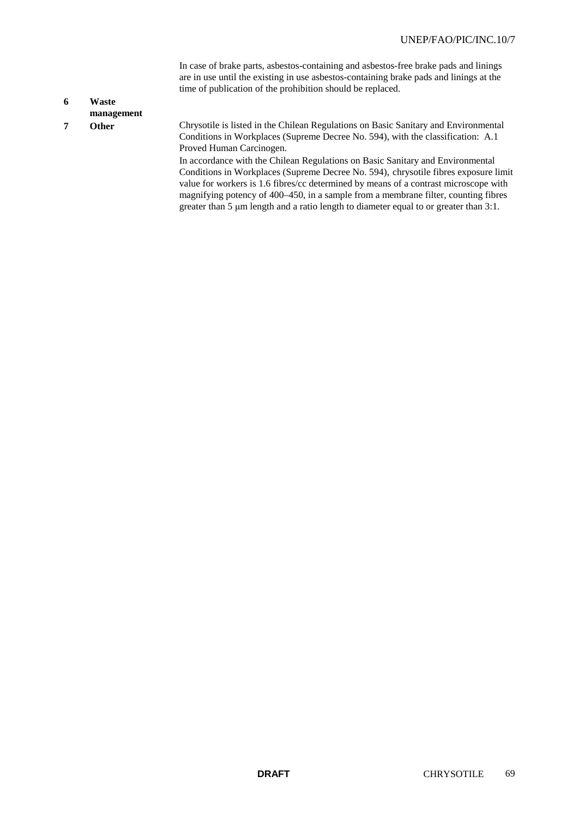In case of brake parts, asbestos-containing and asbestos-free brake pads and linings are in use until the existing in use asbestos-containing brake pads and linings at the time of publication of the prohibition should be replaced.

# **6 Waste**

- **management**
- 

**7 Other** Chrysotile is listed in the Chilean Regulations on Basic Sanitary and Environmental Conditions in Workplaces (Supreme Decree No. 594), with the classification: A.1 Proved Human Carcinogen.

> In accordance with the Chilean Regulations on Basic Sanitary and Environmental Conditions in Workplaces (Supreme Decree No. 594), chrysotile fibres exposure limit value for workers is 1.6 fibres/cc determined by means of a contrast microscope with magnifying potency of 400–450, in a sample from a membrane filter, counting fibres greater than 5 μm length and a ratio length to diameter equal to or greater than 3:1.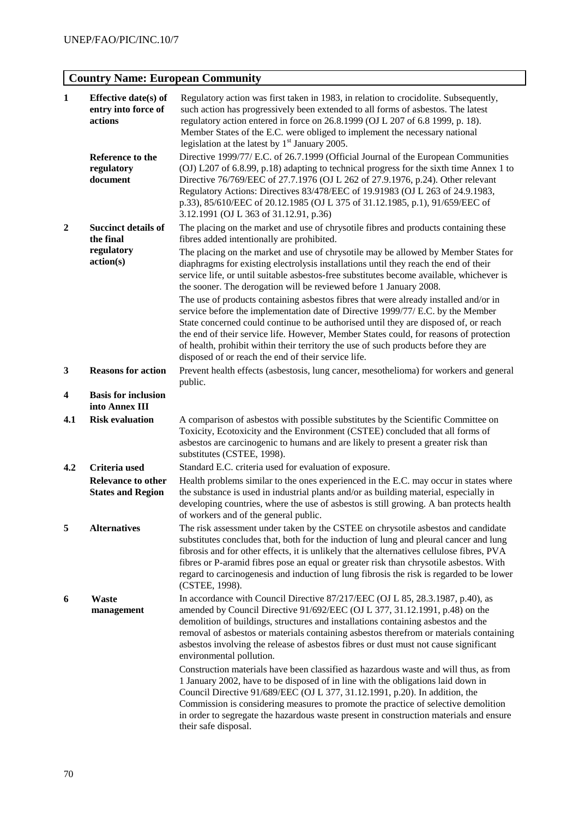# **Country Name: European Community**

| $\mathbf{1}$     | Effective date(s) of<br>entry into force of<br>actions             | Regulatory action was first taken in 1983, in relation to crocidolite. Subsequently,<br>such action has progressively been extended to all forms of asbestos. The latest<br>regulatory action entered in force on 26.8.1999 (OJ L 207 of 6.8 1999, p. 18).<br>Member States of the E.C. were obliged to implement the necessary national<br>legislation at the latest by $1st$ January 2005.                                                                                                            |  |  |  |
|------------------|--------------------------------------------------------------------|---------------------------------------------------------------------------------------------------------------------------------------------------------------------------------------------------------------------------------------------------------------------------------------------------------------------------------------------------------------------------------------------------------------------------------------------------------------------------------------------------------|--|--|--|
|                  | Reference to the<br>regulatory<br>document                         | Directive 1999/77/ E.C. of 26.7.1999 (Official Journal of the European Communities<br>(OJ) L207 of 6.8.99, p.18) adapting to technical progress for the sixth time Annex 1 to<br>Directive 76/769/EEC of 27.7.1976 (OJ L 262 of 27.9.1976, p.24). Other relevant<br>Regulatory Actions: Directives 83/478/EEC of 19.91983 (OJ L 263 of 24.9.1983,<br>p.33), 85/610/EEC of 20.12.1985 (OJ L 375 of 31.12.1985, p.1), 91/659/EEC of<br>3.12.1991 (OJ L 363 of 31.12.91, p.36)                             |  |  |  |
| $\boldsymbol{2}$ | <b>Succinct details of</b><br>the final<br>regulatory<br>action(s) | The placing on the market and use of chrysotile fibres and products containing these<br>fibres added intentionally are prohibited.                                                                                                                                                                                                                                                                                                                                                                      |  |  |  |
|                  |                                                                    | The placing on the market and use of chrysotile may be allowed by Member States for<br>diaphragms for existing electrolysis installations until they reach the end of their<br>service life, or until suitable asbestos-free substitutes become available, whichever is<br>the sooner. The derogation will be reviewed before 1 January 2008.                                                                                                                                                           |  |  |  |
|                  |                                                                    | The use of products containing asbestos fibres that were already installed and/or in<br>service before the implementation date of Directive 1999/77/ E.C. by the Member<br>State concerned could continue to be authorised until they are disposed of, or reach<br>the end of their service life. However, Member States could, for reasons of protection<br>of health, prohibit within their territory the use of such products before they are<br>disposed of or reach the end of their service life. |  |  |  |
| 3                | <b>Reasons for action</b>                                          | Prevent health effects (asbestosis, lung cancer, mesothelioma) for workers and general<br>public.                                                                                                                                                                                                                                                                                                                                                                                                       |  |  |  |
| 4                | <b>Basis for inclusion</b><br>into Annex III                       |                                                                                                                                                                                                                                                                                                                                                                                                                                                                                                         |  |  |  |
| 4.1              | <b>Risk evaluation</b>                                             | A comparison of asbestos with possible substitutes by the Scientific Committee on<br>Toxicity, Ecotoxicity and the Environment (CSTEE) concluded that all forms of<br>asbestos are carcinogenic to humans and are likely to present a greater risk than<br>substitutes (CSTEE, 1998).                                                                                                                                                                                                                   |  |  |  |
| 4.2              | Criteria used                                                      | Standard E.C. criteria used for evaluation of exposure.                                                                                                                                                                                                                                                                                                                                                                                                                                                 |  |  |  |
|                  | <b>Relevance to other</b><br><b>States and Region</b>              | Health problems similar to the ones experienced in the E.C. may occur in states where<br>the substance is used in industrial plants and/or as building material, especially in<br>developing countries, where the use of asbestos is still growing. A ban protects health<br>of workers and of the general public.                                                                                                                                                                                      |  |  |  |
| 5                | <b>Alternatives</b>                                                | The risk assessment under taken by the CSTEE on chrysotile asbestos and candidate<br>substitutes concludes that, both for the induction of lung and pleural cancer and lung<br>fibrosis and for other effects, it is unlikely that the alternatives cellulose fibres, PVA<br>fibres or P-aramid fibres pose an equal or greater risk than chrysotile asbestos. With<br>regard to carcinogenesis and induction of lung fibrosis the risk is regarded to be lower<br>(CSTEE, 1998).                       |  |  |  |
| 6                | Waste<br>management                                                | In accordance with Council Directive 87/217/EEC (OJ L 85, 28.3.1987, p.40), as<br>amended by Council Directive 91/692/EEC (OJ L 377, 31.12.1991, p.48) on the<br>demolition of buildings, structures and installations containing asbestos and the<br>removal of asbestos or materials containing asbestos therefrom or materials containing<br>asbestos involving the release of asbestos fibres or dust must not cause significant<br>environmental pollution.                                        |  |  |  |
|                  |                                                                    | Construction materials have been classified as hazardous waste and will thus, as from<br>1 January 2002, have to be disposed of in line with the obligations laid down in<br>Council Directive 91/689/EEC (OJ L 377, 31.12.1991, p.20). In addition, the<br>Commission is considering measures to promote the practice of selective demolition<br>in order to segregate the hazardous waste present in construction materials and ensure<br>their safe disposal.                                        |  |  |  |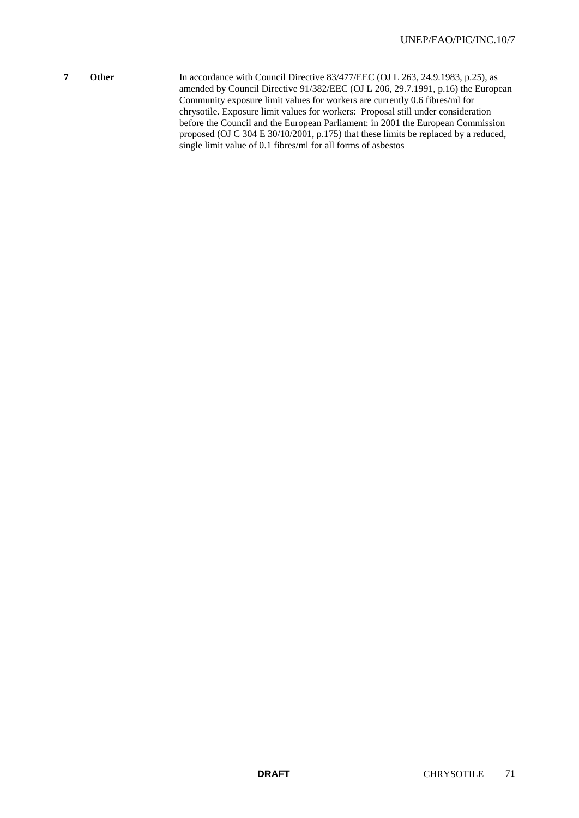**7 Other** In accordance with Council Directive 83/477/EEC (OJ L 263, 24.9.1983, p.25), as amended by Council Directive 91/382/EEC (OJ L 206, 29.7.1991, p.16) the European Community exposure limit values for workers are currently 0.6 fibres/ml for chrysotile. Exposure limit values for workers: Proposal still under consideration before the Council and the European Parliament: in 2001 the European Commission proposed (OJ C 304 E 30/10/2001, p.175) that these limits be replaced by a reduced, single limit value of 0.1 fibres/ml for all forms of asbestos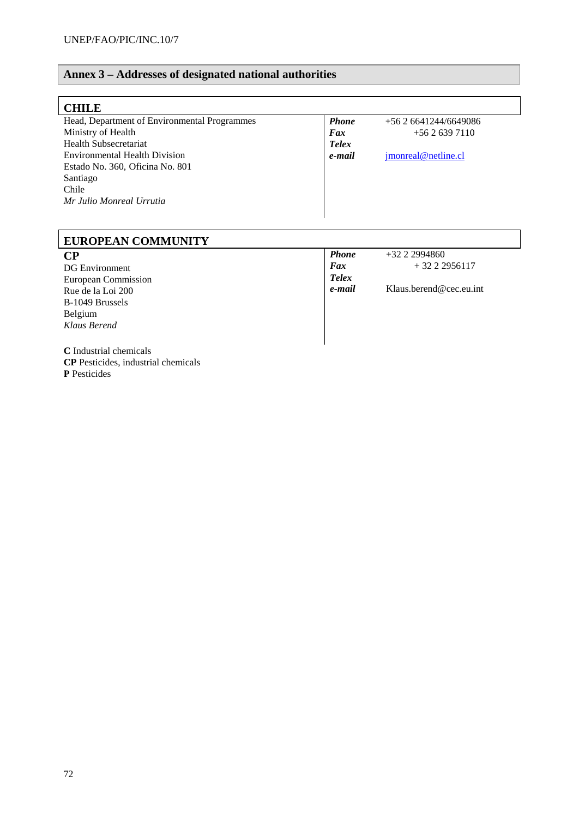## **Annex 3 – Addresses of designated national authorities**

| <b>CHILE</b>                                 |              |                      |  |  |  |  |
|----------------------------------------------|--------------|----------------------|--|--|--|--|
| Head, Department of Environmental Programmes | <b>Phone</b> | $+562641244/6649086$ |  |  |  |  |
| Ministry of Health                           | Fax          | $+5626397110$        |  |  |  |  |
| Health Subsecretariat                        | <b>Telex</b> |                      |  |  |  |  |
| <b>Environmental Health Division</b>         | e-mail       | jmonreal@netline.cl  |  |  |  |  |
| Estado No. 360, Oficina No. 801              |              |                      |  |  |  |  |
| Santiago                                     |              |                      |  |  |  |  |
| Chile                                        |              |                      |  |  |  |  |
| Mr Julio Monreal Urrutia                     |              |                      |  |  |  |  |
|                                              |              |                      |  |  |  |  |

#### **EUROPEAN COMMUNITY CP** DG Environment European Commission Rue de la Loi 200 B-1049 Brussels Belgium *Klaus Berend* **Phone**  $+32\ 2\ 2994860$ <br>**Fax**  $+32\ 2\ 2$ *Fax* + 32 2 2956117 *Telex e***-***mail* Klaus.berend@cec.eu.int

**C** Industrial chemicals **CP** Pesticides, industrial chemicals **P** Pesticides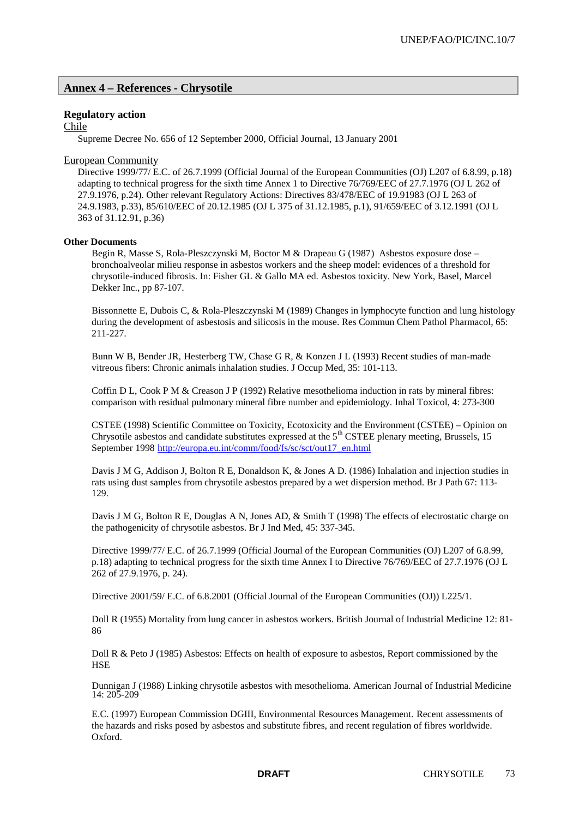## **Annex 4 – References - Chrysotile**

## **Regulatory action**

Chile

Supreme Decree No. 656 of 12 September 2000, Official Journal, 13 January 2001

## European Community

Directive 1999/77/ E.C. of 26.7.1999 (Official Journal of the European Communities (OJ) L207 of 6.8.99, p.18) adapting to technical progress for the sixth time Annex 1 to Directive 76/769/EEC of 27.7.1976 (OJ L 262 of 27.9.1976, p.24). Other relevant Regulatory Actions: Directives 83/478/EEC of 19.91983 (OJ L 263 of 24.9.1983, p.33), 85/610/EEC of 20.12.1985 (OJ L 375 of 31.12.1985, p.1), 91/659/EEC of 3.12.1991 (OJ L 363 of 31.12.91, p.36)

## **Other Documents**

Begin R, Masse S, Rola-Pleszczynski M, Boctor M & Drapeau G (1987) Asbestos exposure dose – bronchoalveolar milieu response in asbestos workers and the sheep model: evidences of a threshold for chrysotile-induced fibrosis. In: Fisher GL & Gallo MA ed. Asbestos toxicity. New York, Basel, Marcel Dekker Inc., pp 87-107.

Bissonnette E, Dubois C, & Rola-Pleszczynski M (1989) Changes in lymphocyte function and lung histology during the development of asbestosis and silicosis in the mouse. Res Commun Chem Pathol Pharmacol, 65: 211-227.

Bunn W B, Bender JR, Hesterberg TW, Chase G R, & Konzen J L (1993) Recent studies of man-made vitreous fibers: Chronic animals inhalation studies. J Occup Med, 35: 101-113.

Coffin D L, Cook P M & Creason J P (1992) Relative mesothelioma induction in rats by mineral fibres: comparison with residual pulmonary mineral fibre number and epidemiology. Inhal Toxicol, 4: 273-300

CSTEE (1998) Scientific Committee on Toxicity, Ecotoxicity and the Environment (CSTEE) – Opinion on Chrysotile asbestos and candidate substitutes expressed at the  $5<sup>th</sup>$  CSTEE plenary meeting, Brussels, 15 September 1998 http://europa.eu.int/comm/food/fs/sc/sct/out17\_en.html

Davis J M G, Addison J, Bolton R E, Donaldson K, & Jones A D. (1986) Inhalation and injection studies in rats using dust samples from chrysotile asbestos prepared by a wet dispersion method. Br J Path 67: 113- 129.

Davis J M G, Bolton R E, Douglas A N, Jones AD, & Smith T (1998) The effects of electrostatic charge on the pathogenicity of chrysotile asbestos. Br J Ind Med, 45: 337-345.

Directive 1999/77/ E.C. of 26.7.1999 (Official Journal of the European Communities (OJ) L207 of 6.8.99, p.18) adapting to technical progress for the sixth time Annex I to Directive 76/769/EEC of 27.7.1976 (OJ L 262 of 27.9.1976, p. 24).

Directive 2001/59/ E.C. of 6.8.2001 (Official Journal of the European Communities (OJ)) L225/1.

Doll R (1955) Mortality from lung cancer in asbestos workers. British Journal of Industrial Medicine 12: 81- 86

Doll R & Peto J (1985) Asbestos: Effects on health of exposure to asbestos, Report commissioned by the **HSE** 

Dunnigan J (1988) Linking chrysotile asbestos with mesothelioma. American Journal of Industrial Medicine 14: 205-209

E.C. (1997) European Commission DGIII, Environmental Resources Management. Recent assessments of the hazards and risks posed by asbestos and substitute fibres, and recent regulation of fibres worldwide. Oxford.